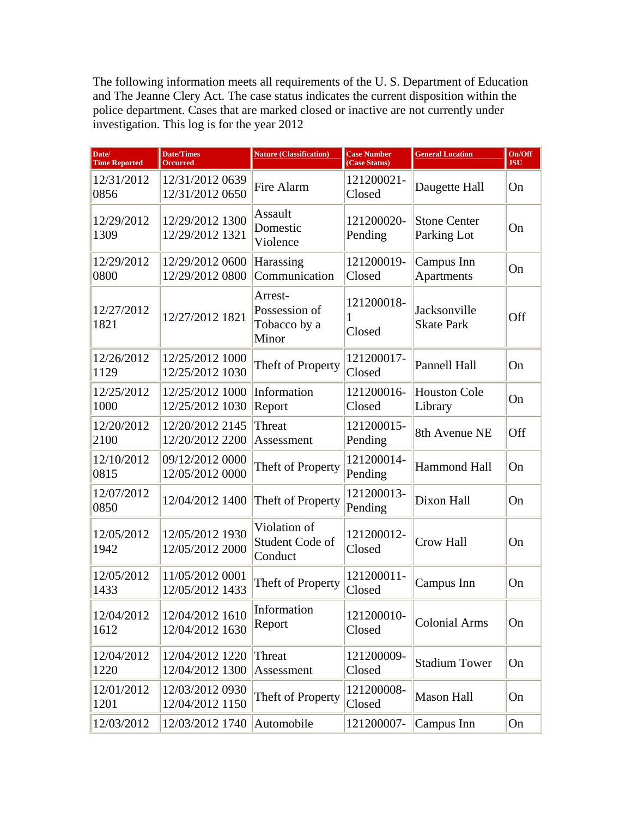The following information meets all requirements of the U. S. Department of Education and The Jeanne Clery Act. The case status indicates the current disposition within the police department. Cases that are marked closed or inactive are not currently under investigation. This log is for the year 2012

| Date/<br><b>Time Reported</b> | <b>Date/Times</b><br><b>Occurred</b> | <b>Nature (Classification)</b>                    | <b>Case Number</b><br>(Case Status) | <b>General Location</b>            | On/Off<br><b>JSU</b> |
|-------------------------------|--------------------------------------|---------------------------------------------------|-------------------------------------|------------------------------------|----------------------|
| 12/31/2012<br>0856            | 12/31/2012 0639<br>12/31/2012 0650   | Fire Alarm                                        | 121200021-<br>Closed                | Daugette Hall                      | On                   |
| 12/29/2012<br>1309            | 12/29/2012 1300<br>12/29/2012 1321   | Assault<br>Domestic<br>Violence                   | 121200020-<br>Pending               | <b>Stone Center</b><br>Parking Lot | On                   |
| 12/29/2012<br>0800            | 12/29/2012 0600<br>12/29/2012 0800   | Harassing<br>Communication                        | 121200019-<br>Closed                | Campus Inn<br>Apartments           | On                   |
| 12/27/2012<br>1821            | 12/27/2012 1821                      | Arrest-<br>Possession of<br>Tobacco by a<br>Minor | 121200018-<br>1<br>Closed           | Jacksonville<br><b>Skate Park</b>  | <b>Off</b>           |
| 12/26/2012<br>1129            | 12/25/2012 1000<br>12/25/2012 1030   | Theft of Property                                 | 121200017-<br>Closed                | Pannell Hall                       | On                   |
| 12/25/2012<br>1000            | 12/25/2012 1000<br>12/25/2012 1030   | Information<br>Report                             | 121200016-<br>Closed                | <b>Houston Cole</b><br>Library     | On                   |
| 12/20/2012<br>2100            | 12/20/2012 2145<br>12/20/2012 2200   | Threat<br>Assessment                              | 121200015-<br>Pending               | 8th Avenue NE                      | Off                  |
| 12/10/2012<br>0815            | 09/12/2012 0000<br>12/05/2012 0000   | Theft of Property                                 | 121200014-<br>Pending               | <b>Hammond Hall</b>                | On                   |
| 12/07/2012<br>0850            | 12/04/2012 1400                      | Theft of Property                                 | 121200013-<br>Pending               | Dixon Hall                         | On                   |
| 12/05/2012<br>1942            | 12/05/2012 1930<br>12/05/2012 2000   | Violation of<br>Student Code of<br>Conduct        | 121200012-<br>Closed                | <b>Crow Hall</b>                   | On                   |
| 12/05/2012<br>1433            | 11/05/2012 0001<br>12/05/2012 1433   | Theft of Property                                 | 121200011-<br>Closed                | Campus Inn                         | On                   |
| 12/04/2012<br>1612            | 12/04/2012 1610<br>12/04/2012 1630   | Information<br>Report                             | 121200010-<br>Closed                | <b>Colonial Arms</b>               | On                   |
| 12/04/2012<br>1220            | 12/04/2012 1220<br>12/04/2012 1300   | Threat<br>Assessment                              | 121200009-<br>Closed                | <b>Stadium Tower</b>               | On                   |
| 12/01/2012<br>1201            | 12/03/2012 0930<br>12/04/2012 1150   | Theft of Property                                 | 121200008-<br>Closed                | <b>Mason Hall</b>                  | On                   |
| 12/03/2012                    | 12/03/2012 1740                      | Automobile                                        | 121200007-                          | Campus Inn                         | On                   |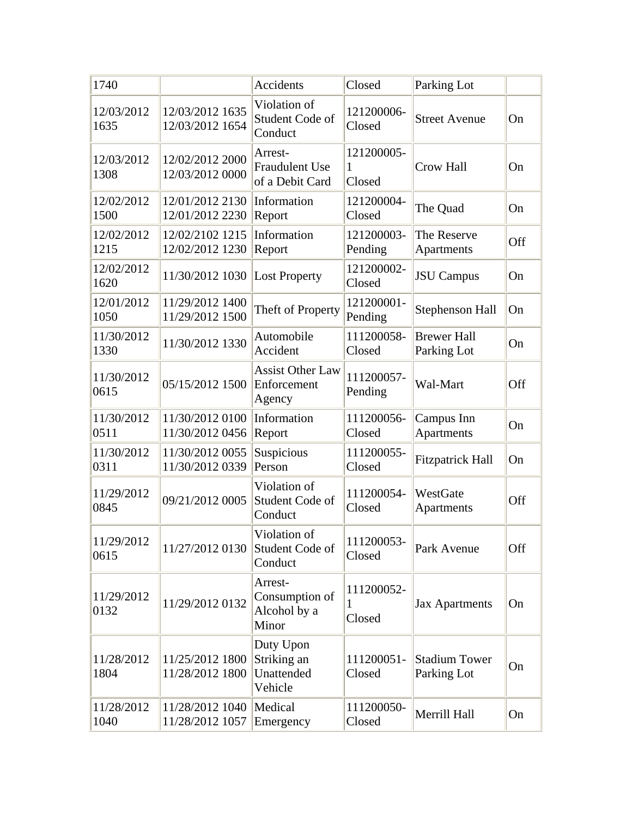| 1740               |                                              | Accidents                                           | Closed                    | Parking Lot                         |     |
|--------------------|----------------------------------------------|-----------------------------------------------------|---------------------------|-------------------------------------|-----|
| 12/03/2012<br>1635 | 12/03/2012 1635<br>12/03/2012 1654           | Violation of<br>Student Code of<br>Conduct          | 121200006-<br>Closed      | <b>Street Avenue</b>                | On  |
| 12/03/2012<br>1308 | 12/02/2012 2000<br>12/03/2012 0000           | Arrest-<br><b>Fraudulent Use</b><br>of a Debit Card | 121200005-<br>1<br>Closed | <b>Crow Hall</b>                    | On  |
| 12/02/2012<br>1500 | 12/01/2012 2130<br>12/01/2012 2230           | Information<br>Report                               | 121200004-<br>Closed      | The Quad                            | On  |
| 12/02/2012<br>1215 | 12/02/2102 1215<br>12/02/2012 1230           | Information<br>Report                               | 121200003-<br>Pending     | The Reserve<br>Apartments           | Off |
| 12/02/2012<br>1620 | 11/30/2012 1030                              | <b>Lost Property</b>                                | 121200002-<br>Closed      | <b>JSU</b> Campus                   | On  |
| 12/01/2012<br>1050 | 11/29/2012 1400<br>11/29/2012 1500           | Theft of Property                                   | 121200001-<br>Pending     | <b>Stephenson Hall</b>              | On  |
| 11/30/2012<br>1330 | 11/30/2012 1330                              | Automobile<br>Accident                              | 111200058-<br>Closed      | <b>Brewer Hall</b><br>Parking Lot   | On  |
| 11/30/2012<br>0615 | 05/15/2012 1500                              | <b>Assist Other Law</b><br>Enforcement<br>Agency    | 111200057-<br>Pending     | Wal-Mart                            | Off |
| 11/30/2012<br>0511 | 11/30/2012 0100<br>11/30/2012 0456           | Information<br>Report                               | 111200056-<br>Closed      | Campus Inn<br>Apartments            | On  |
| 11/30/2012<br>0311 | 11/30/2012 0055<br>11/30/2012 0339           | Suspicious<br>Person                                | 111200055-<br>Closed      | <b>Fitzpatrick Hall</b>             | On  |
| 11/29/2012<br>0845 | 09/21/2012 0005                              | Violation of<br>Student Code of<br>Conduct          | 111200054-<br>Closed      | WestGate<br>Apartments              | Off |
| 11/29/2012<br>0615 | 11/27/2012 0130 Student Code of              | Violation of<br>Conduct                             | 111200053-<br>Closed      | Park Avenue                         | Off |
| 11/29/2012<br>0132 | 11/29/2012 0132                              | Arrest-<br>Consumption of<br>Alcohol by a<br>Minor  | 111200052-<br>1<br>Closed | <b>Jax Apartments</b>               | On  |
| 11/28/2012<br>1804 | 11/25/2012 1800<br>11/28/2012 1800           | Duty Upon<br>Striking an<br>Unattended<br>Vehicle   | 111200051-<br>Closed      | <b>Stadium Tower</b><br>Parking Lot | On  |
| 11/28/2012<br>1040 | 11/28/2012 1040   Medical<br>11/28/2012 1057 | Emergency                                           | 111200050-<br>Closed      | Merrill Hall                        | On  |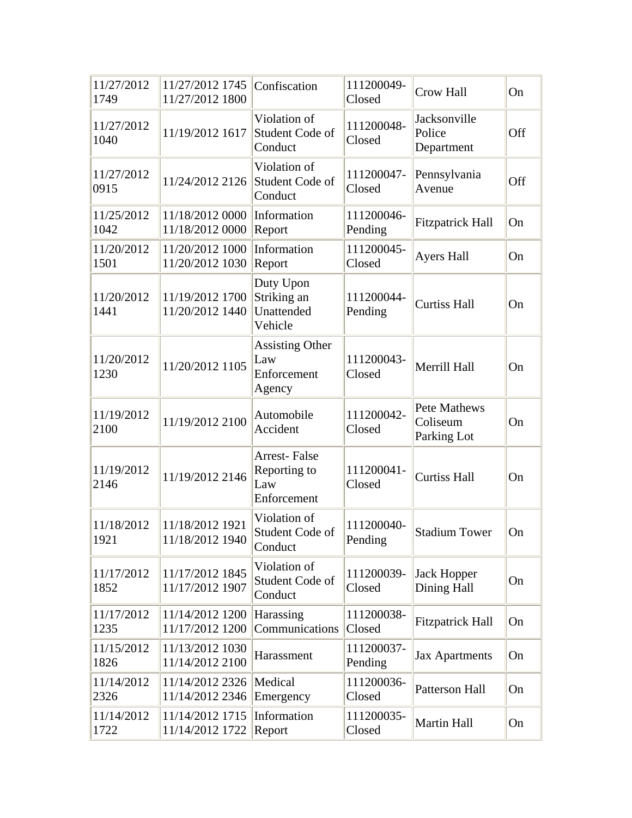| 11/27/2012<br>1749 | 11/27/2012 1745<br>11/27/2012 1800 | Confiscation                                              | 111200049-<br>Closed  | Crow Hall                               | On  |
|--------------------|------------------------------------|-----------------------------------------------------------|-----------------------|-----------------------------------------|-----|
| 11/27/2012<br>1040 | 11/19/2012 1617                    | Violation of<br>Student Code of<br>Conduct                | 111200048-<br>Closed  | Jacksonville<br>Police<br>Department    | Off |
| 11/27/2012<br>0915 | 11/24/2012 2126 Student Code of    | Violation of<br>Conduct                                   | 111200047-<br>Closed  | Pennsylvania<br>Avenue                  | Off |
| 11/25/2012<br>1042 | 11/18/2012 0000<br>11/18/2012 0000 | Information<br>Report                                     | 111200046-<br>Pending | <b>Fitzpatrick Hall</b>                 | On  |
| 11/20/2012<br>1501 | 11/20/2012 1000<br>11/20/2012 1030 | Information<br>Report                                     | 111200045-<br>Closed  | <b>Ayers Hall</b>                       | On  |
| 11/20/2012<br>1441 | 11/19/2012 1700<br>11/20/2012 1440 | Duty Upon<br>Striking an<br>Unattended<br>Vehicle         | 111200044-<br>Pending | <b>Curtiss Hall</b>                     | On  |
| 11/20/2012<br>1230 | 11/20/2012 1105                    | <b>Assisting Other</b><br>Law<br>Enforcement<br>Agency    | 111200043-<br>Closed  | Merrill Hall                            | On  |
| 11/19/2012<br>2100 | 11/19/2012 2100                    | Automobile<br>Accident                                    | 111200042-<br>Closed  | Pete Mathews<br>Coliseum<br>Parking Lot | On  |
| 11/19/2012<br>2146 | 11/19/2012 2146                    | <b>Arrest-False</b><br>Reporting to<br>Law<br>Enforcement | 111200041-<br>Closed  | <b>Curtiss Hall</b>                     | On  |
| 11/18/2012<br>1921 | 11/18/2012 1921<br>11/18/2012 1940 | Violation of<br>Student Code of<br>Conduct                | 111200040-<br>Pending | <b>Stadium Tower</b>                    | On  |
| 11/17/2012<br>1852 | 11/17/2012 1845<br>11/17/2012 1907 | Violation of<br>Student Code of<br>Conduct                | 111200039-<br>Closed  | <b>Jack Hopper</b><br>Dining Hall       | On  |
| 11/17/2012<br>1235 | 11/14/2012 1200<br>11/17/2012 1200 | Harassing<br>Communications                               | 111200038-<br>Closed  | <b>Fitzpatrick Hall</b>                 | On  |
| 11/15/2012<br>1826 | 11/13/2012 1030<br>11/14/2012 2100 | Harassment                                                | 111200037-<br>Pending | <b>Jax Apartments</b>                   | On  |
| 11/14/2012<br>2326 | 11/14/2012 2326<br>11/14/2012 2346 | Medical<br>Emergency                                      | 111200036-<br>Closed  | <b>Patterson Hall</b>                   | On  |
| 11/14/2012<br>1722 | 11/14/2012 1715<br>11/14/2012 1722 | Information<br>Report                                     | 111200035-<br>Closed  | <b>Martin Hall</b>                      | On  |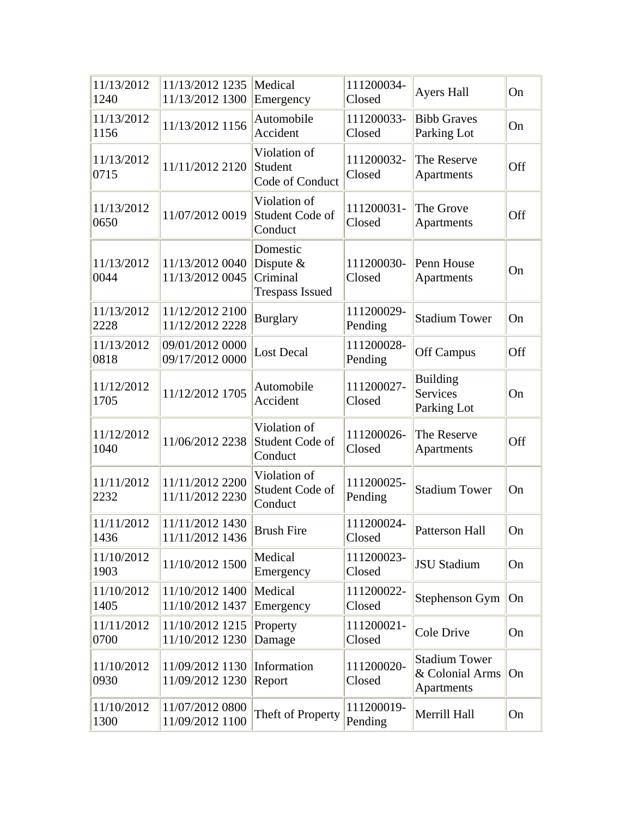| 11/13/2012<br>1240 | 11/13/2012 1235<br>11/13/2012 1300 | Medical<br>Emergency                                          | 111200034-<br>Closed  | <b>Ayers Hall</b>                                     | On  |
|--------------------|------------------------------------|---------------------------------------------------------------|-----------------------|-------------------------------------------------------|-----|
| 11/13/2012<br>1156 | 11/13/2012 1156                    | Automobile<br>Accident                                        | 111200033-<br>Closed  | <b>Bibb Graves</b><br>Parking Lot                     | On  |
| 11/13/2012<br>0715 | 11/11/2012 2120                    | Violation of<br>Student<br>Code of Conduct                    | 111200032-<br>Closed  | The Reserve<br>Apartments                             | Off |
| 11/13/2012<br>0650 | 11/07/2012 0019                    | Violation of<br>Student Code of<br>Conduct                    | 111200031-<br>Closed  | The Grove<br><b>Apartments</b>                        | Off |
| 11/13/2012<br>0044 | 11/13/2012 0040<br>11/13/2012 0045 | Domestic<br>Dispute $&$<br>Criminal<br><b>Trespass Issued</b> | 111200030-<br>Closed  | Penn House<br>Apartments                              | On  |
| 11/13/2012<br>2228 | 11/12/2012 2100<br>11/12/2012 2228 | <b>Burglary</b>                                               | 111200029-<br>Pending | <b>Stadium Tower</b>                                  | On  |
| 11/13/2012<br>0818 | 09/01/2012 0000<br>09/17/2012 0000 | <b>Lost Decal</b>                                             | 111200028-<br>Pending | <b>Off Campus</b>                                     | Off |
| 11/12/2012<br>1705 | 11/12/2012 1705                    | Automobile<br>Accident                                        | 111200027-<br>Closed  | <b>Building</b><br><b>Services</b><br>Parking Lot     | On  |
| 11/12/2012<br>1040 | 11/06/2012 2238                    | Violation of<br>Student Code of<br>Conduct                    | 111200026-<br>Closed  | The Reserve<br>Apartments                             | Off |
| 11/11/2012<br>2232 | 11/11/2012 2200<br>11/11/2012 2230 | Violation of<br>Student Code of<br>Conduct                    | 111200025-<br>Pending | <b>Stadium Tower</b>                                  | On  |
| 11/11/2012<br>1436 | 11/11/2012 1430<br>11/11/2012 1436 | <b>Brush Fire</b>                                             | 111200024-<br>Closed  | <b>Patterson Hall</b>                                 | On  |
| 11/10/2012<br>1903 | 11/10/2012 1500                    | Medical<br>Emergency                                          | 111200023-<br>Closed  | <b>JSU Stadium</b>                                    | On  |
| 11/10/2012<br>1405 | 11/10/2012 1400<br>11/10/2012 1437 | Medical<br>Emergency                                          | 111200022-<br>Closed  | Stephenson Gym                                        | On  |
| 11/11/2012<br>0700 | 11/10/2012 1215<br>11/10/2012 1230 | Property<br>Damage                                            | 111200021-<br>Closed  | Cole Drive                                            | On  |
| 11/10/2012<br>0930 | 11/09/2012 1130<br>11/09/2012 1230 | Information<br>Report                                         | 111200020-<br>Closed  | <b>Stadium Tower</b><br>& Colonial Arms<br>Apartments | On  |
| 11/10/2012<br>1300 | 11/07/2012 0800<br>11/09/2012 1100 | Theft of Property                                             | 111200019-<br>Pending | Merrill Hall                                          | On  |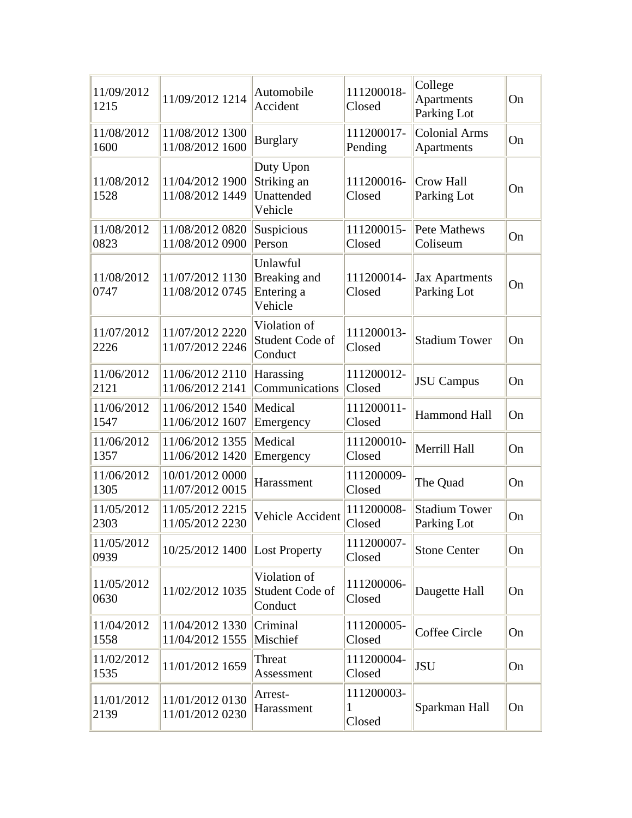| 11/09/2012<br>1215 | 11/09/2012 1214                    | Automobile<br>Accident                            | 111200018-<br>Closed      | College<br><b>Apartments</b><br>Parking Lot | On |
|--------------------|------------------------------------|---------------------------------------------------|---------------------------|---------------------------------------------|----|
| 11/08/2012<br>1600 | 11/08/2012 1300<br>11/08/2012 1600 | <b>Burglary</b>                                   | 111200017-<br>Pending     | <b>Colonial Arms</b><br>Apartments          | On |
| 11/08/2012<br>1528 | 11/04/2012 1900<br>11/08/2012 1449 | Duty Upon<br>Striking an<br>Unattended<br>Vehicle | 111200016-<br>Closed      | <b>Crow Hall</b><br>Parking Lot             | On |
| 11/08/2012<br>0823 | 11/08/2012 0820<br>11/08/2012 0900 | Suspicious<br>Person                              | 111200015-<br>Closed      | Pete Mathews<br>Coliseum                    | On |
| 11/08/2012<br>0747 | 11/07/2012 1130<br>11/08/2012 0745 | Unlawful<br>Breaking and<br>Entering a<br>Vehicle | 111200014-<br>Closed      | <b>Jax Apartments</b><br>Parking Lot        | On |
| 11/07/2012<br>2226 | 11/07/2012 2220<br>11/07/2012 2246 | Violation of<br><b>Student Code of</b><br>Conduct | 111200013-<br>Closed      | <b>Stadium Tower</b>                        | On |
| 11/06/2012<br>2121 | 11/06/2012 2110<br>11/06/2012 2141 | Harassing<br>Communications                       | 111200012-<br>Closed      | <b>JSU</b> Campus                           | On |
| 11/06/2012<br>1547 | 11/06/2012 1540<br>11/06/2012 1607 | Medical<br>Emergency                              | 111200011-<br>Closed      | <b>Hammond Hall</b>                         | On |
| 11/06/2012<br>1357 | 11/06/2012 1355<br>11/06/2012 1420 | Medical<br>Emergency                              | 111200010-<br>Closed      | Merrill Hall                                | On |
| 11/06/2012<br>1305 | 10/01/2012 0000<br>11/07/2012 0015 | Harassment                                        | 111200009-<br>Closed      | The Quad                                    | On |
| 11/05/2012<br>2303 | 11/05/2012 2215<br>11/05/2012 2230 | Vehicle Accident                                  | 111200008-<br>Closed      | <b>Stadium Tower</b><br>Parking Lot         | On |
| 11/05/2012<br>0939 | 10/25/2012 1400 Lost Property      |                                                   | 111200007-<br>Closed      | <b>Stone Center</b>                         | On |
| 11/05/2012<br>0630 | 11/02/2012 1035                    | Violation of<br>Student Code of<br>Conduct        | 111200006-<br>Closed      | Daugette Hall                               | On |
| 11/04/2012<br>1558 | 11/04/2012 1330<br>11/04/2012 1555 | Criminal<br>Mischief                              | 111200005-<br>Closed      | Coffee Circle                               | On |
| 11/02/2012<br>1535 | 11/01/2012 1659                    | Threat<br>Assessment                              | 111200004-<br>Closed      | <b>JSU</b>                                  | On |
| 11/01/2012<br>2139 | 11/01/2012 0130<br>11/01/2012 0230 | Arrest-<br>Harassment                             | 111200003-<br>1<br>Closed | Sparkman Hall                               | On |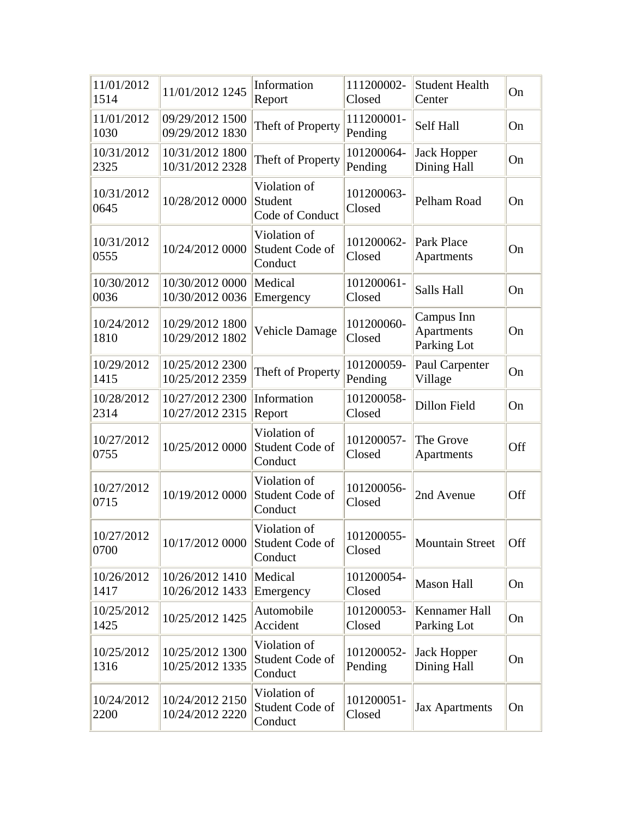| 11/01/2012<br>1514 | 11/01/2012 1245                    | Information<br>Report                      | 111200002-<br>Closed  | <b>Student Health</b><br>Center                | On  |
|--------------------|------------------------------------|--------------------------------------------|-----------------------|------------------------------------------------|-----|
| 11/01/2012<br>1030 | 09/29/2012 1500<br>09/29/2012 1830 | Theft of Property                          | 111200001-<br>Pending | Self Hall                                      | On  |
| 10/31/2012<br>2325 | 10/31/2012 1800<br>10/31/2012 2328 | Theft of Property                          | 101200064-<br>Pending | <b>Jack Hopper</b><br>Dining Hall              | On  |
| 10/31/2012<br>0645 | 10/28/2012 0000                    | Violation of<br>Student<br>Code of Conduct | 101200063-<br>Closed  | Pelham Road                                    | On  |
| 10/31/2012<br>0555 | 10/24/2012 0000                    | Violation of<br>Student Code of<br>Conduct | 101200062-<br>Closed  | Park Place<br>Apartments                       | On  |
| 10/30/2012<br>0036 | 10/30/2012 0000<br>10/30/2012 0036 | Medical<br>Emergency                       | 101200061-<br>Closed  | Salls Hall                                     | On  |
| 10/24/2012<br>1810 | 10/29/2012 1800<br>10/29/2012 1802 | Vehicle Damage                             | 101200060-<br>Closed  | Campus Inn<br><b>Apartments</b><br>Parking Lot | On  |
| 10/29/2012<br>1415 | 10/25/2012 2300<br>10/25/2012 2359 | Theft of Property                          | 101200059-<br>Pending | Paul Carpenter<br>Village                      | On  |
| 10/28/2012<br>2314 | 10/27/2012 2300<br>10/27/2012 2315 | Information<br>Report                      | 101200058-<br>Closed  | Dillon Field                                   | On  |
| 10/27/2012<br>0755 | 10/25/2012 0000                    | Violation of<br>Student Code of<br>Conduct | 101200057-<br>Closed  | The Grove<br>Apartments                        | Off |
| 10/27/2012<br>0715 | 10/19/2012 0000                    | Violation of<br>Student Code of<br>Conduct | 101200056-<br>Closed  | 2nd Avenue                                     | Off |
| 10/27/2012<br>0700 | 10/17/2012 0000 Student Code of    | Violation of<br>Conduct                    | 101200055-<br>Closed  | <b>Mountain Street</b>                         | Off |
| 10/26/2012<br>1417 | 10/26/2012 1410<br>10/26/2012 1433 | Medical<br>Emergency                       | 101200054-<br>Closed  | <b>Mason Hall</b>                              | On  |
| 10/25/2012<br>1425 | 10/25/2012 1425                    | Automobile<br>Accident                     | 101200053-<br>Closed  | Kennamer Hall<br>Parking Lot                   | On  |
| 10/25/2012<br>1316 | 10/25/2012 1300<br>10/25/2012 1335 | Violation of<br>Student Code of<br>Conduct | 101200052-<br>Pending | <b>Jack Hopper</b><br>Dining Hall              | On  |
| 10/24/2012<br>2200 | 10/24/2012 2150<br>10/24/2012 2220 | Violation of<br>Student Code of<br>Conduct | 101200051-<br>Closed  | <b>Jax Apartments</b>                          | On  |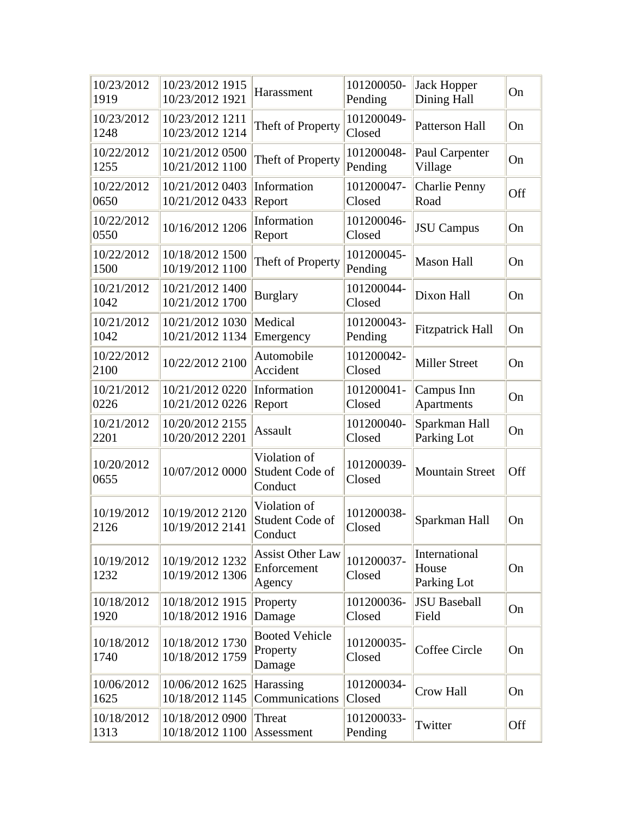| 10/23/2012<br>1919 | 10/23/2012 1915<br>10/23/2012 1921 | Harassment                                       | 101200050-<br>Pending | <b>Jack Hopper</b><br>Dining Hall     | On  |
|--------------------|------------------------------------|--------------------------------------------------|-----------------------|---------------------------------------|-----|
| 10/23/2012<br>1248 | 10/23/2012 1211<br>10/23/2012 1214 | Theft of Property                                | 101200049-<br>Closed  | <b>Patterson Hall</b>                 | On  |
| 10/22/2012<br>1255 | 10/21/2012 0500<br>10/21/2012 1100 | Theft of Property                                | 101200048-<br>Pending | Paul Carpenter<br>Village             | On  |
| 10/22/2012<br>0650 | 10/21/2012 0403<br>10/21/2012 0433 | Information<br>Report                            | 101200047-<br>Closed  | <b>Charlie Penny</b><br>Road          | Off |
| 10/22/2012<br>0550 | 10/16/2012 1206                    | Information<br>Report                            | 101200046-<br>Closed  | <b>JSU</b> Campus                     | On  |
| 10/22/2012<br>1500 | 10/18/2012 1500<br>10/19/2012 1100 | Theft of Property                                | 101200045-<br>Pending | <b>Mason Hall</b>                     | On  |
| 10/21/2012<br>1042 | 10/21/2012 1400<br>10/21/2012 1700 | <b>Burglary</b>                                  | 101200044-<br>Closed  | Dixon Hall                            | On  |
| 10/21/2012<br>1042 | 10/21/2012 1030<br>10/21/2012 1134 | Medical<br>Emergency                             | 101200043-<br>Pending | <b>Fitzpatrick Hall</b>               | On  |
| 10/22/2012<br>2100 | 10/22/2012 2100                    | Automobile<br>Accident                           | 101200042-<br>Closed  | <b>Miller Street</b>                  | On  |
| 10/21/2012<br>0226 | 10/21/2012 0220<br>10/21/2012 0226 | Information<br>Report                            | 101200041-<br>Closed  | Campus Inn<br><b>Apartments</b>       | On  |
| 10/21/2012<br>2201 | 10/20/2012 2155<br>10/20/2012 2201 | Assault                                          | 101200040-<br>Closed  | Sparkman Hall<br>Parking Lot          | On  |
| 10/20/2012<br>0655 | 10/07/2012 0000                    | Violation of<br>Student Code of<br>Conduct       | 101200039-<br>Closed  | <b>Mountain Street</b>                | Off |
| 10/19/2012<br>2126 | 10/19/2012 2120<br>10/19/2012 2141 | Violation of<br>Student Code of<br>Conduct       | 101200038-<br>Closed  | Sparkman Hall                         | On  |
| 10/19/2012<br>1232 | 10/19/2012 1232<br>10/19/2012 1306 | <b>Assist Other Law</b><br>Enforcement<br>Agency | 101200037-<br>Closed  | International<br>House<br>Parking Lot | On  |
| 10/18/2012<br>1920 | 10/18/2012 1915<br>10/18/2012 1916 | Property<br>Damage                               | 101200036-<br>Closed  | <b>JSU Baseball</b><br>Field          | On  |
| 10/18/2012<br>1740 | 10/18/2012 1730<br>10/18/2012 1759 | <b>Booted Vehicle</b><br>Property<br>Damage      | 101200035-<br>Closed  | Coffee Circle                         | On  |
| 10/06/2012<br>1625 | 10/06/2012 1625<br>10/18/2012 1145 | Harassing<br>Communications                      | 101200034-<br>Closed  | Crow Hall                             | On  |
| 10/18/2012<br>1313 | 10/18/2012 0900<br>10/18/2012 1100 | Threat<br>Assessment                             | 101200033-<br>Pending | Twitter                               | Off |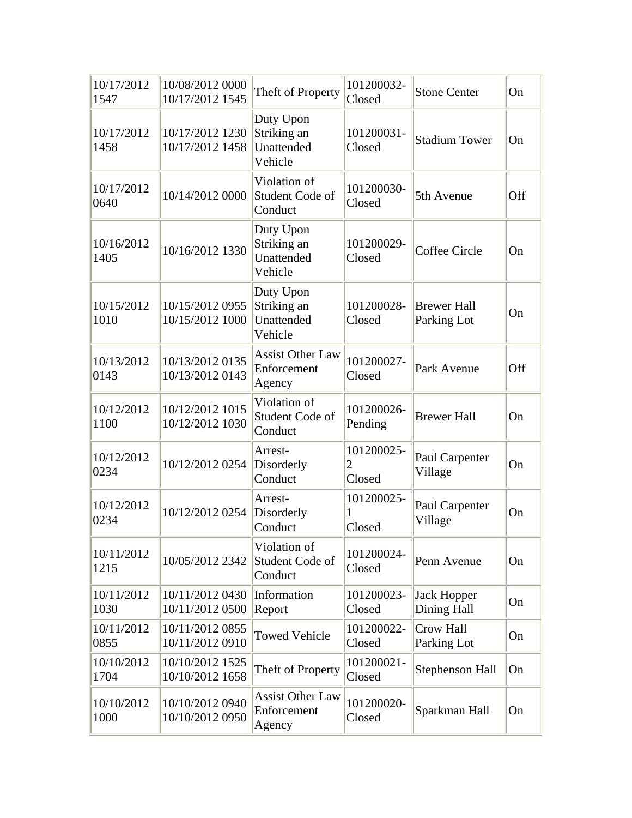| 10/17/2012<br>1547 | 10/08/2012 0000<br>10/17/2012 1545 | Theft of Property                                 | 101200032-<br>Closed                   | <b>Stone Center</b>               | On  |
|--------------------|------------------------------------|---------------------------------------------------|----------------------------------------|-----------------------------------|-----|
| 10/17/2012<br>1458 | 10/17/2012 1230<br>10/17/2012 1458 | Duty Upon<br>Striking an<br>Unattended<br>Vehicle | 101200031-<br>Closed                   | <b>Stadium Tower</b>              | On  |
| 10/17/2012<br>0640 | 10/14/2012 0000                    | Violation of<br>Student Code of<br>Conduct        | 101200030-<br>Closed                   | 5th Avenue                        | Off |
| 10/16/2012<br>1405 | 10/16/2012 1330                    | Duty Upon<br>Striking an<br>Unattended<br>Vehicle | 101200029-<br>Closed                   | <b>Coffee Circle</b>              | On  |
| 10/15/2012<br>1010 | 10/15/2012 0955<br>10/15/2012 1000 | Duty Upon<br>Striking an<br>Unattended<br>Vehicle | 101200028-<br>Closed                   | <b>Brewer Hall</b><br>Parking Lot | On  |
| 10/13/2012<br>0143 | 10/13/2012 0135<br>10/13/2012 0143 | <b>Assist Other Law</b><br>Enforcement<br>Agency  | 101200027-<br>Closed                   | Park Avenue                       | Off |
| 10/12/2012<br>1100 | 10/12/2012 1015<br>10/12/2012 1030 | Violation of<br>Student Code of<br>Conduct        | 101200026-<br>Pending                  | <b>Brewer Hall</b>                | On  |
| 10/12/2012<br>0234 | 10/12/2012 0254                    | Arrest-<br>Disorderly<br>Conduct                  | 101200025-<br>$\overline{2}$<br>Closed | Paul Carpenter<br>Village         | On  |
| 10/12/2012<br>0234 | 10/12/2012 0254                    | Arrest-<br>Disorderly<br>Conduct                  | 101200025-<br>Closed                   | Paul Carpenter<br>Village         | On  |
| 10/11/2012<br>1215 | 10/05/2012 2342                    | Violation of<br>Student Code of<br>Conduct        | 101200024-<br>Closed                   | Penn Avenue                       | On  |
| 10/11/2012<br>1030 | 10/11/2012 0430<br>10/11/2012 0500 | Information<br>Report                             | 101200023-<br>Closed                   | <b>Jack Hopper</b><br>Dining Hall | On  |
| 10/11/2012<br>0855 | 10/11/2012 0855<br>10/11/2012 0910 | <b>Towed Vehicle</b>                              | 101200022-<br>Closed                   | Crow Hall<br>Parking Lot          | On  |
| 10/10/2012<br>1704 | 10/10/2012 1525<br>10/10/2012 1658 | Theft of Property                                 | 101200021-<br>Closed                   | Stephenson Hall                   | On  |
| 10/10/2012<br>1000 | 10/10/2012 0940<br>10/10/2012 0950 | <b>Assist Other Law</b><br>Enforcement<br>Agency  | 101200020-<br>Closed                   | Sparkman Hall                     | On  |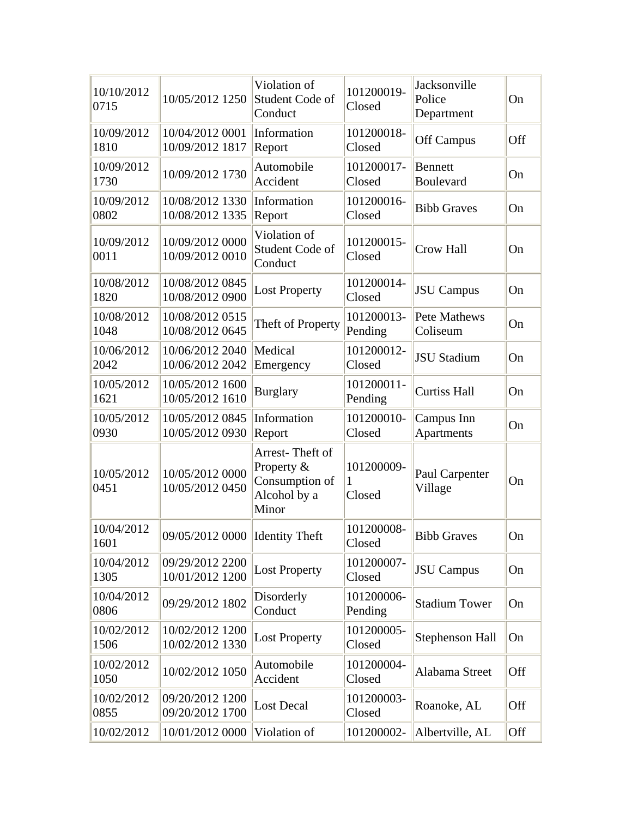| 10/10/2012<br>0715 | 10/05/2012 1250                    | Violation of<br>Student Code of<br>Conduct                               | 101200019-<br>Closed      | Jacksonville<br>Police<br>Department | On  |
|--------------------|------------------------------------|--------------------------------------------------------------------------|---------------------------|--------------------------------------|-----|
| 10/09/2012<br>1810 | 10/04/2012 0001<br>10/09/2012 1817 | Information<br>Report                                                    | 101200018-<br>Closed      | Off Campus                           | Off |
| 10/09/2012<br>1730 | 10/09/2012 1730                    | Automobile<br>Accident                                                   | 101200017-<br>Closed      | <b>Bennett</b><br><b>Boulevard</b>   | On  |
| 10/09/2012<br>0802 | 10/08/2012 1330<br>10/08/2012 1335 | Information<br>Report                                                    | 101200016-<br>Closed      | <b>Bibb Graves</b>                   | On  |
| 10/09/2012<br>0011 | 10/09/2012 0000<br>10/09/2012 0010 | Violation of<br>Student Code of<br>Conduct                               | 101200015-<br>Closed      | <b>Crow Hall</b>                     | On  |
| 10/08/2012<br>1820 | 10/08/2012 0845<br>10/08/2012 0900 | <b>Lost Property</b>                                                     | 101200014-<br>Closed      | <b>JSU</b> Campus                    | On  |
| 10/08/2012<br>1048 | 10/08/2012 0515<br>10/08/2012 0645 | Theft of Property                                                        | 101200013-<br>Pending     | <b>Pete Mathews</b><br>Coliseum      | On  |
| 10/06/2012<br>2042 | 10/06/2012 2040<br>10/06/2012 2042 | Medical<br>Emergency                                                     | 101200012-<br>Closed      | <b>JSU Stadium</b>                   | On  |
| 10/05/2012<br>1621 | 10/05/2012 1600<br>10/05/2012 1610 | <b>Burglary</b>                                                          | 101200011-<br>Pending     | <b>Curtiss Hall</b>                  | On  |
| 10/05/2012<br>0930 | 10/05/2012 0845<br>10/05/2012 0930 | Information<br>Report                                                    | 101200010-<br>Closed      | Campus Inn<br>Apartments             | On  |
| 10/05/2012<br>0451 | 10/05/2012 0000<br>10/05/2012 0450 | Arrest-Theft of<br>Property &<br>Consumption of<br>Alcohol by a<br>Minor | 101200009-<br>1<br>Closed | Paul Carpenter<br>Village            | On  |
| 10/04/2012<br>1601 | 09/05/2012 0000 Identity Theft     |                                                                          | 101200008-<br>Closed      | <b>Bibb Graves</b>                   | On  |
| 10/04/2012<br>1305 | 09/29/2012 2200<br>10/01/2012 1200 | <b>Lost Property</b>                                                     | 101200007-<br>Closed      | <b>JSU</b> Campus                    | On  |
| 10/04/2012<br>0806 | 09/29/2012 1802                    | Disorderly<br>Conduct                                                    | 101200006-<br>Pending     | <b>Stadium Tower</b>                 | On  |
| 10/02/2012<br>1506 | 10/02/2012 1200<br>10/02/2012 1330 | <b>Lost Property</b>                                                     | 101200005-<br>Closed      | Stephenson Hall                      | On  |
| 10/02/2012<br>1050 | 10/02/2012 1050                    | Automobile<br>Accident                                                   | 101200004-<br>Closed      | Alabama Street                       | Off |
| 10/02/2012<br>0855 | 09/20/2012 1200<br>09/20/2012 1700 | Lost Decal                                                               | 101200003-<br>Closed      | Roanoke, AL                          | Off |
| 10/02/2012         | 10/01/2012 0000                    | Violation of                                                             | 101200002-                | Albertville, AL                      | Off |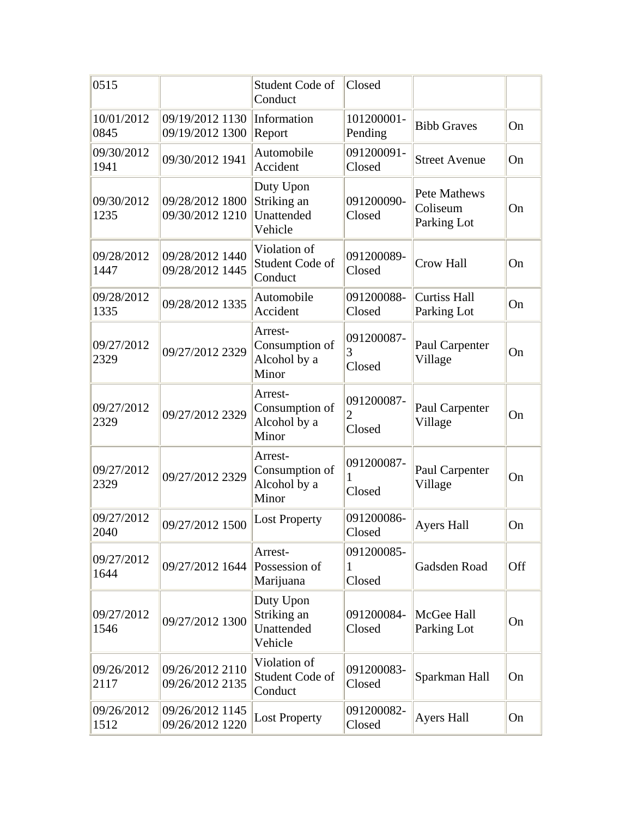| 0515               |                                    | Student Code of<br>Conduct                         | Closed                    |                                         |     |
|--------------------|------------------------------------|----------------------------------------------------|---------------------------|-----------------------------------------|-----|
| 10/01/2012<br>0845 | 09/19/2012 1130<br>09/19/2012 1300 | Information<br>Report                              | 101200001-<br>Pending     | <b>Bibb Graves</b>                      | On  |
| 09/30/2012<br>1941 | 09/30/2012 1941                    | Automobile<br>Accident                             | 091200091-<br>Closed      | <b>Street Avenue</b>                    | On  |
| 09/30/2012<br>1235 | 09/28/2012 1800<br>09/30/2012 1210 | Duty Upon<br>Striking an<br>Unattended<br>Vehicle  | 091200090-<br>Closed      | Pete Mathews<br>Coliseum<br>Parking Lot | On  |
| 09/28/2012<br>1447 | 09/28/2012 1440<br>09/28/2012 1445 | Violation of<br>Student Code of<br>Conduct         | 091200089-<br>Closed      | Crow Hall                               | On  |
| 09/28/2012<br>1335 | 09/28/2012 1335                    | Automobile<br>Accident                             | 091200088-<br>Closed      | <b>Curtiss Hall</b><br>Parking Lot      | On  |
| 09/27/2012<br>2329 | 09/27/2012 2329                    | Arrest-<br>Consumption of<br>Alcohol by a<br>Minor | 091200087-<br>3<br>Closed | Paul Carpenter<br>Village               | On  |
| 09/27/2012<br>2329 | 09/27/2012 2329                    | Arrest-<br>Consumption of<br>Alcohol by a<br>Minor | 091200087-<br>2<br>Closed | Paul Carpenter<br>Village               | On  |
| 09/27/2012<br>2329 | 09/27/2012 2329                    | Arrest-<br>Consumption of<br>Alcohol by a<br>Minor | 091200087-<br>Closed      | Paul Carpenter<br>Village               | On  |
| 09/27/2012<br>2040 | 09/27/2012 1500                    | <b>Lost Property</b>                               | 091200086-<br>Closed      | <b>Ayers Hall</b>                       | On  |
| 09/27/2012<br>1644 | 09/27/2012 1644                    | Arrest-<br>Possession of<br>Marijuana              | 091200085-<br>1<br>Closed | Gadsden Road                            | Off |
| 09/27/2012<br>1546 | 09/27/2012 1300                    | Duty Upon<br>Striking an<br>Unattended<br>Vehicle  | 091200084-<br>Closed      | McGee Hall<br>Parking Lot               | On  |
| 09/26/2012<br>2117 | 09/26/2012 2110<br>09/26/2012 2135 | Violation of<br>Student Code of<br>Conduct         | 091200083-<br>Closed      | Sparkman Hall                           | On  |
| 09/26/2012<br>1512 | 09/26/2012 1145<br>09/26/2012 1220 | <b>Lost Property</b>                               | 091200082-<br>Closed      | <b>Ayers Hall</b>                       | On  |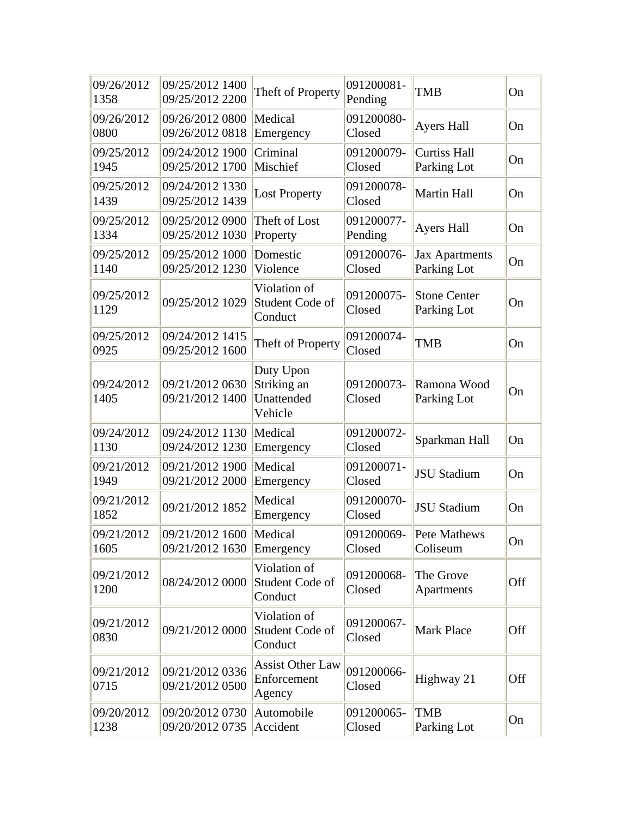| 09/26/2012<br>1358 | 09/25/2012 1400<br>09/25/2012 2200 | Theft of Property                                 | 091200081-<br>Pending | <b>TMB</b>                           | On        |
|--------------------|------------------------------------|---------------------------------------------------|-----------------------|--------------------------------------|-----------|
| 09/26/2012<br>0800 | 09/26/2012 0800<br>09/26/2012 0818 | Medical<br>Emergency                              | 091200080-<br>Closed  | <b>Ayers Hall</b>                    | On        |
| 09/25/2012<br>1945 | 09/24/2012 1900<br>09/25/2012 1700 | Criminal<br>Mischief                              | 091200079-<br>Closed  | <b>Curtiss Hall</b><br>Parking Lot   | On        |
| 09/25/2012<br>1439 | 09/24/2012 1330<br>09/25/2012 1439 | <b>Lost Property</b>                              | 091200078-<br>Closed  | <b>Martin Hall</b>                   | On        |
| 09/25/2012<br>1334 | 09/25/2012 0900<br>09/25/2012 1030 | Theft of Lost<br>Property                         | 091200077-<br>Pending | Ayers Hall                           | On        |
| 09/25/2012<br>1140 | 09/25/2012 1000<br>09/25/2012 1230 | Domestic<br>Violence                              | 091200076-<br>Closed  | <b>Jax Apartments</b><br>Parking Lot | On        |
| 09/25/2012<br>1129 | 09/25/2012 1029                    | Violation of<br>Student Code of<br>Conduct        | 091200075-<br>Closed  | <b>Stone Center</b><br>Parking Lot   | On        |
| 09/25/2012<br>0925 | 09/24/2012 1415<br>09/25/2012 1600 | Theft of Property                                 | 091200074-<br>Closed  | <b>TMB</b>                           | On        |
| 09/24/2012<br>1405 | 09/21/2012 0630<br>09/21/2012 1400 | Duty Upon<br>Striking an<br>Unattended<br>Vehicle | 091200073-<br>Closed  | Ramona Wood<br>Parking Lot           | On        |
| 09/24/2012<br>1130 | 09/24/2012 1130<br>09/24/2012 1230 | Medical<br>Emergency                              | 091200072-<br>Closed  | Sparkman Hall                        | On        |
| 09/21/2012<br>1949 | 09/21/2012 1900<br>09/21/2012 2000 | Medical<br>Emergency                              | 091200071-<br>Closed  | <b>JSU Stadium</b>                   | On        |
| 09/21/2012<br>1852 | 09/21/2012 1852                    | Medical<br>Emergency                              | 091200070-<br>Closed  | <b>JSU Stadium</b>                   | On        |
| 09/21/2012<br>1605 | 09/21/2012 1600<br>09/21/2012 1630 | Medical<br>Emergency                              | 091200069-<br>Closed  | Pete Mathews<br>Coliseum             | <b>On</b> |
| 09/21/2012<br>1200 | 08/24/2012 0000                    | Violation of<br>Student Code of<br>Conduct        | 091200068-<br>Closed  | The Grove<br>Apartments              | Off       |
| 09/21/2012<br>0830 | 09/21/2012 0000                    | Violation of<br>Student Code of<br>Conduct        | 091200067-<br>Closed  | <b>Mark Place</b>                    | Off       |
| 09/21/2012<br>0715 | 09/21/2012 0336<br>09/21/2012 0500 | <b>Assist Other Law</b><br>Enforcement<br>Agency  | 091200066-<br>Closed  | Highway 21                           | Off       |
| 09/20/2012<br>1238 | 09/20/2012 0730<br>09/20/2012 0735 | Automobile<br>Accident                            | 091200065-<br>Closed  | <b>TMB</b><br>Parking Lot            | On        |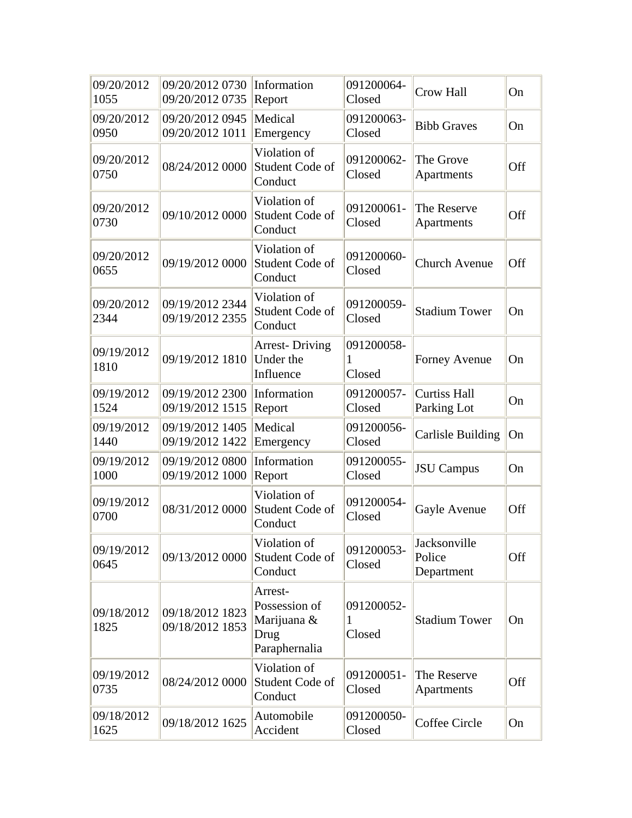| 09/20/2012<br>1055 | 09/20/2012 0730 Information<br>09/20/2012 0735 | Report                                                           | 091200064-<br>Closed      | <b>Crow Hall</b>                     | On  |
|--------------------|------------------------------------------------|------------------------------------------------------------------|---------------------------|--------------------------------------|-----|
| 09/20/2012<br>0950 | 09/20/2012 0945<br>09/20/2012 1011             | Medical<br>Emergency                                             | 091200063-<br>Closed      | <b>Bibb Graves</b>                   | On  |
| 09/20/2012<br>0750 | 08/24/2012 0000                                | Violation of<br>Student Code of<br>Conduct                       | 091200062-<br>Closed      | The Grove<br>Apartments              | Off |
| 09/20/2012<br>0730 | 09/10/2012 0000                                | Violation of<br>Student Code of<br>Conduct                       | 091200061-<br>Closed      | The Reserve<br>Apartments            | Off |
| 09/20/2012<br>0655 | 09/19/2012 0000                                | Violation of<br>Student Code of<br>Conduct                       | 091200060-<br>Closed      | <b>Church Avenue</b>                 | Off |
| 09/20/2012<br>2344 | 09/19/2012 2344<br>09/19/2012 2355             | Violation of<br>Student Code of<br>Conduct                       | 091200059-<br>Closed      | <b>Stadium Tower</b>                 | On  |
| 09/19/2012<br>1810 | 09/19/2012 1810                                | <b>Arrest-Driving</b><br>Under the<br>Influence                  | 091200058-<br>1<br>Closed | <b>Forney Avenue</b>                 | On  |
| 09/19/2012<br>1524 | 09/19/2012 2300<br>09/19/2012 1515             | Information<br>Report                                            | 091200057-<br>Closed      | <b>Curtiss Hall</b><br>Parking Lot   | On  |
| 09/19/2012<br>1440 | 09/19/2012 1405<br>09/19/2012 1422             | Medical<br>Emergency                                             | 091200056-<br>Closed      | <b>Carlisle Building</b>             | On  |
| 09/19/2012<br>1000 | 09/19/2012 0800<br>09/19/2012 1000             | Information<br>Report                                            | 091200055-<br>Closed      | <b>JSU</b> Campus                    | On  |
| 09/19/2012<br>0700 | 08/31/2012 0000                                | Violation of<br>Student Code of<br>Conduct                       | 091200054-<br>Closed      | Gayle Avenue                         | Off |
| 09/19/2012<br>0645 | 09/13/2012 0000                                | Violation of<br>Student Code of<br>Conduct                       | 091200053-<br>Closed      | Jacksonville<br>Police<br>Department | Off |
| 09/18/2012<br>1825 | 09/18/2012 1823<br>09/18/2012 1853             | Arrest-<br>Possession of<br>Marijuana &<br>Drug<br>Paraphernalia | 091200052-<br>1<br>Closed | <b>Stadium Tower</b>                 | On  |
| 09/19/2012<br>0735 | 08/24/2012 0000                                | Violation of<br>Student Code of<br>Conduct                       | 091200051-<br>Closed      | The Reserve<br>Apartments            | Off |
| 09/18/2012<br>1625 | 09/18/2012 1625                                | Automobile<br>Accident                                           | 091200050-<br>Closed      | Coffee Circle                        | On  |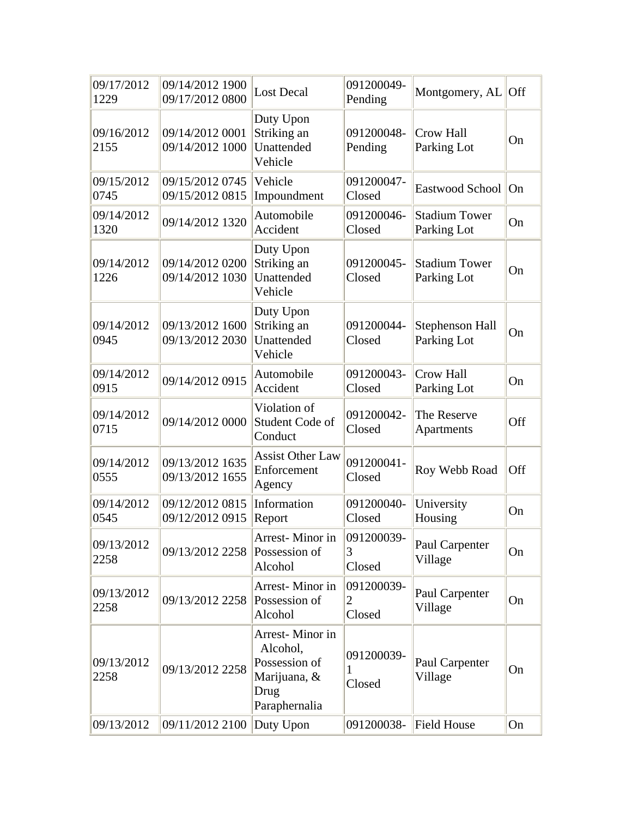| 09/17/2012<br>1229 | 09/14/2012 1900<br>09/17/2012 0800 | <b>Lost Decal</b>                                                                     | 091200049-<br>Pending     | Montgomery, $AL$ Off                  |     |
|--------------------|------------------------------------|---------------------------------------------------------------------------------------|---------------------------|---------------------------------------|-----|
| 09/16/2012<br>2155 | 09/14/2012 0001<br>09/14/2012 1000 | Duty Upon<br>Striking an<br>Unattended<br>Vehicle                                     | 091200048-<br>Pending     | <b>Crow Hall</b><br>Parking Lot       | On  |
| 09/15/2012<br>0745 | 09/15/2012 0745<br>09/15/2012 0815 | Vehicle<br>Impoundment                                                                | 091200047-<br>Closed      | Eastwood School                       | On  |
| 09/14/2012<br>1320 | 09/14/2012 1320                    | Automobile<br>Accident                                                                | 091200046-<br>Closed      | <b>Stadium Tower</b><br>Parking Lot   | On  |
| 09/14/2012<br>1226 | 09/14/2012 0200<br>09/14/2012 1030 | Duty Upon<br>Striking an<br>Unattended<br>Vehicle                                     | 091200045-<br>Closed      | <b>Stadium Tower</b><br>Parking Lot   | On  |
| 09/14/2012<br>0945 | 09/13/2012 1600<br>09/13/2012 2030 | Duty Upon<br>Striking an<br>Unattended<br>Vehicle                                     | 091200044-<br>Closed      | <b>Stephenson Hall</b><br>Parking Lot | On  |
| 09/14/2012<br>0915 | 09/14/2012 0915                    | Automobile<br>Accident                                                                | 091200043-<br>Closed      | <b>Crow Hall</b><br>Parking Lot       | On  |
| 09/14/2012<br>0715 | 09/14/2012 0000                    | Violation of<br>Student Code of<br>Conduct                                            | 091200042-<br>Closed      | The Reserve<br>Apartments             | Off |
| 09/14/2012<br>0555 | 09/13/2012 1635<br>09/13/2012 1655 | <b>Assist Other Law</b><br>Enforcement<br>Agency                                      | 091200041-<br>Closed      | Roy Webb Road                         | Off |
| 09/14/2012<br>0545 | 09/12/2012 0815<br>09/12/2012 0915 | Information<br>Report                                                                 | 091200040-<br>Closed      | University<br>Housing                 | On  |
| 09/13/2012<br>2258 | 09/13/2012 2258                    | Arrest-Minor in<br>Possession of<br>Alcohol                                           | 091200039-<br>3<br>Closed | Paul Carpenter<br>Village             | On  |
| 09/13/2012<br>2258 | 09/13/2012 2258 Possession of      | Arrest-Minor in<br>Alcohol                                                            | 091200039-<br>2<br>Closed | Paul Carpenter<br>Village             | On  |
| 09/13/2012<br>2258 | 09/13/2012 2258                    | Arrest-Minor in<br>Alcohol,<br>Possession of<br>Marijuana, &<br>Drug<br>Paraphernalia | 091200039-<br>1<br>Closed | Paul Carpenter<br>Village             | On  |
| 09/13/2012         | 09/11/2012 2100 Duty Upon          |                                                                                       | 091200038-                | Field House                           | On  |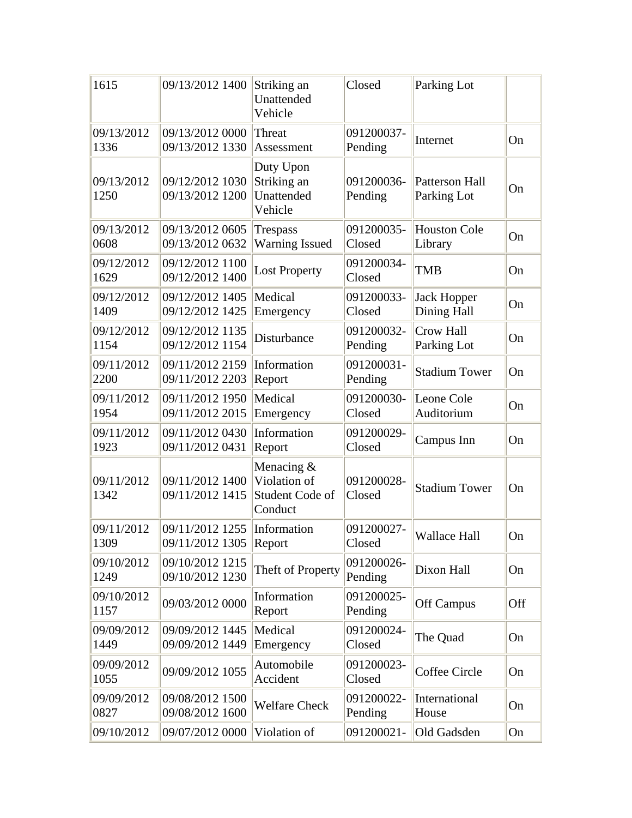| 1615               | 09/13/2012 1400                    | Striking an<br>Unattended<br>Vehicle                     | Closed                | Parking Lot                          |     |
|--------------------|------------------------------------|----------------------------------------------------------|-----------------------|--------------------------------------|-----|
| 09/13/2012<br>1336 | 09/13/2012 0000<br>09/13/2012 1330 | Threat<br>Assessment                                     | 091200037-<br>Pending | Internet                             | On  |
| 09/13/2012<br>1250 | 09/12/2012 1030<br>09/13/2012 1200 | Duty Upon<br>Striking an<br>Unattended<br>Vehicle        | 091200036-<br>Pending | <b>Patterson Hall</b><br>Parking Lot | On  |
| 09/13/2012<br>0608 | 09/13/2012 0605<br>09/13/2012 0632 | Trespass<br><b>Warning Issued</b>                        | 091200035-<br>Closed  | <b>Houston Cole</b><br>Library       | On  |
| 09/12/2012<br>1629 | 09/12/2012 1100<br>09/12/2012 1400 | <b>Lost Property</b>                                     | 091200034-<br>Closed  | <b>TMB</b>                           | On  |
| 09/12/2012<br>1409 | 09/12/2012 1405<br>09/12/2012 1425 | Medical<br>Emergency                                     | 091200033-<br>Closed  | <b>Jack Hopper</b><br>Dining Hall    | On  |
| 09/12/2012<br>1154 | 09/12/2012 1135<br>09/12/2012 1154 | Disturbance                                              | 091200032-<br>Pending | Crow Hall<br>Parking Lot             | On  |
| 09/11/2012<br>2200 | 09/11/2012 2159<br>09/11/2012 2203 | Information<br>Report                                    | 091200031-<br>Pending | <b>Stadium Tower</b>                 | On  |
| 09/11/2012<br>1954 | 09/11/2012 1950<br>09/11/2012 2015 | Medical<br>Emergency                                     | 091200030-<br>Closed  | Leone Cole<br>Auditorium             | On  |
| 09/11/2012<br>1923 | 09/11/2012 0430<br>09/11/2012 0431 | Information<br>Report                                    | 091200029-<br>Closed  | Campus Inn                           | On  |
| 09/11/2012<br>1342 | 09/11/2012 1400<br>09/11/2012 1415 | Menacing &<br>Violation of<br>Student Code of<br>Conduct | 091200028-<br>Closed  | <b>Stadium Tower</b>                 | On  |
| 09/11/2012<br>1309 | 09/11/2012 1255<br>09/11/2012 1305 | Information<br>Report                                    | 091200027-<br>Closed  | <b>Wallace Hall</b>                  | On  |
| 09/10/2012<br>1249 | 09/10/2012 1215<br>09/10/2012 1230 | Theft of Property                                        | 091200026-<br>Pending | Dixon Hall                           | On  |
| 09/10/2012<br>1157 | 09/03/2012 0000                    | Information<br>Report                                    | 091200025-<br>Pending | <b>Off Campus</b>                    | Off |
| 09/09/2012<br>1449 | 09/09/2012 1445<br>09/09/2012 1449 | Medical<br>Emergency                                     | 091200024-<br>Closed  | The Quad                             | On  |
| 09/09/2012<br>1055 | 09/09/2012 1055                    | Automobile<br>Accident                                   | 091200023-<br>Closed  | Coffee Circle                        | On  |
| 09/09/2012<br>0827 | 09/08/2012 1500<br>09/08/2012 1600 | <b>Welfare Check</b>                                     | 091200022-<br>Pending | International<br>House               | On  |
| 09/10/2012         | 09/07/2012 0000                    | Violation of                                             | 091200021-            | Old Gadsden                          | On  |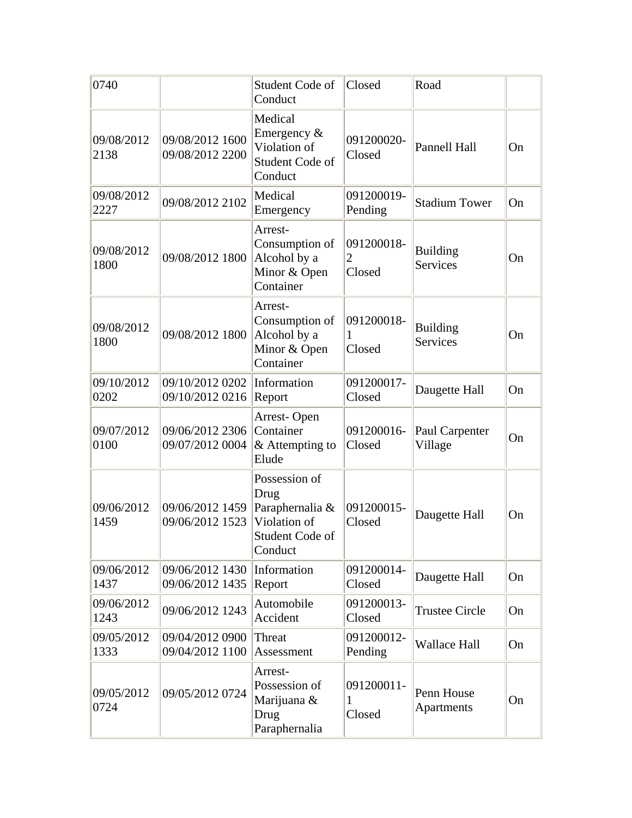| 0740               |                                    | Student Code of<br>Conduct                                                             | Closed                    | Road                               |    |
|--------------------|------------------------------------|----------------------------------------------------------------------------------------|---------------------------|------------------------------------|----|
| 09/08/2012<br>2138 | 09/08/2012 1600<br>09/08/2012 2200 | Medical<br>Emergency $\&$<br>Violation of<br>Student Code of<br>Conduct                | 091200020-<br>Closed      | Pannell Hall                       | On |
| 09/08/2012<br>2227 | 09/08/2012 2102                    | Medical<br>Emergency                                                                   | 091200019-<br>Pending     | <b>Stadium Tower</b>               | On |
| 09/08/2012<br>1800 | 09/08/2012 1800                    | Arrest-<br>Consumption of<br>Alcohol by a<br>Minor & Open<br>Container                 | 091200018-<br>2<br>Closed | <b>Building</b><br><b>Services</b> | On |
| 09/08/2012<br>1800 | 09/08/2012 1800                    | Arrest-<br>Consumption of<br>Alcohol by a<br>Minor & Open<br>Container                 | 091200018-<br>Closed      | <b>Building</b><br><b>Services</b> | On |
| 09/10/2012<br>0202 | 09/10/2012 0202<br>09/10/2012 0216 | Information<br>Report                                                                  | 091200017-<br>Closed      | Daugette Hall                      | On |
| 09/07/2012<br>0100 | 09/06/2012 2306<br>09/07/2012 0004 | Arrest-Open<br>Container<br>& Attempting to<br>Elude                                   | 091200016-<br>Closed      | Paul Carpenter<br>Village          | On |
| 09/06/2012<br>1459 | 09/06/2012 1459<br>09/06/2012 1523 | Possession of<br>Drug<br>Paraphernalia &<br>Violation of<br>Student Code of<br>Conduct | 091200015-<br>Closed      | Daugette Hall                      | On |
| 09/06/2012<br>1437 | 09/06/2012 1430<br>09/06/2012 1435 | Information<br>Report                                                                  | 091200014-<br>Closed      | Daugette Hall                      | On |
| 09/06/2012<br>1243 | 09/06/2012 1243                    | Automobile<br>Accident                                                                 | 091200013-<br>Closed      | <b>Trustee Circle</b>              | On |
| 09/05/2012<br>1333 | 09/04/2012 0900<br>09/04/2012 1100 | Threat<br>Assessment                                                                   | 091200012-<br>Pending     | <b>Wallace Hall</b>                | On |
| 09/05/2012<br>0724 | 09/05/2012 0724                    | Arrest-<br>Possession of<br>Marijuana &<br>Drug<br>Paraphernalia                       | 091200011-<br>1<br>Closed | Penn House<br>Apartments           | On |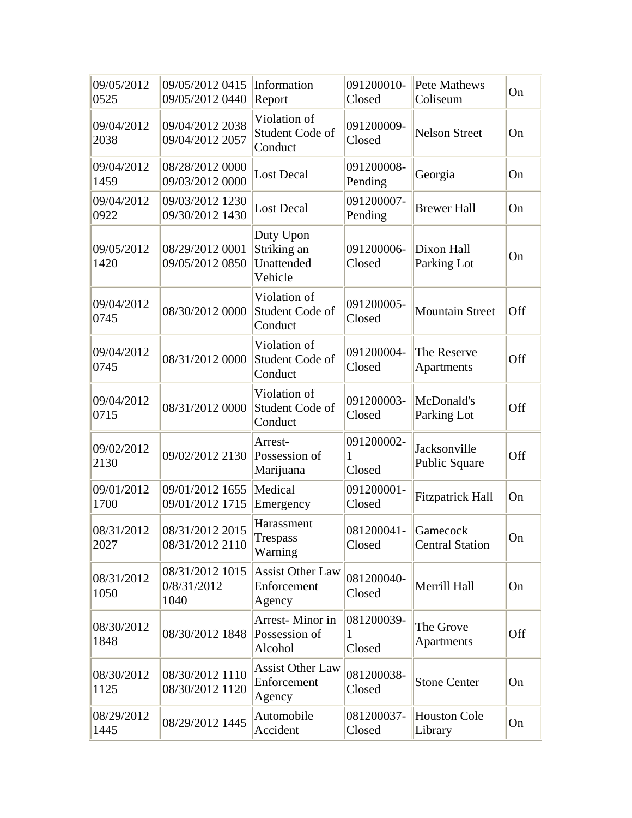| 09/05/2012<br>0525 | 09/05/2012 0415<br>09/05/2012 0440     | Information<br>Report                             | 091200010-<br>Closed      | Pete Mathews<br>Coliseum           | On  |
|--------------------|----------------------------------------|---------------------------------------------------|---------------------------|------------------------------------|-----|
| 09/04/2012<br>2038 | 09/04/2012 2038<br>09/04/2012 2057     | Violation of<br>Student Code of<br>Conduct        | 091200009-<br>Closed      | <b>Nelson Street</b>               | On  |
| 09/04/2012<br>1459 | 08/28/2012 0000<br>09/03/2012 0000     | <b>Lost Decal</b>                                 | 091200008-<br>Pending     | Georgia                            | On  |
| 09/04/2012<br>0922 | 09/03/2012 1230<br>09/30/2012 1430     | <b>Lost Decal</b>                                 | 091200007-<br>Pending     | <b>Brewer Hall</b>                 | On  |
| 09/05/2012<br>1420 | 08/29/2012 0001<br>09/05/2012 0850     | Duty Upon<br>Striking an<br>Unattended<br>Vehicle | 091200006-<br>Closed      | Dixon Hall<br>Parking Lot          | On  |
| 09/04/2012<br>0745 | 08/30/2012 0000                        | Violation of<br>Student Code of<br>Conduct        | 091200005-<br>Closed      | <b>Mountain Street</b>             | Off |
| 09/04/2012<br>0745 | 08/31/2012 0000                        | Violation of<br>Student Code of<br>Conduct        | 091200004-<br>Closed      | The Reserve<br>Apartments          | Off |
| 09/04/2012<br>0715 | 08/31/2012 0000                        | Violation of<br>Student Code of<br>Conduct        | 091200003-<br>Closed      | McDonald's<br>Parking Lot          | Off |
| 09/02/2012<br>2130 | 09/02/2012 2130                        | Arrest-<br>Possession of<br>Marijuana             | 091200002-<br>Closed      | Jacksonville<br>Public Square      | Off |
| 09/01/2012<br>1700 | 09/01/2012 1655<br>09/01/2012 1715     | Medical<br>Emergency                              | 091200001-<br>Closed      | <b>Fitzpatrick Hall</b>            | On  |
| 08/31/2012<br>2027 | 08/31/2012 2015<br>08/31/2012 2110     | Harassment<br>Trespass<br>Warning                 | 081200041-<br>Closed      | Gamecock<br><b>Central Station</b> | On  |
| 08/31/2012<br>1050 | 08/31/2012 1015<br>0/8/31/2012<br>1040 | <b>Assist Other Law</b><br>Enforcement<br>Agency  | 081200040-<br>Closed      | Merrill Hall                       | On  |
| 08/30/2012<br>1848 | 08/30/2012 1848                        | Arrest-Minor in<br>Possession of<br>Alcohol       | 081200039-<br>L<br>Closed | The Grove<br>Apartments            | Off |
| 08/30/2012<br>1125 | 08/30/2012 1110<br>08/30/2012 1120     | <b>Assist Other Law</b><br>Enforcement<br>Agency  | 081200038-<br>Closed      | <b>Stone Center</b>                | On  |
| 08/29/2012<br>1445 | 08/29/2012 1445                        | Automobile<br>Accident                            | 081200037-<br>Closed      | <b>Houston Cole</b><br>Library     | On  |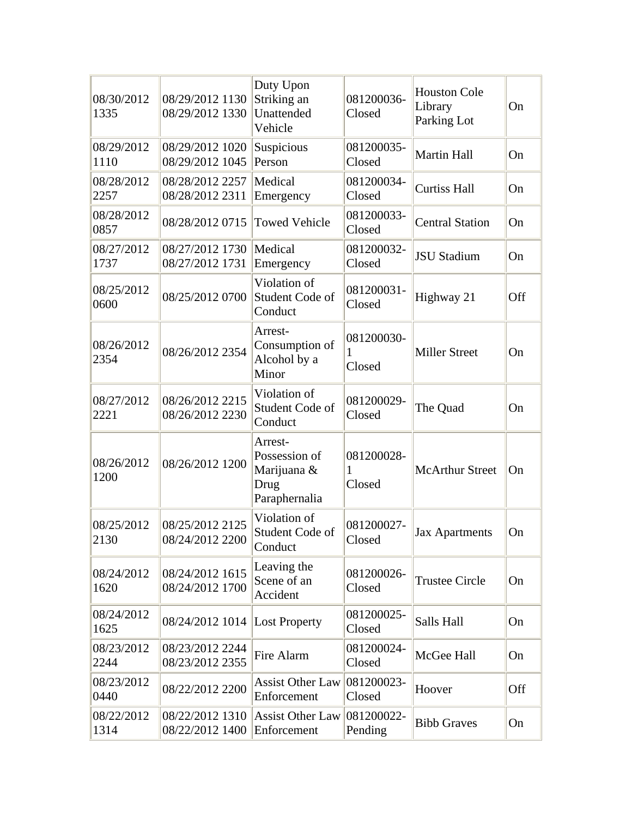| 08/30/2012<br>1335 | 08/29/2012 1130<br>08/29/2012 1330 | Duty Upon<br>Striking an<br>Unattended<br>Vehicle                | 081200036-<br>Closed      | <b>Houston Cole</b><br>Library<br>Parking Lot | On  |
|--------------------|------------------------------------|------------------------------------------------------------------|---------------------------|-----------------------------------------------|-----|
| 08/29/2012<br>1110 | 08/29/2012 1020<br>08/29/2012 1045 | Suspicious<br>Person                                             | 081200035-<br>Closed      | <b>Martin Hall</b>                            | On  |
| 08/28/2012<br>2257 | 08/28/2012 2257<br>08/28/2012 2311 | Medical<br>Emergency                                             | 081200034-<br>Closed      | <b>Curtiss Hall</b>                           | On  |
| 08/28/2012<br>0857 | 08/28/2012 0715                    | <b>Towed Vehicle</b>                                             | 081200033-<br>Closed      | <b>Central Station</b>                        | On  |
| 08/27/2012<br>1737 | 08/27/2012 1730<br>08/27/2012 1731 | Medical<br>Emergency                                             | 081200032-<br>Closed      | <b>JSU Stadium</b>                            | On  |
| 08/25/2012<br>0600 | 08/25/2012 0700                    | Violation of<br>Student Code of<br>Conduct                       | 081200031-<br>Closed      | Highway 21                                    | Off |
| 08/26/2012<br>2354 | 08/26/2012 2354                    | Arrest-<br>Consumption of<br>Alcohol by a<br>Minor               | 081200030-<br>1<br>Closed | <b>Miller Street</b>                          | On  |
| 08/27/2012<br>2221 | 08/26/2012 2215<br>08/26/2012 2230 | Violation of<br>Student Code of<br>Conduct                       | 081200029-<br>Closed      | The Quad                                      | On  |
| 08/26/2012<br>1200 | 08/26/2012 1200                    | Arrest-<br>Possession of<br>Marijuana &<br>Drug<br>Paraphernalia | 081200028-<br>1<br>Closed | <b>McArthur Street</b>                        | On  |
| 08/25/2012<br>2130 | 08/25/2012 2125<br>08/24/2012 2200 | Violation of<br>Student Code of<br>Conduct                       | 081200027-<br>Closed      | <b>Jax Apartments</b>                         | On  |
| 08/24/2012<br>1620 | 08/24/2012 1615<br>08/24/2012 1700 | Leaving the<br>Scene of an<br>Accident                           | 081200026-<br>Closed      | <b>Trustee Circle</b>                         | On  |
| 08/24/2012<br>1625 | 08/24/2012 1014                    | <b>Lost Property</b>                                             | 081200025-<br>Closed      | Salls Hall                                    | On  |
| 08/23/2012<br>2244 | 08/23/2012 2244<br>08/23/2012 2355 | Fire Alarm                                                       | 081200024-<br>Closed      | McGee Hall                                    | On  |
| 08/23/2012<br>0440 | 08/22/2012 2200                    | <b>Assist Other Law</b><br>Enforcement                           | 081200023-<br>Closed      | Hoover                                        | Off |
| 08/22/2012<br>1314 | 08/22/2012 1310<br>08/22/2012 1400 | <b>Assist Other Law</b><br>Enforcement                           | 081200022-<br>Pending     | <b>Bibb Graves</b>                            | On  |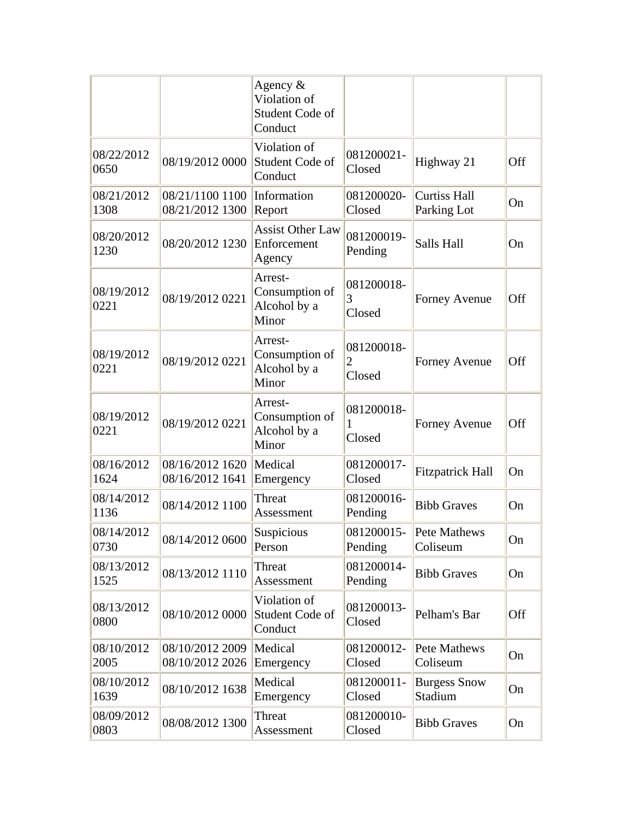|                    |                                              | Agency $\&$<br>Violation of<br>Student Code of<br>Conduct |                           |                                    |     |
|--------------------|----------------------------------------------|-----------------------------------------------------------|---------------------------|------------------------------------|-----|
| 08/22/2012<br>0650 | 08/19/2012 0000                              | Violation of<br>Student Code of<br>Conduct                | 081200021-<br>Closed      | Highway 21                         | Off |
| 08/21/2012<br>1308 | 08/21/1100 1100<br>08/21/2012 1300           | Information<br>Report                                     | 081200020-<br>Closed      | <b>Curtiss Hall</b><br>Parking Lot | On  |
| 08/20/2012<br>1230 | 08/20/2012 1230                              | <b>Assist Other Law</b><br>Enforcement<br>Agency          | 081200019-<br>Pending     | Salls Hall                         | On  |
| 08/19/2012<br>0221 | 08/19/2012 0221                              | Arrest-<br>Consumption of<br>Alcohol by a<br>Minor        | 081200018-<br>3<br>Closed | <b>Forney Avenue</b>               | Off |
| 08/19/2012<br>0221 | 08/19/2012 0221                              | Arrest-<br>Consumption of<br>Alcohol by a<br>Minor        | 081200018-<br>2<br>Closed | <b>Forney Avenue</b>               | Off |
| 08/19/2012<br>0221 | 08/19/2012 0221                              | Arrest-<br>Consumption of<br>Alcohol by a<br>Minor        | 081200018-<br>1<br>Closed | <b>Forney Avenue</b>               | Off |
| 08/16/2012<br>1624 | 08/16/2012 1620   Medical<br>08/16/2012 1641 | Emergency                                                 | 081200017-<br>Closed      | <b>Fitzpatrick Hall</b>            | On  |
| 08/14/2012<br>1136 | 08/14/2012 1100                              | Threat<br>Assessment                                      | 081200016-<br>Pending     | <b>Bibb Graves</b>                 | On  |
| 08/14/2012<br>0730 | 08/14/2012 0600                              | Suspicious<br>Person                                      | 081200015-<br>Pending     | Pete Mathews<br>Coliseum           | On  |
| 08/13/2012<br>1525 | 08/13/2012 1110                              | Threat<br>Assessment                                      | 081200014-<br>Pending     | <b>Bibb Graves</b>                 | On  |
| 08/13/2012<br>0800 | 08/10/2012 0000                              | Violation of<br>Student Code of<br>Conduct                | 081200013-<br>Closed      | Pelham's Bar                       | Off |
| 08/10/2012<br>2005 | 08/10/2012 2009<br>08/10/2012 2026           | Medical<br>Emergency                                      | 081200012-<br>Closed      | Pete Mathews<br>Coliseum           | On  |
| 08/10/2012<br>1639 | 08/10/2012 1638                              | Medical<br>Emergency                                      | 081200011-<br>Closed      | <b>Burgess Snow</b><br>Stadium     | On  |
| 08/09/2012<br>0803 | 08/08/2012 1300                              | Threat<br>Assessment                                      | 081200010-<br>Closed      | <b>Bibb Graves</b>                 | On  |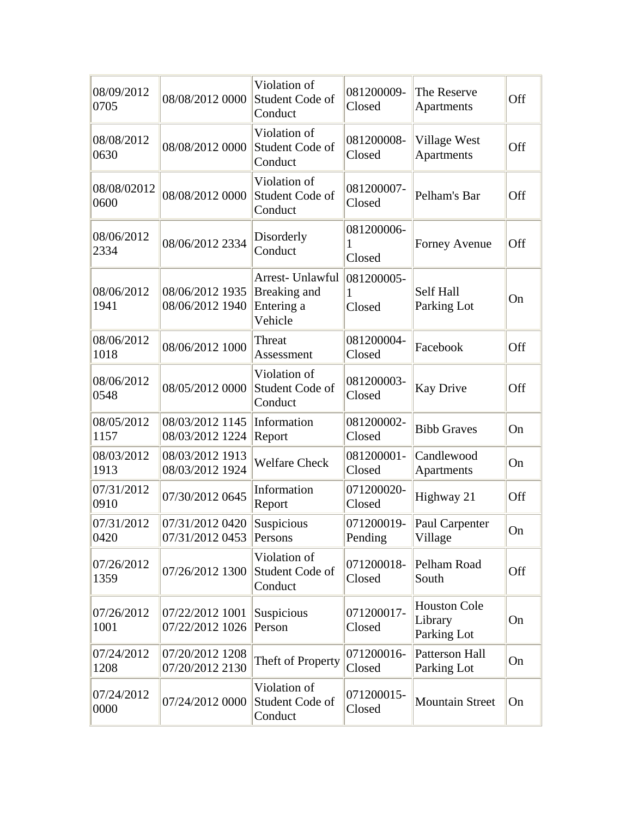| 08/09/2012<br>0705  | 08/08/2012 0000                    | Violation of<br>Student Code of<br>Conduct                | 081200009-<br>Closed  | The Reserve<br>Apartments                     | Off |
|---------------------|------------------------------------|-----------------------------------------------------------|-----------------------|-----------------------------------------------|-----|
| 08/08/2012<br>0630  | 08/08/2012 0000                    | Violation of<br>Student Code of<br>Conduct                | 081200008-<br>Closed  | Village West<br>Apartments                    | Off |
| 08/08/02012<br>0600 | 08/08/2012 0000                    | Violation of<br>Student Code of<br>Conduct                | 081200007-<br>Closed  | Pelham's Bar                                  | Off |
| 08/06/2012<br>2334  | 08/06/2012 2334                    | Disorderly<br>Conduct                                     | 081200006-<br>Closed  | <b>Forney Avenue</b>                          | Off |
| 08/06/2012<br>1941  | 08/06/2012 1935<br>08/06/2012 1940 | Arrest- Unlawful<br>Breaking and<br>Entering a<br>Vehicle | 081200005-<br>Closed  | Self Hall<br>Parking Lot                      | On  |
| 08/06/2012<br>1018  | 08/06/2012 1000                    | Threat<br>Assessment                                      | 081200004-<br>Closed  | Facebook                                      | Off |
| 08/06/2012<br>0548  | 08/05/2012 0000                    | Violation of<br>Student Code of<br>Conduct                | 081200003-<br>Closed  | <b>Kay Drive</b>                              | Off |
| 08/05/2012<br>1157  | 08/03/2012 1145<br>08/03/2012 1224 | Information<br>Report                                     | 081200002-<br>Closed  | <b>Bibb Graves</b>                            | On  |
| 08/03/2012<br>1913  | 08/03/2012 1913<br>08/03/2012 1924 | <b>Welfare Check</b>                                      | 081200001-<br>Closed  | Candlewood<br>Apartments                      | On  |
| 07/31/2012<br>0910  | 07/30/2012 0645                    | Information<br>Report                                     | 071200020-<br>Closed  | Highway 21                                    | Off |
| 07/31/2012<br>0420  | 07/31/2012 0420<br>07/31/2012 0453 | Suspicious<br>Persons                                     | 071200019-<br>Pending | Paul Carpenter<br>Village                     | On  |
| 07/26/2012<br>1359  | 07/26/2012 1300                    | Violation of<br>Student Code of<br>Conduct                | 071200018-<br>Closed  | Pelham Road<br>South                          | Off |
| 07/26/2012<br>1001  | 07/22/2012 1001<br>07/22/2012 1026 | Suspicious<br>Person                                      | 071200017-<br>Closed  | <b>Houston Cole</b><br>Library<br>Parking Lot | On  |
| 07/24/2012<br>1208  | 07/20/2012 1208<br>07/20/2012 2130 | Theft of Property                                         | 071200016-<br>Closed  | <b>Patterson Hall</b><br>Parking Lot          | On  |
| 07/24/2012<br>0000  | 07/24/2012 0000                    | Violation of<br>Student Code of<br>Conduct                | 071200015-<br>Closed  | <b>Mountain Street</b>                        | On  |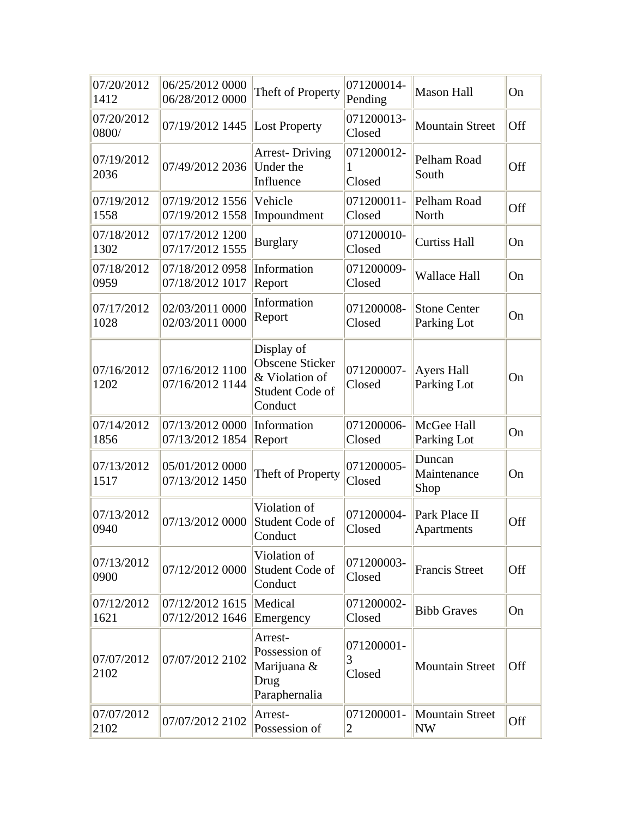| 07/20/2012<br>1412  | 06/25/2012 0000<br>06/28/2012 0000 | Theft of Property                                                                    | 071200014-<br>Pending     | <b>Mason Hall</b>                  | On  |
|---------------------|------------------------------------|--------------------------------------------------------------------------------------|---------------------------|------------------------------------|-----|
| 07/20/2012<br>0800/ | 07/19/2012 1445                    | <b>Lost Property</b>                                                                 | 071200013-<br>Closed      | <b>Mountain Street</b>             | Off |
| 07/19/2012<br>2036  | 07/49/2012 2036                    | <b>Arrest-Driving</b><br>Under the<br>Influence                                      | 071200012-<br>1<br>Closed | Pelham Road<br>South               | Off |
| 07/19/2012<br>1558  | 07/19/2012 1556<br>07/19/2012 1558 | Vehicle<br>Impoundment                                                               | 071200011-<br>Closed      | Pelham Road<br>North               | Off |
| 07/18/2012<br>1302  | 07/17/2012 1200<br>07/17/2012 1555 | <b>Burglary</b>                                                                      | 071200010-<br>Closed      | <b>Curtiss Hall</b>                | On  |
| 07/18/2012<br>0959  | 07/18/2012 0958<br>07/18/2012 1017 | Information<br>Report                                                                | 071200009-<br>Closed      | <b>Wallace Hall</b>                | On  |
| 07/17/2012<br>1028  | 02/03/2011 0000<br>02/03/2011 0000 | Information<br>Report                                                                | 071200008-<br>Closed      | <b>Stone Center</b><br>Parking Lot | On  |
| 07/16/2012<br>1202  | 07/16/2012 1100<br>07/16/2012 1144 | Display of<br><b>Obscene Sticker</b><br>& Violation of<br>Student Code of<br>Conduct | 071200007-<br>Closed      | <b>Ayers Hall</b><br>Parking Lot   | On  |
| 07/14/2012<br>1856  | 07/13/2012 0000<br>07/13/2012 1854 | Information<br>Report                                                                | 071200006-<br>Closed      | McGee Hall<br>Parking Lot          | On  |
| 07/13/2012<br>1517  | 05/01/2012 0000<br>07/13/2012 1450 | Theft of Property                                                                    | 071200005-<br>Closed      | Duncan<br>Maintenance<br>Shop      | On  |
| 07/13/2012<br>0940  | 07/13/2012 0000                    | Violation of<br>Student Code of<br>Conduct                                           | 071200004-<br>Closed      | Park Place II<br>Apartments        | Off |
| 07/13/2012<br>0900  | 07/12/2012 0000                    | Violation of<br>Student Code of<br>Conduct                                           | 071200003-<br>Closed      | <b>Francis Street</b>              | Off |
| 07/12/2012<br>1621  | 07/12/2012 1615<br>07/12/2012 1646 | Medical<br>Emergency                                                                 | 071200002-<br>Closed      | <b>Bibb Graves</b>                 | On  |
| 07/07/2012<br>2102  | 07/07/2012 2102                    | Arrest-<br>Possession of<br>Marijuana &<br>Drug<br>Paraphernalia                     | 071200001-<br>3<br>Closed | <b>Mountain Street</b>             | Off |
| 07/07/2012<br>2102  | 07/07/2012 2102                    | Arrest-<br>Possession of                                                             | 071200001-<br>2           | <b>Mountain Street</b><br>NW       | Off |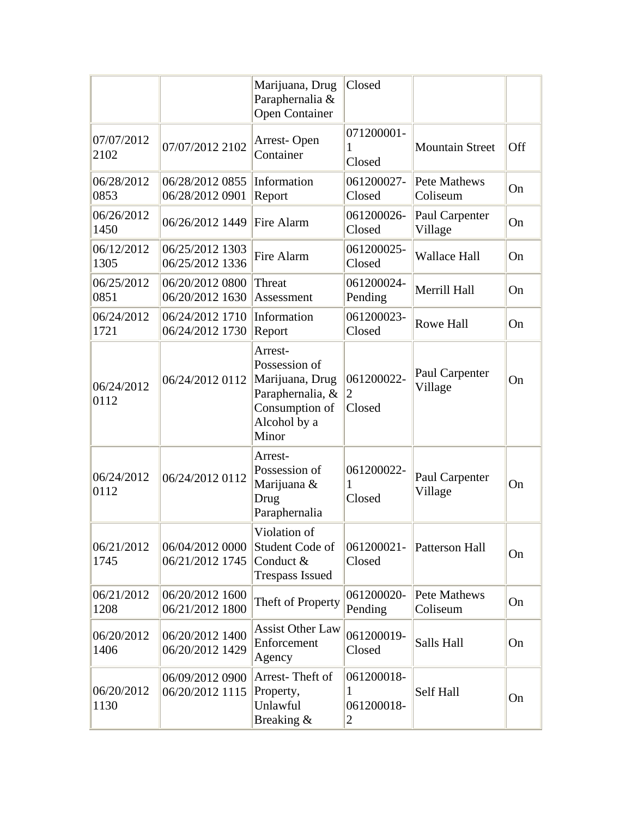|                    |                                    | Marijuana, Drug<br>Paraphernalia &<br><b>Open Container</b>                                                | Closed                             |                           |     |
|--------------------|------------------------------------|------------------------------------------------------------------------------------------------------------|------------------------------------|---------------------------|-----|
| 07/07/2012<br>2102 | 07/07/2012 2102                    | Arrest-Open<br>Container                                                                                   | 071200001-<br>1<br>Closed          | <b>Mountain Street</b>    | Off |
| 06/28/2012<br>0853 | 06/28/2012 0855<br>06/28/2012 0901 | Information<br>Report                                                                                      | 061200027-<br>Closed               | Pete Mathews<br>Coliseum  | On  |
| 06/26/2012<br>1450 | 06/26/2012 1449                    | Fire Alarm                                                                                                 | 061200026-<br>Closed               | Paul Carpenter<br>Village | On  |
| 06/12/2012<br>1305 | 06/25/2012 1303<br>06/25/2012 1336 | Fire Alarm                                                                                                 | 061200025-<br>Closed               | <b>Wallace Hall</b>       | On  |
| 06/25/2012<br>0851 | 06/20/2012 0800<br>06/20/2012 1630 | Threat<br>Assessment                                                                                       | 061200024-<br>Pending              | Merrill Hall              | On  |
| 06/24/2012<br>1721 | 06/24/2012 1710<br>06/24/2012 1730 | Information<br>Report                                                                                      | 061200023-<br>Closed               | <b>Rowe Hall</b>          | On  |
| 06/24/2012<br>0112 | 06/24/2012 0112                    | Arrest-<br>Possession of<br>Marijuana, Drug<br>Paraphernalia, &<br>Consumption of<br>Alcohol by a<br>Minor | 061200022-<br>2<br>Closed          | Paul Carpenter<br>Village | On  |
| 06/24/2012<br>0112 | 06/24/2012 0112                    | Arrest-<br>Possession of<br>Marijuana &<br>Drug<br>Paraphernalia                                           | 061200022-<br>1<br>Closed          | Paul Carpenter<br>Village | On  |
| 06/21/2012<br>1745 | 06/04/2012 0000<br>06/21/2012 1745 | Violation of<br>Student Code of<br>Conduct &<br><b>Trespass Issued</b>                                     | 061200021-<br>Closed               | Patterson Hall            | On  |
| 06/21/2012<br>1208 | 06/20/2012 1600<br>06/21/2012 1800 | Theft of Property                                                                                          | 061200020-<br>Pending              | Pete Mathews<br>Coliseum  | On  |
| 06/20/2012<br>1406 | 06/20/2012 1400<br>06/20/2012 1429 | <b>Assist Other Law</b><br>Enforcement<br>Agency                                                           | 061200019-<br>Closed               | Salls Hall                | On  |
| 06/20/2012<br>1130 | 06/09/2012 0900<br>06/20/2012 1115 | Arrest-Theft of<br>Property,<br>Unlawful<br>Breaking &                                                     | 061200018-<br>1<br>061200018-<br>2 | Self Hall                 | On  |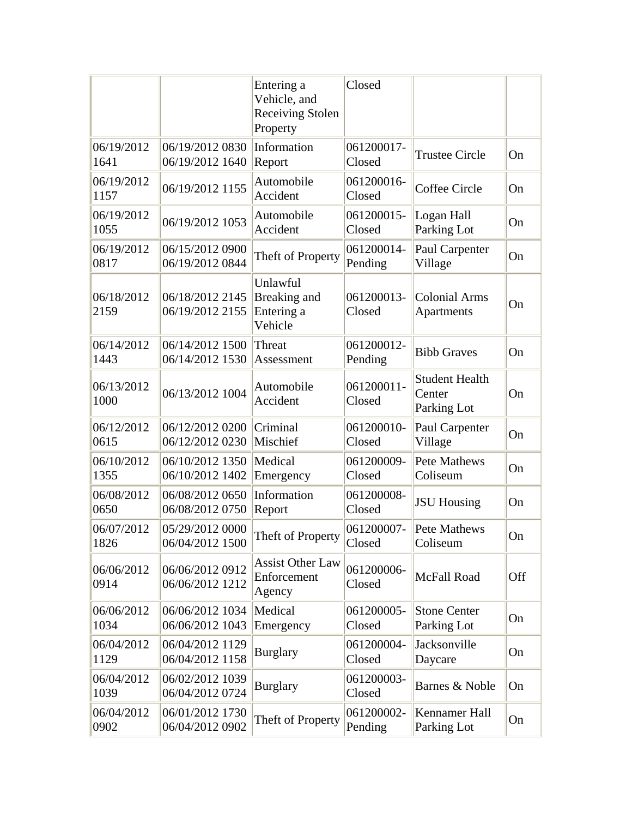|                    |                                    | Entering a<br>Vehicle, and<br><b>Receiving Stolen</b><br>Property | Closed                |                                                |     |
|--------------------|------------------------------------|-------------------------------------------------------------------|-----------------------|------------------------------------------------|-----|
| 06/19/2012<br>1641 | 06/19/2012 0830<br>06/19/2012 1640 | Information<br>Report                                             | 061200017-<br>Closed  | <b>Trustee Circle</b>                          | On  |
| 06/19/2012<br>1157 | 06/19/2012 1155                    | Automobile<br>Accident                                            | 061200016-<br>Closed  | Coffee Circle                                  | On  |
| 06/19/2012<br>1055 | 06/19/2012 1053                    | Automobile<br>Accident                                            | 061200015-<br>Closed  | Logan Hall<br>Parking Lot                      | On  |
| 06/19/2012<br>0817 | 06/15/2012 0900<br>06/19/2012 0844 | Theft of Property                                                 | 061200014-<br>Pending | Paul Carpenter<br>Village                      | On  |
| 06/18/2012<br>2159 | 06/18/2012 2145<br>06/19/2012 2155 | Unlawful<br>Breaking and<br>Entering a<br>Vehicle                 | 061200013-<br>Closed  | <b>Colonial Arms</b><br>Apartments             | On  |
| 06/14/2012<br>1443 | 06/14/2012 1500<br>06/14/2012 1530 | Threat<br>Assessment                                              | 061200012-<br>Pending | <b>Bibb Graves</b>                             | On  |
| 06/13/2012<br>1000 | 06/13/2012 1004                    | Automobile<br>Accident                                            | 061200011-<br>Closed  | <b>Student Health</b><br>Center<br>Parking Lot | On  |
| 06/12/2012<br>0615 | 06/12/2012 0200<br>06/12/2012 0230 | Criminal<br>Mischief                                              | 061200010-<br>Closed  | Paul Carpenter<br>Village                      | On  |
| 06/10/2012<br>1355 | 06/10/2012 1350<br>06/10/2012 1402 | Medical<br>Emergency                                              | 061200009-<br>Closed  | <b>Pete Mathews</b><br>Coliseum                | On  |
| 06/08/2012<br>0650 | 06/08/2012 0650<br>06/08/2012 0750 | Information<br>Report                                             | 061200008-<br>Closed  | <b>JSU Housing</b>                             | On  |
| 06/07/2012<br>1826 | 05/29/2012 0000<br>06/04/2012 1500 | Theft of Property                                                 | 061200007-<br>Closed  | <b>Pete Mathews</b><br>Coliseum                | On  |
| 06/06/2012<br>0914 | 06/06/2012 0912<br>06/06/2012 1212 | <b>Assist Other Law</b><br>Enforcement<br>Agency                  | 061200006-<br>Closed  | McFall Road                                    | Off |
| 06/06/2012<br>1034 | 06/06/2012 1034<br>06/06/2012 1043 | Medical<br>Emergency                                              | 061200005-<br>Closed  | <b>Stone Center</b><br>Parking Lot             | On  |
| 06/04/2012<br>1129 | 06/04/2012 1129<br>06/04/2012 1158 | <b>Burglary</b>                                                   | 061200004-<br>Closed  | Jacksonville<br>Daycare                        | On  |
| 06/04/2012<br>1039 | 06/02/2012 1039<br>06/04/2012 0724 | <b>Burglary</b>                                                   | 061200003-<br>Closed  | Barnes & Noble                                 | On  |
| 06/04/2012<br>0902 | 06/01/2012 1730<br>06/04/2012 0902 | Theft of Property                                                 | 061200002-<br>Pending | Kennamer Hall<br>Parking Lot                   | On  |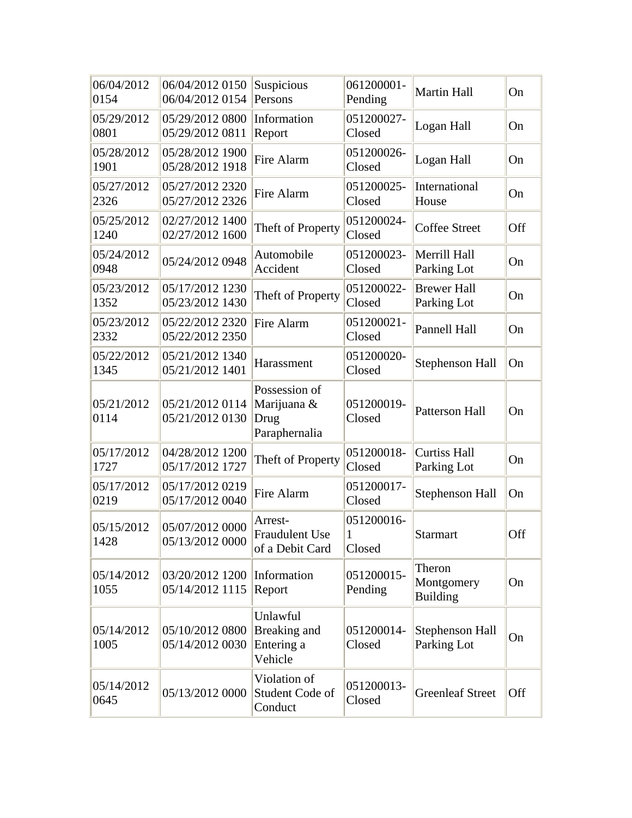| 06/04/2012<br>0154 | 06/04/2012 0150<br>06/04/2012 0154 | Suspicious<br>Persons                                 | 061200001-<br>Pending     | <b>Martin Hall</b>                      | On  |
|--------------------|------------------------------------|-------------------------------------------------------|---------------------------|-----------------------------------------|-----|
| 05/29/2012<br>0801 | 05/29/2012 0800<br>05/29/2012 0811 | Information<br>Report                                 | 051200027-<br>Closed      | Logan Hall                              | On  |
| 05/28/2012<br>1901 | 05/28/2012 1900<br>05/28/2012 1918 | <b>Fire Alarm</b>                                     | 051200026-<br>Closed      | Logan Hall                              | On  |
| 05/27/2012<br>2326 | 05/27/2012 2320<br>05/27/2012 2326 | Fire Alarm                                            | 051200025-<br>Closed      | International<br>House                  | On  |
| 05/25/2012<br>1240 | 02/27/2012 1400<br>02/27/2012 1600 | Theft of Property                                     | 051200024-<br>Closed      | <b>Coffee Street</b>                    | Off |
| 05/24/2012<br>0948 | 05/24/2012 0948                    | Automobile<br>Accident                                | 051200023-<br>Closed      | Merrill Hall<br>Parking Lot             | On  |
| 05/23/2012<br>1352 | 05/17/2012 1230<br>05/23/2012 1430 | Theft of Property                                     | 051200022-<br>Closed      | <b>Brewer Hall</b><br>Parking Lot       | On  |
| 05/23/2012<br>2332 | 05/22/2012 2320<br>05/22/2012 2350 | Fire Alarm                                            | 051200021-<br>Closed      | <b>Pannell Hall</b>                     | On  |
| 05/22/2012<br>1345 | 05/21/2012 1340<br>05/21/2012 1401 | Harassment                                            | 051200020-<br>Closed      | Stephenson Hall                         | On  |
| 05/21/2012<br>0114 | 05/21/2012 0114<br>05/21/2012 0130 | Possession of<br>Marijuana &<br>Drug<br>Paraphernalia | 051200019-<br>Closed      | <b>Patterson Hall</b>                   | On  |
| 05/17/2012<br>1727 | 04/28/2012 1200<br>05/17/2012 1727 | Theft of Property                                     | 051200018-<br>Closed      | <b>Curtiss Hall</b><br>Parking Lot      | On  |
| 05/17/2012<br>0219 | 05/17/2012 0219<br>05/17/2012 0040 | Fire Alarm                                            | 051200017-<br>Closed      | Stephenson Hall                         | On  |
| 05/15/2012<br>1428 | 05/07/2012 0000<br>05/13/2012 0000 | Arrest-<br><b>Fraudulent Use</b><br>of a Debit Card   | 051200016-<br>1<br>Closed | <b>Starmart</b>                         | Off |
| 05/14/2012<br>1055 | 03/20/2012 1200<br>05/14/2012 1115 | Information<br>Report                                 | 051200015-<br>Pending     | Theron<br>Montgomery<br><b>Building</b> | On  |
| 05/14/2012<br>1005 | 05/10/2012 0800<br>05/14/2012 0030 | Unlawful<br>Breaking and<br>Entering a<br>Vehicle     | 051200014-<br>Closed      | <b>Stephenson Hall</b><br>Parking Lot   | On  |
| 05/14/2012<br>0645 | 05/13/2012 0000                    | Violation of<br>Student Code of<br>Conduct            | 051200013-<br>Closed      | <b>Greenleaf Street</b>                 | Off |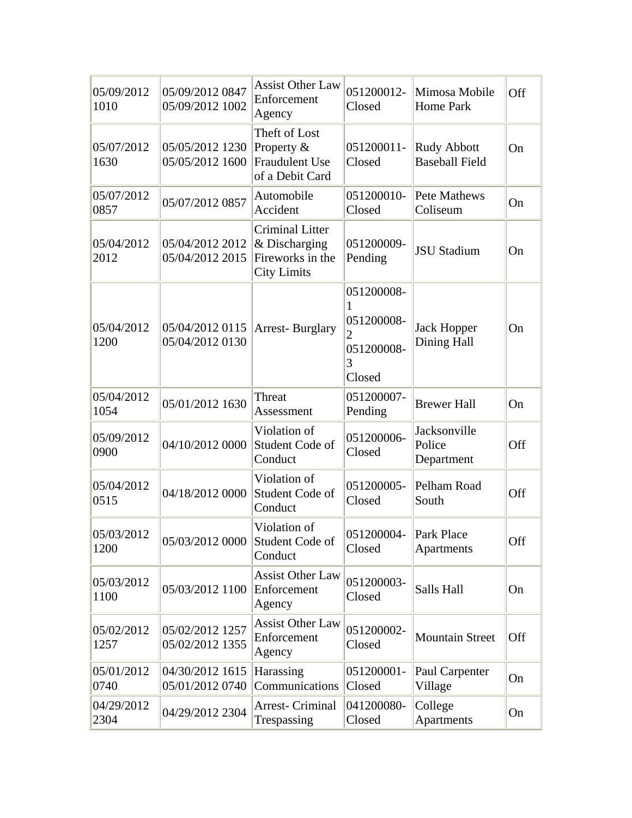| 05/09/2012<br>1010 | 05/09/2012 0847<br>05/09/2012 1002 | <b>Assist Other Law</b><br>Enforcement<br>Agency                                  | 051200012-<br>Closed                                  | Mimosa Mobile<br><b>Home Park</b>           | Off |
|--------------------|------------------------------------|-----------------------------------------------------------------------------------|-------------------------------------------------------|---------------------------------------------|-----|
| 05/07/2012<br>1630 | 05/05/2012 1230<br>05/05/2012 1600 | Theft of Lost<br>Property &<br><b>Fraudulent Use</b><br>of a Debit Card           | 051200011-<br>Closed                                  | <b>Rudy Abbott</b><br><b>Baseball Field</b> | On  |
| 05/07/2012<br>0857 | 05/07/2012 0857                    | Automobile<br>Accident                                                            | 051200010-<br>Closed                                  | Pete Mathews<br>Coliseum                    | On  |
| 05/04/2012<br>2012 | 05/04/2012 2012<br>05/04/2012 2015 | <b>Criminal Litter</b><br>& Discharging<br>Fireworks in the<br><b>City Limits</b> | 051200009-<br>Pending                                 | <b>JSU Stadium</b>                          | On  |
| 05/04/2012<br>1200 | 05/04/2012 0115<br>05/04/2012 0130 | <b>Arrest-Burglary</b>                                                            | 051200008-<br>051200008-<br>051200008-<br>3<br>Closed | <b>Jack Hopper</b><br>Dining Hall           | On  |
| 05/04/2012<br>1054 | 05/01/2012 1630                    | Threat<br>Assessment                                                              | 051200007-<br>Pending                                 | <b>Brewer Hall</b>                          | On  |
| 05/09/2012<br>0900 | 04/10/2012 0000                    | Violation of<br>Student Code of<br>Conduct                                        | 051200006-<br>Closed                                  | Jacksonville<br>Police<br>Department        | Off |
| 05/04/2012<br>0515 | 04/18/2012 0000                    | Violation of<br>Student Code of<br>Conduct                                        | 051200005-<br>Closed                                  | Pelham Road<br>South                        | Off |
| 05/03/2012<br>1200 | 05/03/2012 0000                    | Violation of<br>Student Code of<br>Conduct                                        | 051200004-<br>Closed                                  | Park Place<br>Apartments                    | Off |
| 05/03/2012<br>1100 | 05/03/2012 1100                    | <b>Assist Other Law</b><br>Enforcement<br>Agency                                  | 051200003-<br>Closed                                  | Salls Hall                                  | On  |
| 05/02/2012<br>1257 | 05/02/2012 1257<br>05/02/2012 1355 | <b>Assist Other Law</b><br>Enforcement<br>Agency                                  | 051200002-<br>Closed                                  | <b>Mountain Street</b>                      | Off |
| 05/01/2012<br>0740 | 04/30/2012 1615<br>05/01/2012 0740 | Harassing<br>Communications                                                       | 051200001-<br>Closed                                  | Paul Carpenter<br>Village                   | On  |
| 04/29/2012<br>2304 | 04/29/2012 2304                    | Arrest- Criminal<br>Trespassing                                                   | 041200080-<br>Closed                                  | College<br>Apartments                       | On  |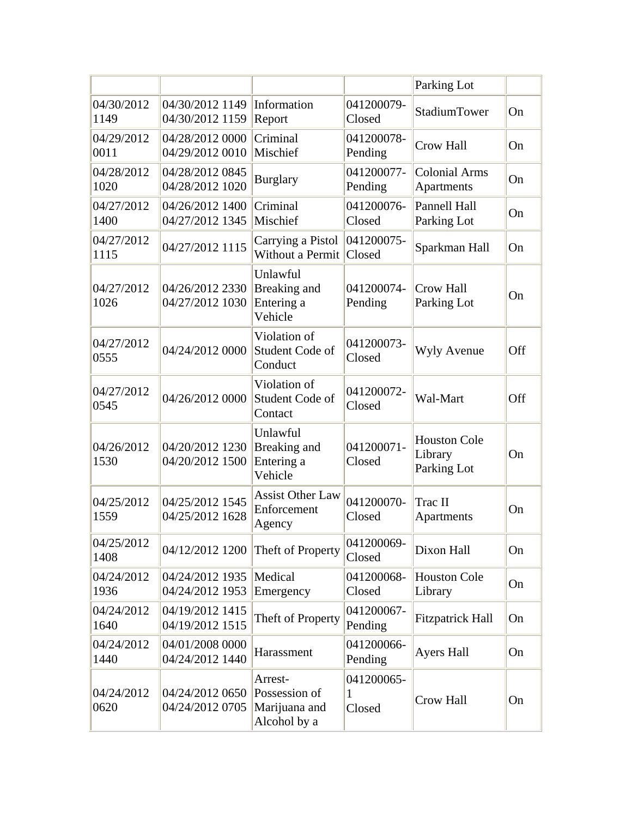|                    |                                    |                                                           |                           | Parking Lot                                   |     |
|--------------------|------------------------------------|-----------------------------------------------------------|---------------------------|-----------------------------------------------|-----|
| 04/30/2012<br>1149 | 04/30/2012 1149<br>04/30/2012 1159 | Information<br>Report                                     | 041200079-<br>Closed      | <b>StadiumTower</b>                           | On  |
| 04/29/2012<br>0011 | 04/28/2012 0000<br>04/29/2012 0010 | Criminal<br>Mischief                                      | 041200078-<br>Pending     | <b>Crow Hall</b>                              | On  |
| 04/28/2012<br>1020 | 04/28/2012 0845<br>04/28/2012 1020 | <b>Burglary</b>                                           | 041200077-<br>Pending     | <b>Colonial Arms</b><br>Apartments            | On  |
| 04/27/2012<br>1400 | 04/26/2012 1400<br>04/27/2012 1345 | Criminal<br>Mischief                                      | 041200076-<br>Closed      | <b>Pannell Hall</b><br>Parking Lot            | On  |
| 04/27/2012<br>1115 | 04/27/2012 1115                    | Carrying a Pistol<br>Without a Permit                     | 041200075-<br>Closed      | Sparkman Hall                                 | On  |
| 04/27/2012<br>1026 | 04/26/2012 2330<br>04/27/2012 1030 | Unlawful<br>Breaking and<br>Entering a<br>Vehicle         | 041200074-<br>Pending     | <b>Crow Hall</b><br>Parking Lot               | On  |
| 04/27/2012<br>0555 | 04/24/2012 0000                    | Violation of<br>Student Code of<br>Conduct                | 041200073-<br>Closed      | <b>Wyly Avenue</b>                            | Off |
| 04/27/2012<br>0545 | 04/26/2012 0000                    | Violation of<br>Student Code of<br>Contact                | 041200072-<br>Closed      | Wal-Mart                                      | Off |
| 04/26/2012<br>1530 | 04/20/2012 1230<br>04/20/2012 1500 | Unlawful<br>Breaking and<br>Entering a<br>Vehicle         | 041200071-<br>Closed      | <b>Houston Cole</b><br>Library<br>Parking Lot | On  |
| 04/25/2012<br>1559 | 04/25/2012 1545<br>04/25/2012 1628 | <b>Assist Other Law</b><br>Enforcement<br>Agency          | 041200070-<br>Closed      | Trac II<br>Apartments                         | On  |
| 04/25/2012<br>1408 | 04/12/2012 1200                    | Theft of Property                                         | 041200069-<br>Closed      | Dixon Hall                                    | On  |
| 04/24/2012<br>1936 | 04/24/2012 1935<br>04/24/2012 1953 | Medical<br>Emergency                                      | 041200068-<br>Closed      | <b>Houston Cole</b><br>Library                | On  |
| 04/24/2012<br>1640 | 04/19/2012 1415<br>04/19/2012 1515 | Theft of Property                                         | 041200067-<br>Pending     | <b>Fitzpatrick Hall</b>                       | On  |
| 04/24/2012<br>1440 | 04/01/2008 0000<br>04/24/2012 1440 | Harassment                                                | 041200066-<br>Pending     | <b>Ayers Hall</b>                             | On  |
| 04/24/2012<br>0620 | 04/24/2012 0650<br>04/24/2012 0705 | Arrest-<br>Possession of<br>Marijuana and<br>Alcohol by a | 041200065-<br>1<br>Closed | <b>Crow Hall</b>                              | On  |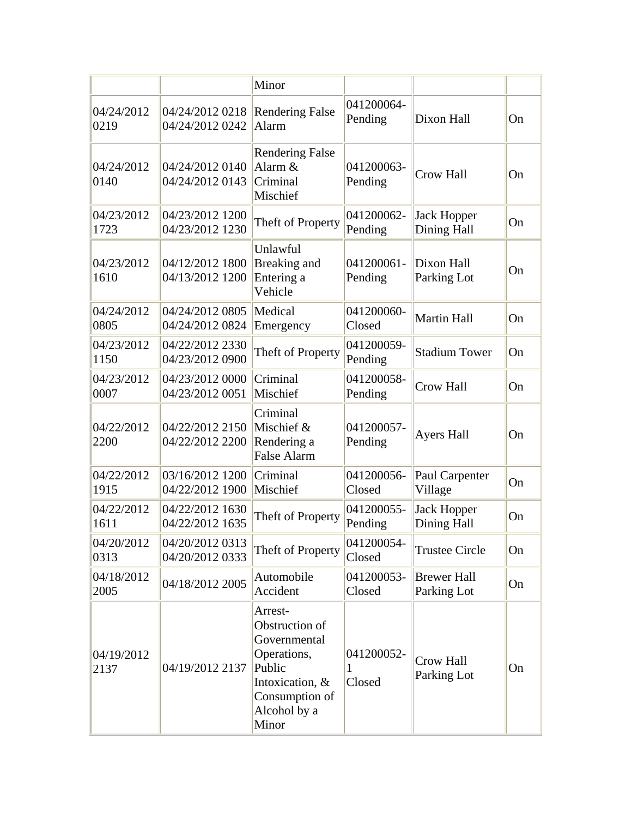|                    |                                    | Minor                                                                                                                            |                           |                                   |    |
|--------------------|------------------------------------|----------------------------------------------------------------------------------------------------------------------------------|---------------------------|-----------------------------------|----|
| 04/24/2012<br>0219 | 04/24/2012 0218<br>04/24/2012 0242 | <b>Rendering False</b><br>Alarm                                                                                                  | 041200064-<br>Pending     | Dixon Hall                        | On |
| 04/24/2012<br>0140 | 04/24/2012 0140<br>04/24/2012 0143 | <b>Rendering False</b><br>Alarm &<br>Criminal<br>Mischief                                                                        | 041200063-<br>Pending     | <b>Crow Hall</b>                  | On |
| 04/23/2012<br>1723 | 04/23/2012 1200<br>04/23/2012 1230 | Theft of Property                                                                                                                | 041200062-<br>Pending     | <b>Jack Hopper</b><br>Dining Hall | On |
| 04/23/2012<br>1610 | 04/12/2012 1800<br>04/13/2012 1200 | Unlawful<br>Breaking and<br>Entering a<br>Vehicle                                                                                | 041200061-<br>Pending     | Dixon Hall<br>Parking Lot         | On |
| 04/24/2012<br>0805 | 04/24/2012 0805<br>04/24/2012 0824 | Medical<br>Emergency                                                                                                             | 041200060-<br>Closed      | <b>Martin Hall</b>                | On |
| 04/23/2012<br>1150 | 04/22/2012 2330<br>04/23/2012 0900 | Theft of Property                                                                                                                | 041200059-<br>Pending     | <b>Stadium Tower</b>              | On |
| 04/23/2012<br>0007 | 04/23/2012 0000<br>04/23/2012 0051 | Criminal<br>Mischief                                                                                                             | 041200058-<br>Pending     | Crow Hall                         | On |
| 04/22/2012<br>2200 | 04/22/2012 2150<br>04/22/2012 2200 | Criminal<br>Mischief &<br>Rendering a<br><b>False Alarm</b>                                                                      | 041200057-<br>Pending     | <b>Ayers Hall</b>                 | On |
| 04/22/2012<br>1915 | 03/16/2012 1200<br>04/22/2012 1900 | Criminal<br>Mischief                                                                                                             | 041200056-<br>Closed      | Paul Carpenter<br>Village         | On |
| 04/22/2012<br>1611 | 04/22/2012 1630<br>04/22/2012 1635 | Theft of Property                                                                                                                | 041200055-<br>Pending     | <b>Jack Hopper</b><br>Dining Hall | On |
| 04/20/2012<br>0313 | 04/20/2012 0313<br>04/20/2012 0333 | Theft of Property                                                                                                                | 041200054-<br>Closed      | <b>Trustee Circle</b>             | On |
| 04/18/2012<br>2005 | 04/18/2012 2005                    | Automobile<br>Accident                                                                                                           | 041200053-<br>Closed      | <b>Brewer Hall</b><br>Parking Lot | On |
| 04/19/2012<br>2137 | 04/19/2012 2137                    | Arrest-<br>Obstruction of<br>Governmental<br>Operations,<br>Public<br>Intoxication, &<br>Consumption of<br>Alcohol by a<br>Minor | 041200052-<br>1<br>Closed | Crow Hall<br>Parking Lot          | On |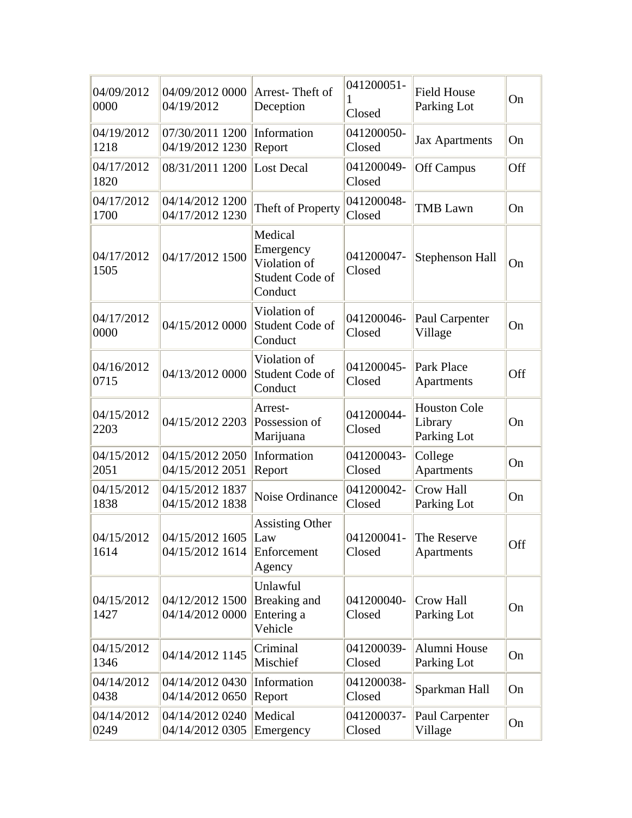| 04/09/2012<br>0000 | 04/09/2012 0000<br>04/19/2012                  | Arrest-Theft of<br>Deception                                       | 041200051-<br>Closed | <b>Field House</b><br>Parking Lot             | On  |
|--------------------|------------------------------------------------|--------------------------------------------------------------------|----------------------|-----------------------------------------------|-----|
| 04/19/2012<br>1218 | 07/30/2011 1200<br>04/19/2012 1230             | Information<br>Report                                              | 041200050-<br>Closed | <b>Jax Apartments</b>                         | On  |
| 04/17/2012<br>1820 | 08/31/2011 1200                                | <b>Lost Decal</b>                                                  | 041200049-<br>Closed | Off Campus                                    | Off |
| 04/17/2012<br>1700 | 04/14/2012 1200<br>04/17/2012 1230             | Theft of Property                                                  | 041200048-<br>Closed | <b>TMB</b> Lawn                               | On  |
| 04/17/2012<br>1505 | 04/17/2012 1500                                | Medical<br>Emergency<br>Violation of<br>Student Code of<br>Conduct | 041200047-<br>Closed | Stephenson Hall                               | On  |
| 04/17/2012<br>0000 | 04/15/2012 0000                                | Violation of<br>Student Code of<br>Conduct                         | 041200046-<br>Closed | Paul Carpenter<br>Village                     | On  |
| 04/16/2012<br>0715 | 04/13/2012 0000                                | Violation of<br>Student Code of<br>Conduct                         | 041200045-<br>Closed | Park Place<br>Apartments                      | Off |
| 04/15/2012<br>2203 | 04/15/2012 2203                                | Arrest-<br>Possession of<br>Marijuana                              | 041200044-<br>Closed | <b>Houston Cole</b><br>Library<br>Parking Lot | On  |
| 04/15/2012<br>2051 | 04/15/2012 2050<br>04/15/2012 2051             | Information<br>Report                                              | 041200043-<br>Closed | College<br>Apartments                         | On  |
| 04/15/2012<br>1838 | 04/15/2012 1837<br>04/15/2012 1838             | Noise Ordinance                                                    | 041200042-<br>Closed | Crow Hall<br>Parking Lot                      | On  |
| 04/15/2012<br>1614 | 04/15/2012 1605<br>04/15/2012 1614 Enforcement | <b>Assisting Other</b><br>Law<br>Agency                            | Closed               | 041200041- The Reserve<br>Apartments          | Off |
| 04/15/2012<br>1427 | 04/12/2012 1500<br>04/14/2012 0000             | Unlawful<br>Breaking and<br>Entering a<br>Vehicle                  | 041200040-<br>Closed | Crow Hall<br>Parking Lot                      | On  |
| 04/15/2012<br>1346 | 04/14/2012 1145                                | Criminal<br>Mischief                                               | 041200039-<br>Closed | Alumni House<br>Parking Lot                   | On  |
| 04/14/2012<br>0438 | 04/14/2012 0430<br>04/14/2012 0650             | Information<br>Report                                              | 041200038-<br>Closed | Sparkman Hall                                 | On  |
| 04/14/2012<br>0249 | 04/14/2012 0240<br>04/14/2012 0305             | Medical<br>Emergency                                               | 041200037-<br>Closed | Paul Carpenter<br>Village                     | On  |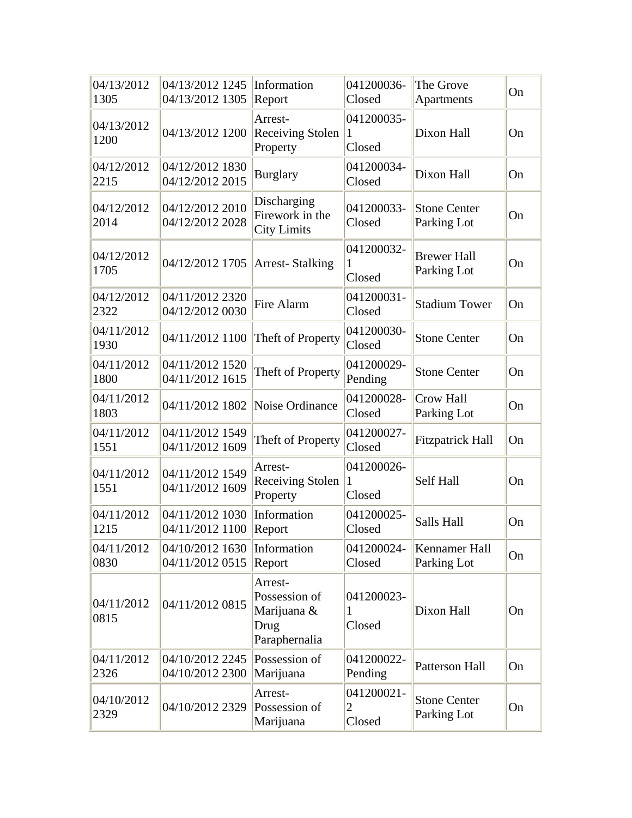| 04/13/2012<br>1305 | 04/13/2012 1245<br>04/13/2012 1305 | Information<br>Report                                            | 041200036-<br>Closed                   | The Grove<br>Apartments            | On |
|--------------------|------------------------------------|------------------------------------------------------------------|----------------------------------------|------------------------------------|----|
| 04/13/2012<br>1200 | 04/13/2012 1200                    | Arrest-<br><b>Receiving Stolen</b><br>Property                   | 041200035-<br>1<br>Closed              | Dixon Hall                         | On |
| 04/12/2012<br>2215 | 04/12/2012 1830<br>04/12/2012 2015 | <b>Burglary</b>                                                  | 041200034-<br>Closed                   | Dixon Hall                         | On |
| 04/12/2012<br>2014 | 04/12/2012 2010<br>04/12/2012 2028 | Discharging<br>Firework in the<br><b>City Limits</b>             | 041200033-<br>Closed                   | <b>Stone Center</b><br>Parking Lot | On |
| 04/12/2012<br>1705 | 04/12/2012 1705                    | <b>Arrest-Stalking</b>                                           | 041200032-<br>1<br>Closed              | <b>Brewer Hall</b><br>Parking Lot  | On |
| 04/12/2012<br>2322 | 04/11/2012 2320<br>04/12/2012 0030 | Fire Alarm                                                       | 041200031-<br>Closed                   | <b>Stadium Tower</b>               | On |
| 04/11/2012<br>1930 | 04/11/2012 1100                    | Theft of Property                                                | 041200030-<br>Closed                   | <b>Stone Center</b>                | On |
| 04/11/2012<br>1800 | 04/11/2012 1520<br>04/11/2012 1615 | Theft of Property                                                | 041200029-<br>Pending                  | <b>Stone Center</b>                | On |
| 04/11/2012<br>1803 | 04/11/2012 1802                    | Noise Ordinance                                                  | 041200028-<br>Closed                   | Crow Hall<br>Parking Lot           | On |
| 04/11/2012<br>1551 | 04/11/2012 1549<br>04/11/2012 1609 | Theft of Property                                                | 041200027-<br>Closed                   | <b>Fitzpatrick Hall</b>            | On |
| 04/11/2012<br>1551 | 04/11/2012 1549<br>04/11/2012 1609 | Arrest-<br><b>Receiving Stolen</b><br>Property                   | 041200026-<br>1<br>Closed              | Self Hall                          | On |
| 04/11/2012<br>1215 | 04/11/2012 1030<br>04/11/2012 1100 | Information<br>Report                                            | 041200025-<br>Closed                   | Salls Hall                         | On |
| 04/11/2012<br>0830 | 04/10/2012 1630<br>04/11/2012 0515 | Information<br>Report                                            | 041200024-<br>Closed                   | Kennamer Hall<br>Parking Lot       | On |
| 04/11/2012<br>0815 | 04/11/2012 0815                    | Arrest-<br>Possession of<br>Marijuana &<br>Drug<br>Paraphernalia | 041200023-<br>1<br>Closed              | Dixon Hall                         | On |
| 04/11/2012<br>2326 | 04/10/2012 2245<br>04/10/2012 2300 | Possession of<br>Marijuana                                       | 041200022-<br>Pending                  | <b>Patterson Hall</b>              | On |
| 04/10/2012<br>2329 | 04/10/2012 2329                    | Arrest-<br>Possession of<br>Marijuana                            | 041200021-<br>$\overline{2}$<br>Closed | <b>Stone Center</b><br>Parking Lot | On |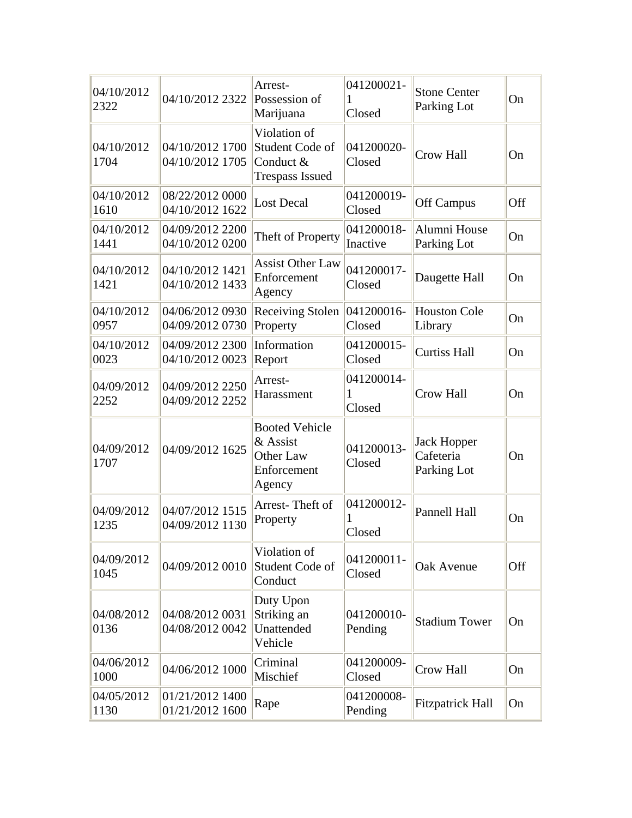| 04/10/2012<br>2322 | 04/10/2012 2322                    | Arrest-<br>Possession of<br>Marijuana                                    | 041200021-<br>1<br>Closed | <b>Stone Center</b><br>Parking Lot             | On  |
|--------------------|------------------------------------|--------------------------------------------------------------------------|---------------------------|------------------------------------------------|-----|
| 04/10/2012<br>1704 | 04/10/2012 1700<br>04/10/2012 1705 | Violation of<br>Student Code of<br>Conduct $&$<br><b>Trespass Issued</b> | 041200020-<br>Closed      | <b>Crow Hall</b>                               | On  |
| 04/10/2012<br>1610 | 08/22/2012 0000<br>04/10/2012 1622 | <b>Lost Decal</b>                                                        | 041200019-<br>Closed      | Off Campus                                     | Off |
| 04/10/2012<br>1441 | 04/09/2012 2200<br>04/10/2012 0200 | Theft of Property                                                        | 041200018-<br>Inactive    | Alumni House<br>Parking Lot                    | On  |
| 04/10/2012<br>1421 | 04/10/2012 1421<br>04/10/2012 1433 | <b>Assist Other Law</b><br>Enforcement<br>Agency                         | 041200017-<br>Closed      | Daugette Hall                                  | On  |
| 04/10/2012<br>0957 | 04/06/2012 0930<br>04/09/2012 0730 | <b>Receiving Stolen</b><br>Property                                      | 041200016-<br>Closed      | <b>Houston Cole</b><br>Library                 | On  |
| 04/10/2012<br>0023 | 04/09/2012 2300<br>04/10/2012 0023 | Information<br>Report                                                    | 041200015-<br>Closed      | <b>Curtiss Hall</b>                            | On  |
| 04/09/2012<br>2252 | 04/09/2012 2250<br>04/09/2012 2252 | Arrest-<br>Harassment                                                    | 041200014-<br>1<br>Closed | <b>Crow Hall</b>                               | On  |
| 04/09/2012<br>1707 | 04/09/2012 1625                    | <b>Booted Vehicle</b><br>& Assist<br>Other Law<br>Enforcement<br>Agency  | 041200013-<br>Closed      | <b>Jack Hopper</b><br>Cafeteria<br>Parking Lot | On  |
| 04/09/2012<br>1235 | 04/07/2012 1515<br>04/09/2012 1130 | Arrest-Theft of<br>Property                                              | 041200012-<br>Closed      | <b>Pannell Hall</b>                            | On  |
| 04/09/2012<br>1045 | 04/09/2012 0010                    | Violation of<br>Student Code of<br>Conduct                               | 041200011-<br>Closed      | Oak Avenue                                     | Off |
| 04/08/2012<br>0136 | 04/08/2012 0031<br>04/08/2012 0042 | Duty Upon<br>Striking an<br>Unattended<br>Vehicle                        | 041200010-<br>Pending     | <b>Stadium Tower</b>                           | On  |
| 04/06/2012<br>1000 | 04/06/2012 1000                    | Criminal<br>Mischief                                                     | 041200009-<br>Closed      | Crow Hall                                      | On  |
| 04/05/2012<br>1130 | 01/21/2012 1400<br>01/21/2012 1600 | Rape                                                                     | 041200008-<br>Pending     | <b>Fitzpatrick Hall</b>                        | On  |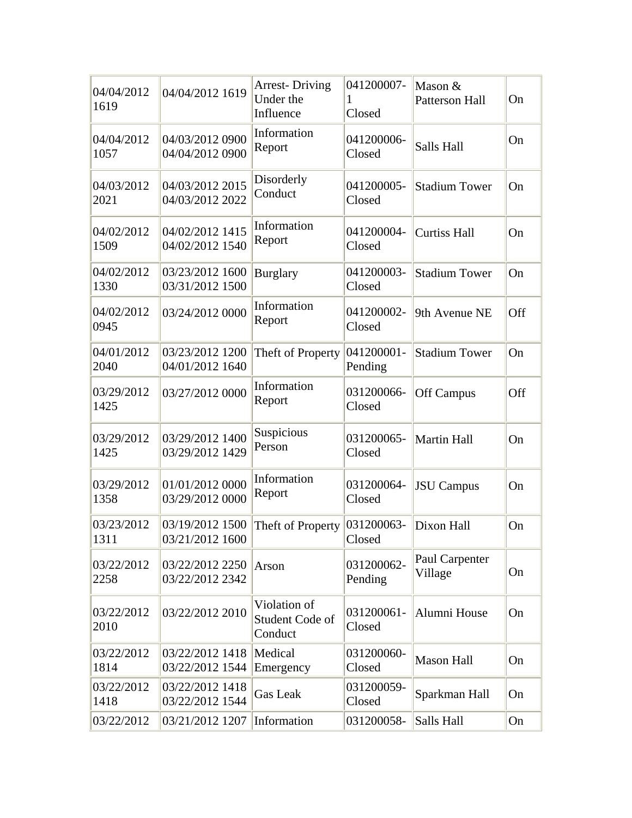| 04/04/2012<br>1619 | 04/04/2012 1619                    | <b>Arrest-Driving</b><br>Under the<br>Influence | 041200007-<br>1<br>Closed | Mason &<br>Patterson Hall | On  |
|--------------------|------------------------------------|-------------------------------------------------|---------------------------|---------------------------|-----|
| 04/04/2012<br>1057 | 04/03/2012 0900<br>04/04/2012 0900 | Information<br>Report                           | 041200006-<br>Closed      | Salls Hall                | On  |
| 04/03/2012<br>2021 | 04/03/2012 2015<br>04/03/2012 2022 | Disorderly<br>Conduct                           | 041200005-<br>Closed      | <b>Stadium Tower</b>      | On  |
| 04/02/2012<br>1509 | 04/02/2012 1415<br>04/02/2012 1540 | Information<br>Report                           | 041200004-<br>Closed      | <b>Curtiss Hall</b>       | On  |
| 04/02/2012<br>1330 | 03/23/2012 1600<br>03/31/2012 1500 | <b>Burglary</b>                                 | 041200003-<br>Closed      | <b>Stadium Tower</b>      | On  |
| 04/02/2012<br>0945 | 03/24/2012 0000                    | Information<br>Report                           | 041200002-<br>Closed      | 9th Avenue NE             | Off |
| 04/01/2012<br>2040 | 03/23/2012 1200<br>04/01/2012 1640 | Theft of Property                               | 041200001-<br>Pending     | <b>Stadium Tower</b>      | On  |
| 03/29/2012<br>1425 | 03/27/2012 0000                    | Information<br>Report                           | 031200066-<br>Closed      | <b>Off Campus</b>         | Off |
| 03/29/2012<br>1425 | 03/29/2012 1400<br>03/29/2012 1429 | Suspicious<br>Person                            | 031200065-<br>Closed      | Martin Hall               | On  |
| 03/29/2012<br>1358 | 01/01/2012 0000<br>03/29/2012 0000 | Information<br>Report                           | 031200064-<br>Closed      | <b>JSU</b> Campus         | On  |
| 03/23/2012<br>1311 | 03/19/2012 1500<br>03/21/2012 1600 | Theft of Property                               | 031200063-<br>Closed      | Dixon Hall                | On  |
| 03/22/2012<br>2258 | 03/22/2012 2250<br>03/22/2012 2342 | Arson                                           | 031200062-<br>Pending     | Paul Carpenter<br>Village | On  |
| 03/22/2012<br>2010 | 03/22/2012 2010                    | Violation of<br>Student Code of<br>Conduct      | 031200061-<br>Closed      | Alumni House              | On  |
| 03/22/2012<br>1814 | 03/22/2012 1418<br>03/22/2012 1544 | Medical<br>Emergency                            | 031200060-<br>Closed      | <b>Mason Hall</b>         | On  |
| 03/22/2012<br>1418 | 03/22/2012 1418<br>03/22/2012 1544 | <b>Gas Leak</b>                                 | 031200059-<br>Closed      | Sparkman Hall             | On  |
| 03/22/2012         | 03/21/2012 1207                    | Information                                     | 031200058-                | Salls Hall                | On  |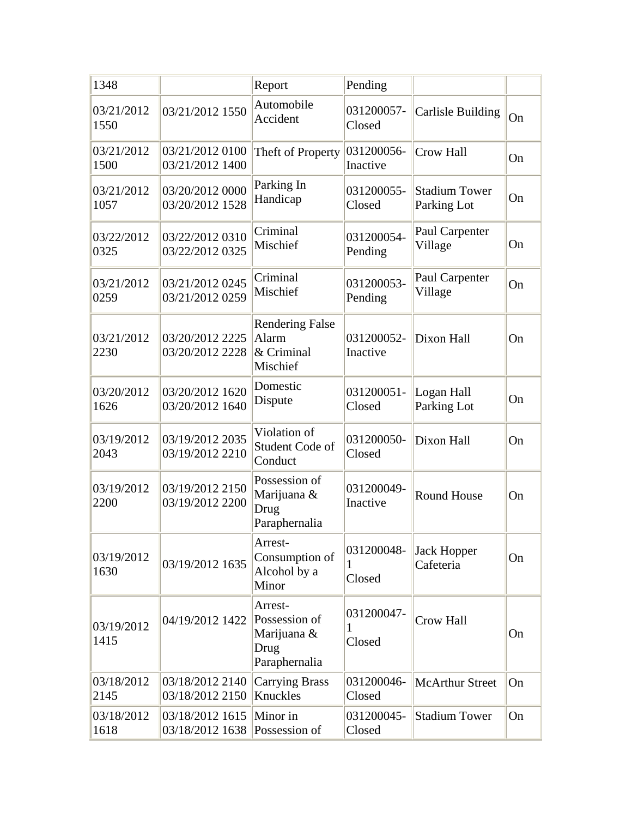| 1348               |                                    | Report                                                           | Pending                   |                                     |    |
|--------------------|------------------------------------|------------------------------------------------------------------|---------------------------|-------------------------------------|----|
| 03/21/2012<br>1550 | 03/21/2012 1550                    | Automobile<br>Accident                                           | 031200057-<br>Closed      | Carlisle Building                   | On |
| 03/21/2012<br>1500 | 03/21/2012 0100<br>03/21/2012 1400 | Theft of Property                                                | 031200056-<br>Inactive    | <b>Crow Hall</b>                    | On |
| 03/21/2012<br>1057 | 03/20/2012 0000<br>03/20/2012 1528 | Parking In<br>Handicap                                           | 031200055-<br>Closed      | <b>Stadium Tower</b><br>Parking Lot | On |
| 03/22/2012<br>0325 | 03/22/2012 0310<br>03/22/2012 0325 | Criminal<br>Mischief                                             | 031200054-<br>Pending     | Paul Carpenter<br>Village           | On |
| 03/21/2012<br>0259 | 03/21/2012 0245<br>03/21/2012 0259 | Criminal<br>Mischief                                             | 031200053-<br>Pending     | Paul Carpenter<br>Village           | On |
| 03/21/2012<br>2230 | 03/20/2012 2225<br>03/20/2012 2228 | <b>Rendering False</b><br>Alarm<br>$\&$ Criminal<br>Mischief     | 031200052-<br>Inactive    | Dixon Hall                          | On |
| 03/20/2012<br>1626 | 03/20/2012 1620<br>03/20/2012 1640 | Domestic<br>Dispute                                              | 031200051-<br>Closed      | Logan Hall<br>Parking Lot           | On |
| 03/19/2012<br>2043 | 03/19/2012 2035<br>03/19/2012 2210 | Violation of<br>Student Code of<br>Conduct                       | 031200050-<br>Closed      | Dixon Hall                          | On |
| 03/19/2012<br>2200 | 03/19/2012 2150<br>03/19/2012 2200 | Possession of<br>Marijuana &<br>Drug<br>Paraphernalia            | 031200049-<br>Inactive    | <b>Round House</b>                  | On |
| 03/19/2012<br>1630 | 03/19/2012 1635                    | Arrest-<br>Consumption of<br>Alcohol by a<br>Minor               | 031200048-<br>1<br>Closed | <b>Jack Hopper</b><br>Cafeteria     | On |
| 03/19/2012<br>1415 | 04/19/2012 1422                    | Arrest-<br>Possession of<br>Marijuana &<br>Drug<br>Paraphernalia | 031200047-<br>1<br>Closed | Crow Hall                           | On |
| 03/18/2012<br>2145 | 03/18/2012 2140<br>03/18/2012 2150 | Carrying Brass<br>Knuckles                                       | 031200046-<br>Closed      | <b>McArthur Street</b>              | On |
| 03/18/2012<br>1618 | 03/18/2012 1615<br>03/18/2012 1638 | Minor in<br>Possession of                                        | 031200045-<br>Closed      | <b>Stadium Tower</b>                | On |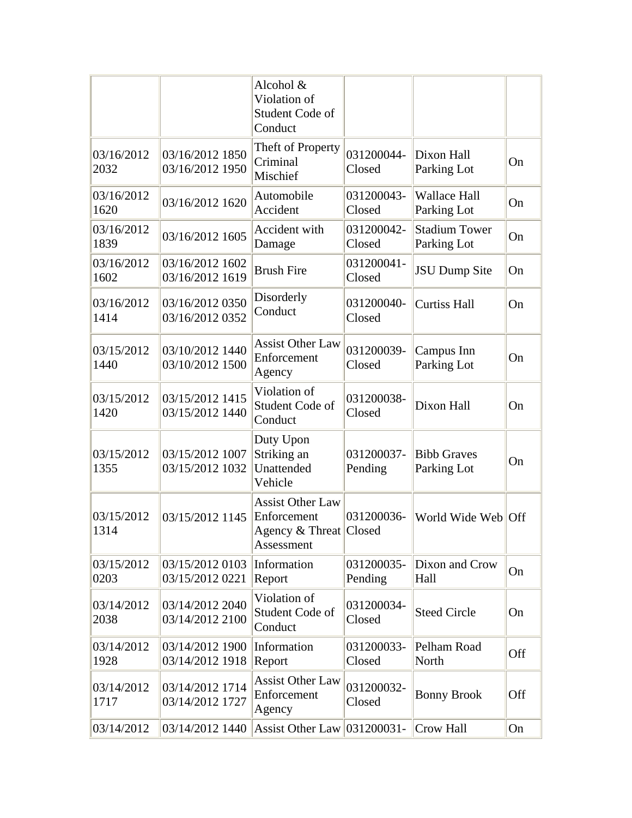|                    |                                    | Alcohol &<br>Violation of<br>Student Code of<br>Conduct                        |                       |                                     |     |
|--------------------|------------------------------------|--------------------------------------------------------------------------------|-----------------------|-------------------------------------|-----|
| 03/16/2012<br>2032 | 03/16/2012 1850<br>03/16/2012 1950 | Theft of Property<br>Criminal<br>Mischief                                      | 031200044-<br>Closed  | Dixon Hall<br>Parking Lot           | On  |
| 03/16/2012<br>1620 | 03/16/2012 1620                    | Automobile<br>Accident                                                         | 031200043-<br>Closed  | <b>Wallace Hall</b><br>Parking Lot  | On  |
| 03/16/2012<br>1839 | 03/16/2012 1605                    | Accident with<br>Damage                                                        | 031200042-<br>Closed  | <b>Stadium Tower</b><br>Parking Lot | On  |
| 03/16/2012<br>1602 | 03/16/2012 1602<br>03/16/2012 1619 | <b>Brush Fire</b>                                                              | 031200041-<br>Closed  | <b>JSU Dump Site</b>                | On  |
| 03/16/2012<br>1414 | 03/16/2012 0350<br>03/16/2012 0352 | Disorderly<br>Conduct                                                          | 031200040-<br>Closed  | <b>Curtiss Hall</b>                 | On  |
| 03/15/2012<br>1440 | 03/10/2012 1440<br>03/10/2012 1500 | <b>Assist Other Law</b><br>Enforcement<br>Agency                               | 031200039-<br>Closed  | Campus Inn<br>Parking Lot           | On  |
| 03/15/2012<br>1420 | 03/15/2012 1415<br>03/15/2012 1440 | Violation of<br>Student Code of<br>Conduct                                     | 031200038-<br>Closed  | Dixon Hall                          | On  |
| 03/15/2012<br>1355 | 03/15/2012 1007<br>03/15/2012 1032 | Duty Upon<br>Striking an<br>Unattended<br>Vehicle                              | 031200037-<br>Pending | <b>Bibb Graves</b><br>Parking Lot   | On  |
| 03/15/2012<br>1314 | 03/15/2012 1145                    | <b>Assist Other Law</b><br>Enforcement<br>Agency & Threat Closed<br>Assessment | 031200036-            | World Wide Web Off                  |     |
| 03/15/2012<br>0203 | 03/15/2012 0103<br>03/15/2012 0221 | Information<br>Report                                                          | 031200035-<br>Pending | Dixon and Crow<br>Hall              | On  |
| 03/14/2012<br>2038 | 03/14/2012 2040<br>03/14/2012 2100 | Violation of<br>Student Code of<br>Conduct                                     | 031200034-<br>Closed  | <b>Steed Circle</b>                 | On  |
| 03/14/2012<br>1928 | 03/14/2012 1900<br>03/14/2012 1918 | Information<br>Report                                                          | 031200033-<br>Closed  | Pelham Road<br>North                | Off |
| 03/14/2012<br>1717 | 03/14/2012 1714<br>03/14/2012 1727 | <b>Assist Other Law</b><br>Enforcement<br>Agency                               | 031200032-<br>Closed  | <b>Bonny Brook</b>                  | Off |
| 03/14/2012         | 03/14/2012 1440                    | <b>Assist Other Law</b>                                                        | 031200031-            | Crow Hall                           | On  |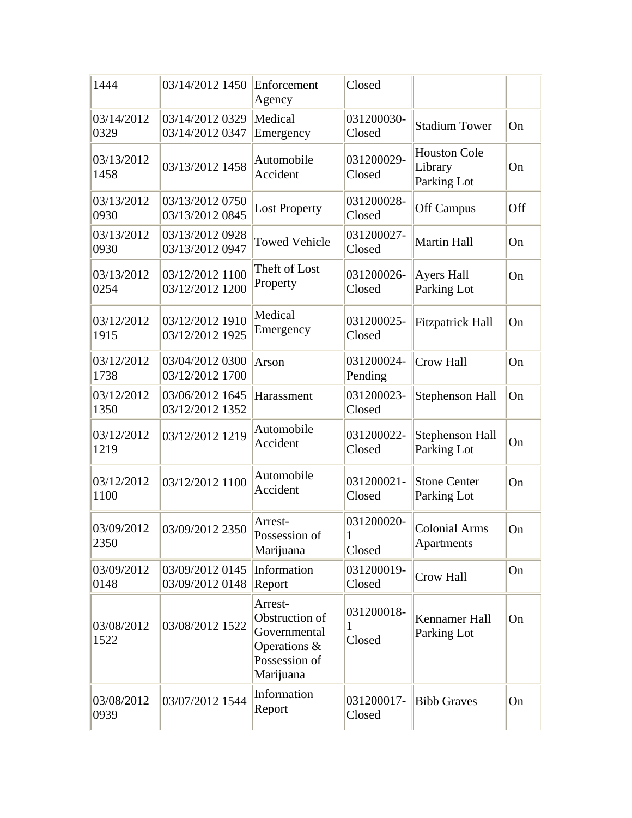| 1444               | 03/14/2012 1450                    | Enforcement<br>Agency                                                                   | Closed                    |                                               |     |
|--------------------|------------------------------------|-----------------------------------------------------------------------------------------|---------------------------|-----------------------------------------------|-----|
| 03/14/2012<br>0329 | 03/14/2012 0329<br>03/14/2012 0347 | Medical<br>Emergency                                                                    | 031200030-<br>Closed      | <b>Stadium Tower</b>                          | On  |
| 03/13/2012<br>1458 | 03/13/2012 1458                    | Automobile<br>Accident                                                                  | 031200029-<br>Closed      | <b>Houston Cole</b><br>Library<br>Parking Lot | On  |
| 03/13/2012<br>0930 | 03/13/2012 0750<br>03/13/2012 0845 | <b>Lost Property</b>                                                                    | 031200028-<br>Closed      | <b>Off Campus</b>                             | Off |
| 03/13/2012<br>0930 | 03/13/2012 0928<br>03/13/2012 0947 | <b>Towed Vehicle</b>                                                                    | 031200027-<br>Closed      | <b>Martin Hall</b>                            | On  |
| 03/13/2012<br>0254 | 03/12/2012 1100<br>03/12/2012 1200 | Theft of Lost<br>Property                                                               | 031200026-<br>Closed      | <b>Ayers Hall</b><br>Parking Lot              | On  |
| 03/12/2012<br>1915 | 03/12/2012 1910<br>03/12/2012 1925 | Medical<br>Emergency                                                                    | 031200025-<br>Closed      | <b>Fitzpatrick Hall</b>                       | On  |
| 03/12/2012<br>1738 | 03/04/2012 0300<br>03/12/2012 1700 | Arson                                                                                   | 031200024-<br>Pending     | Crow Hall                                     | On  |
| 03/12/2012<br>1350 | 03/06/2012 1645<br>03/12/2012 1352 | Harassment                                                                              | 031200023-<br>Closed      | Stephenson Hall                               | On  |
| 03/12/2012<br>1219 | 03/12/2012 1219                    | Automobile<br>Accident                                                                  | 031200022-<br>Closed      | Stephenson Hall<br>Parking Lot                | On  |
| 03/12/2012<br>1100 | 03/12/2012 1100                    | Automobile<br>Accident                                                                  | 031200021-<br>Closed      | <b>Stone Center</b><br>Parking Lot            | On  |
| 03/09/2012<br>2350 | 03/09/2012 2350                    | Arrest-<br>Possession of<br>Marijuana                                                   | 031200020-<br>1<br>Closed | <b>Colonial Arms</b><br>Apartments            | On  |
| 03/09/2012<br>0148 | 03/09/20120145<br>03/09/2012 0148  | Information<br>Report                                                                   | 031200019-<br>Closed      | Crow Hall                                     | On  |
| 03/08/2012<br>1522 | 03/08/2012 1522                    | Arrest-<br>Obstruction of<br>Governmental<br>Operations &<br>Possession of<br>Marijuana | 031200018-<br>1<br>Closed | Kennamer Hall<br>Parking Lot                  | On  |
| 03/08/2012<br>0939 | 03/07/2012 1544                    | Information<br>Report                                                                   | 031200017-<br>Closed      | <b>Bibb Graves</b>                            | On  |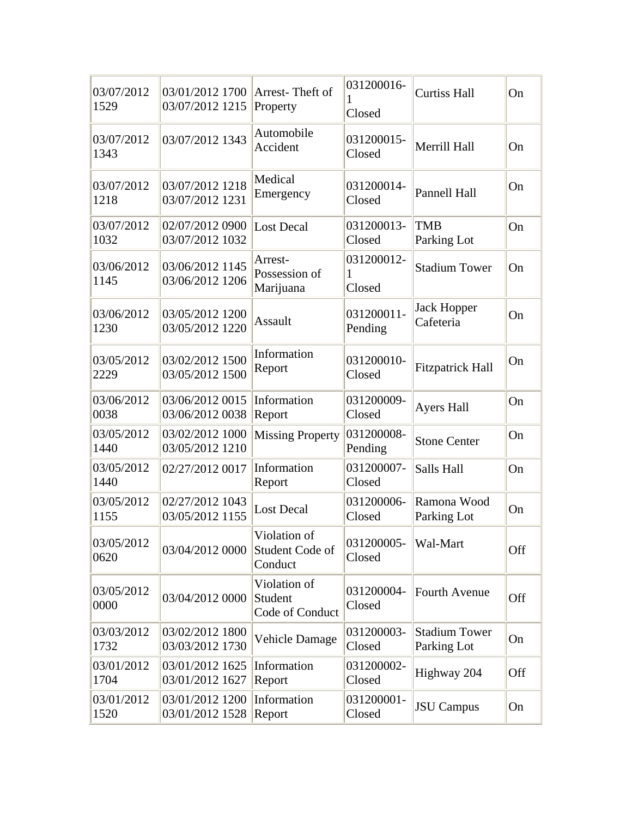| 03/07/2012<br>1529 | 03/01/2012 1700<br>03/07/2012 1215 | Arrest-Theft of<br>Property                | 031200016-<br>Closed      | <b>Curtiss Hall</b>                 | On  |
|--------------------|------------------------------------|--------------------------------------------|---------------------------|-------------------------------------|-----|
| 03/07/2012<br>1343 | 03/07/2012 1343                    | Automobile<br>Accident                     | 031200015-<br>Closed      | Merrill Hall                        | On  |
| 03/07/2012<br>1218 | 03/07/2012 1218<br>03/07/2012 1231 | Medical<br>Emergency                       | 031200014-<br>Closed      | Pannell Hall                        | On  |
| 03/07/2012<br>1032 | 02/07/2012 0900<br>03/07/2012 1032 | <b>Lost Decal</b>                          | 031200013-<br>Closed      | <b>TMB</b><br>Parking Lot           | On  |
| 03/06/2012<br>1145 | 03/06/2012 1145<br>03/06/2012 1206 | Arrest-<br>Possession of<br>Marijuana      | 031200012-<br>1<br>Closed | <b>Stadium Tower</b>                | On  |
| 03/06/2012<br>1230 | 03/05/2012 1200<br>03/05/2012 1220 | Assault                                    | 031200011-<br>Pending     | <b>Jack Hopper</b><br>Cafeteria     | On  |
| 03/05/2012<br>2229 | 03/02/2012 1500<br>03/05/2012 1500 | Information<br>Report                      | 031200010-<br>Closed      | <b>Fitzpatrick Hall</b>             | On  |
| 03/06/2012<br>0038 | 03/06/2012 0015<br>03/06/2012 0038 | Information<br>Report                      | 031200009-<br>Closed      | <b>Ayers Hall</b>                   | On  |
| 03/05/2012<br>1440 | 03/02/2012 1000<br>03/05/2012 1210 | <b>Missing Property</b>                    | 031200008-<br>Pending     | <b>Stone Center</b>                 | On  |
| 03/05/2012<br>1440 | 02/27/2012 0017                    | Information<br>Report                      | 031200007-<br>Closed      | Salls Hall                          | On  |
| 03/05/2012<br>1155 | 02/27/2012 1043<br>03/05/2012 1155 | <b>Lost Decal</b>                          | 031200006-<br>Closed      | Ramona Wood<br>Parking Lot          | On  |
| 03/05/2012<br>0620 | 03/04/2012 0000                    | Violation of<br>Student Code of<br>Conduct | 031200005-<br>Closed      | Wal-Mart                            | Off |
| 03/05/2012<br>0000 | 03/04/2012 0000                    | Violation of<br>Student<br>Code of Conduct | 031200004-<br>Closed      | <b>Fourth Avenue</b>                | Off |
| 03/03/2012<br>1732 | 03/02/2012 1800<br>03/03/2012 1730 | <b>Vehicle Damage</b>                      | 031200003-<br>Closed      | <b>Stadium Tower</b><br>Parking Lot | On  |
| 03/01/2012<br>1704 | 03/01/2012 1625<br>03/01/2012 1627 | Information<br>Report                      | 031200002-<br>Closed      | Highway 204                         | Off |
| 03/01/2012<br>1520 | 03/01/2012 1200<br>03/01/2012 1528 | Information<br>Report                      | 031200001-<br>Closed      | <b>JSU</b> Campus                   | On  |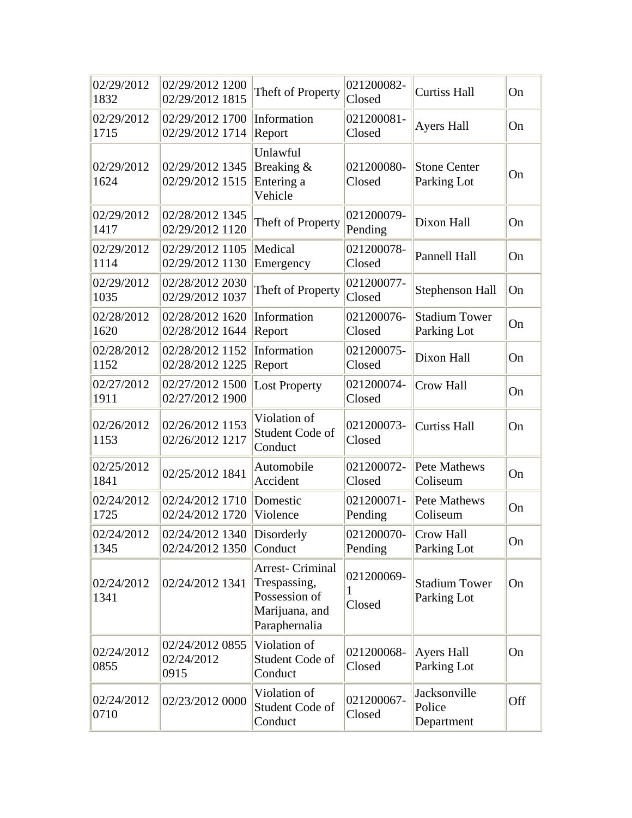| 02/29/2012<br>1832 | 02/29/2012 1200<br>02/29/2012 1815         | Theft of Property                                                                           | 021200082-<br>Closed      | <b>Curtiss Hall</b>                  | On  |
|--------------------|--------------------------------------------|---------------------------------------------------------------------------------------------|---------------------------|--------------------------------------|-----|
| 02/29/2012<br>1715 | 02/29/2012 1700<br>02/29/2012 1714         | Information<br>Report                                                                       | 021200081-<br>Closed      | <b>Ayers Hall</b>                    | On  |
| 02/29/2012<br>1624 | 02/29/2012 1345<br>02/29/2012 1515         | Unlawful<br>Breaking $\&$<br>Entering a<br>Vehicle                                          | 021200080-<br>Closed      | <b>Stone Center</b><br>Parking Lot   | On  |
| 02/29/2012<br>1417 | 02/28/2012 1345<br>02/29/2012 1120         | Theft of Property                                                                           | 021200079-<br>Pending     | Dixon Hall                           | On  |
| 02/29/2012<br>1114 | 02/29/2012 1105<br>02/29/2012 1130         | Medical<br>Emergency                                                                        | 021200078-<br>Closed      | Pannell Hall                         | On  |
| 02/29/2012<br>1035 | 02/28/2012 2030<br>02/29/2012 1037         | Theft of Property                                                                           | 021200077-<br>Closed      | <b>Stephenson Hall</b>               | On  |
| 02/28/2012<br>1620 | 02/28/2012 1620<br>02/28/2012 1644         | Information<br>Report                                                                       | 021200076-<br>Closed      | <b>Stadium Tower</b><br>Parking Lot  | On  |
| 02/28/2012<br>1152 | 02/28/2012 1152<br>02/28/2012 1225         | Information<br>Report                                                                       | 021200075-<br>Closed      | Dixon Hall                           | On  |
| 02/27/2012<br>1911 | 02/27/2012 1500<br>02/27/2012 1900         | <b>Lost Property</b>                                                                        | 021200074-<br>Closed      | Crow Hall                            | On  |
| 02/26/2012<br>1153 | 02/26/2012 1153<br>02/26/2012 1217         | Violation of<br>Student Code of<br>Conduct                                                  | 021200073-<br>Closed      | <b>Curtiss Hall</b>                  | On  |
| 02/25/2012<br>1841 | 02/25/2012 1841                            | Automobile<br>Accident                                                                      | 021200072-<br>Closed      | Pete Mathews<br>Coliseum             | On  |
| 02/24/2012<br>1725 | 02/24/2012 1710<br>02/24/2012 1720         | Domestic<br>Violence                                                                        | 021200071-<br>Pending     | Pete Mathews<br>Coliseum             | On  |
| 02/24/2012<br>1345 | 02/24/2012 1340<br>02/24/2012 1350 Conduct | Disorderly                                                                                  | 021200070-<br>Pending     | Crow Hall<br>Parking Lot             | On  |
| 02/24/2012<br>1341 | 02/24/2012 1341                            | <b>Arrest- Criminal</b><br>Trespassing,<br>Possession of<br>Marijuana, and<br>Paraphernalia | 021200069-<br>1<br>Closed | <b>Stadium Tower</b><br>Parking Lot  | On  |
| 02/24/2012<br>0855 | 02/24/2012 0855<br>02/24/2012<br>0915      | Violation of<br>Student Code of<br>Conduct                                                  | 021200068-<br>Closed      | <b>Ayers Hall</b><br>Parking Lot     | On  |
| 02/24/2012<br>0710 | 02/23/2012 0000                            | Violation of<br>Student Code of<br>Conduct                                                  | 021200067-<br>Closed      | Jacksonville<br>Police<br>Department | Off |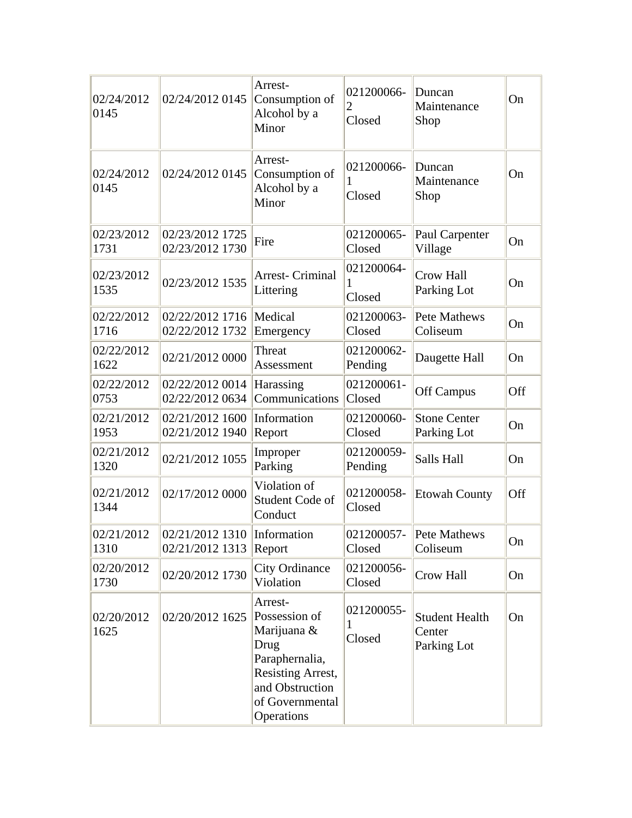| 02/24/2012<br>0145 | 02/24/2012 0145                                       | Arrest-<br>Consumption of<br>Alcohol by a<br>Minor                                                                                         | 021200066-<br>2<br>Closed | Duncan<br>Maintenance<br>Shop                  | On  |
|--------------------|-------------------------------------------------------|--------------------------------------------------------------------------------------------------------------------------------------------|---------------------------|------------------------------------------------|-----|
| 02/24/2012<br>0145 | 02/24/2012 0145                                       | Arrest-<br>Consumption of<br>Alcohol by a<br>Minor                                                                                         | 021200066-<br>1<br>Closed | Duncan<br>Maintenance<br>Shop                  | On  |
| 02/23/2012<br>1731 | 02/23/2012 1725<br>02/23/2012 1730                    | Fire                                                                                                                                       | 021200065-<br>Closed      | Paul Carpenter<br>Village                      | On  |
| 02/23/2012<br>1535 | 02/23/2012 1535                                       | Arrest- Criminal<br>Littering                                                                                                              | 021200064-<br>Closed      | Crow Hall<br>Parking Lot                       | On  |
| 02/22/2012<br>1716 | 02/22/2012 1716<br>02/22/2012 1732                    | Medical<br>Emergency                                                                                                                       | 021200063-<br>Closed      | <b>Pete Mathews</b><br>Coliseum                | On  |
| 02/22/2012<br>1622 | 02/21/2012 0000                                       | Threat<br>Assessment                                                                                                                       | 021200062-<br>Pending     | Daugette Hall                                  | On  |
| 02/22/2012<br>0753 | 02/22/2012 0014<br>02/22/2012 0634                    | Harassing<br>Communications                                                                                                                | 021200061-<br>Closed      | <b>Off Campus</b>                              | Off |
| 02/21/2012<br>1953 | $02/21/2012$ 1600<br>02/21/2012 1940                  | Information<br>Report                                                                                                                      | 021200060-<br>Closed      | <b>Stone Center</b><br>Parking Lot             | On  |
| 02/21/2012<br>1320 | 02/21/2012 1055                                       | Improper<br>Parking                                                                                                                        | 021200059-<br>Pending     | Salls Hall                                     | On  |
| 02/21/2012<br>1344 | 02/17/2012 0000                                       | Violation of<br>Student Code of<br>Conduct                                                                                                 | 021200058-<br>Closed      | <b>Etowah County</b>                           | Off |
| 02/21/2012<br>1310 | 02/21/2012 1310 Information<br>02/21/2012 1313 Report |                                                                                                                                            | Closed                    | 021200057- Pete Mathews<br>Coliseum            | On  |
| 02/20/2012<br>1730 | 02/20/2012 1730                                       | <b>City Ordinance</b><br>Violation                                                                                                         | 021200056-<br>Closed      | Crow Hall                                      | On  |
| 02/20/2012<br>1625 | 02/20/2012 1625                                       | Arrest-<br>Possession of<br>Marijuana &<br>Drug<br>Paraphernalia,<br>Resisting Arrest,<br>and Obstruction<br>of Governmental<br>Operations | 021200055-<br>1<br>Closed | <b>Student Health</b><br>Center<br>Parking Lot | On  |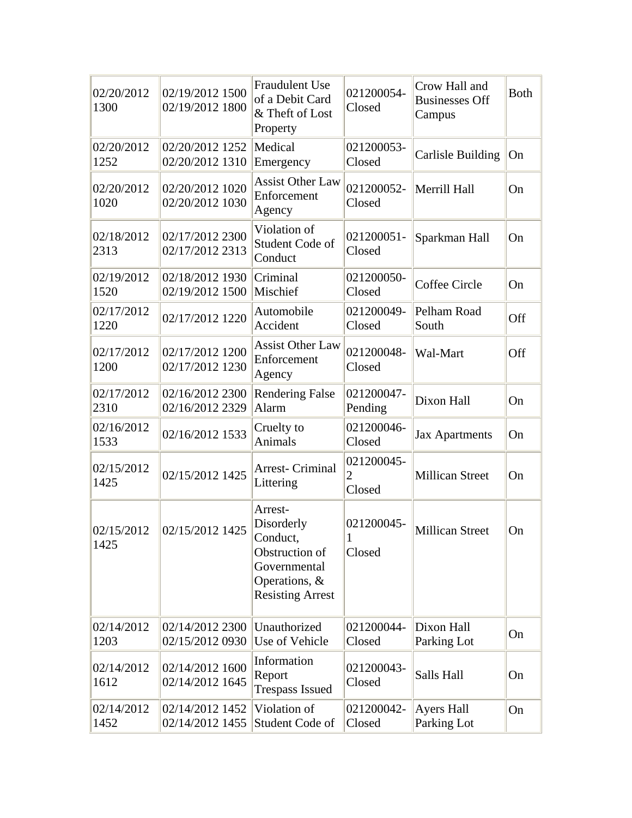| 02/20/2012<br>1300 | 02/19/2012 1500<br>02/19/2012 1800 | <b>Fraudulent Use</b><br>of a Debit Card<br>& Theft of Lost<br>Property                                         | 021200054-<br>Closed                   | Crow Hall and<br><b>Businesses Off</b><br>Campus | <b>Both</b> |
|--------------------|------------------------------------|-----------------------------------------------------------------------------------------------------------------|----------------------------------------|--------------------------------------------------|-------------|
| 02/20/2012<br>1252 | 02/20/2012 1252<br>02/20/2012 1310 | Medical<br>Emergency                                                                                            | 021200053-<br>Closed                   | <b>Carlisle Building</b>                         | On          |
| 02/20/2012<br>1020 | 02/20/2012 1020<br>02/20/2012 1030 | <b>Assist Other Law</b><br>Enforcement<br>Agency                                                                | 021200052-<br>Closed                   | Merrill Hall                                     | On          |
| 02/18/2012<br>2313 | 02/17/2012 2300<br>02/17/2012 2313 | Violation of<br>Student Code of<br>Conduct                                                                      | 021200051-<br>Closed                   | Sparkman Hall                                    | On          |
| 02/19/2012<br>1520 | 02/18/2012 1930<br>02/19/2012 1500 | Criminal<br>Mischief                                                                                            | 021200050-<br>Closed                   | Coffee Circle                                    | On          |
| 02/17/2012<br>1220 | 02/17/2012 1220                    | Automobile<br>Accident                                                                                          | 021200049-<br>Closed                   | Pelham Road<br>South                             | Off         |
| 02/17/2012<br>1200 | 02/17/2012 1200<br>02/17/2012 1230 | <b>Assist Other Law</b><br>Enforcement<br>Agency                                                                | 021200048-<br>Closed                   | Wal-Mart                                         | Off         |
| 02/17/2012<br>2310 | 02/16/2012 2300<br>02/16/2012 2329 | <b>Rendering False</b><br>Alarm                                                                                 | 021200047-<br>Pending                  | Dixon Hall                                       | On          |
| 02/16/2012<br>1533 | 02/16/2012 1533                    | Cruelty to<br>Animals                                                                                           | 021200046-<br>Closed                   | <b>Jax Apartments</b>                            | On          |
| 02/15/2012<br>1425 | 02/15/2012 1425                    | <b>Arrest- Criminal</b><br>Littering                                                                            | 021200045-<br>$\overline{2}$<br>Closed | <b>Millican Street</b>                           | On          |
| 02/15/2012<br>1425 | 02/15/2012 1425                    | Arrest-<br>Disorderly<br>Conduct,<br>Obstruction of<br>Governmental<br>Operations, &<br><b>Resisting Arrest</b> | 021200045-<br>1<br>Closed              | <b>Millican Street</b>                           | On          |
| 02/14/2012<br>1203 | 02/14/2012 2300<br>02/15/2012 0930 | Unauthorized<br>Use of Vehicle                                                                                  | 021200044-<br>Closed                   | Dixon Hall<br>Parking Lot                        | On          |
| 02/14/2012<br>1612 | 02/14/2012 1600<br>02/14/2012 1645 | Information<br>Report<br><b>Trespass Issued</b>                                                                 | 021200043-<br>Closed                   | Salls Hall                                       | On          |
| 02/14/2012<br>1452 | 02/14/2012 1452<br>02/14/2012 1455 | Violation of<br>Student Code of                                                                                 | 021200042-<br>Closed                   | Ayers Hall<br>Parking Lot                        | On          |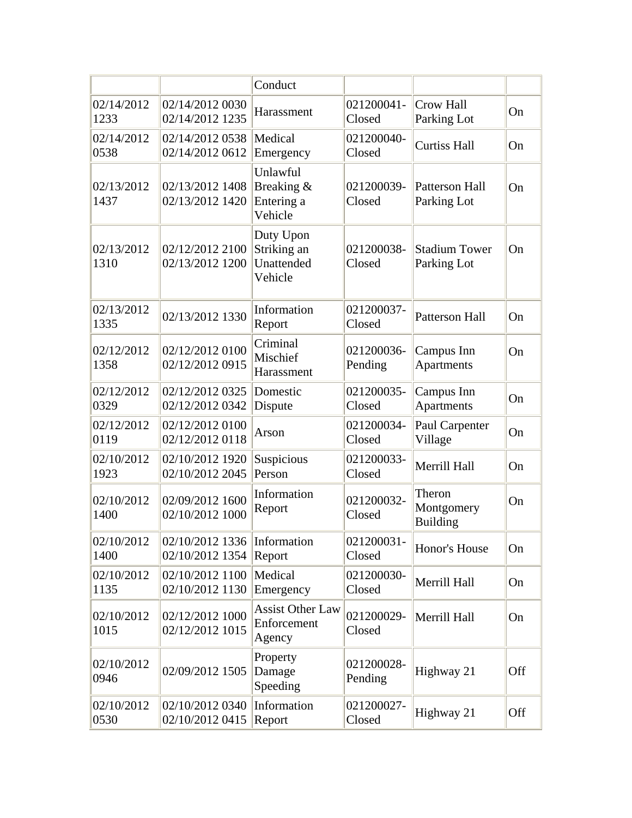|                    |                                    | Conduct                                           |                       |                                         |     |
|--------------------|------------------------------------|---------------------------------------------------|-----------------------|-----------------------------------------|-----|
| 02/14/2012<br>1233 | 02/14/2012 0030<br>02/14/2012 1235 | Harassment                                        | 021200041-<br>Closed  | <b>Crow Hall</b><br>Parking Lot         | On  |
| 02/14/2012<br>0538 | 02/14/2012 0538<br>02/14/2012 0612 | Medical<br>Emergency                              | 021200040-<br>Closed  | <b>Curtiss Hall</b>                     | On  |
| 02/13/2012<br>1437 | 02/13/2012 1408<br>02/13/2012 1420 | Unlawful<br>Breaking &<br>Entering a<br>Vehicle   | 021200039-<br>Closed  | Patterson Hall<br>Parking Lot           | On  |
| 02/13/2012<br>1310 | 02/12/2012 2100<br>02/13/2012 1200 | Duty Upon<br>Striking an<br>Unattended<br>Vehicle | 021200038-<br>Closed  | <b>Stadium Tower</b><br>Parking Lot     | On  |
| 02/13/2012<br>1335 | 02/13/2012 1330                    | Information<br>Report                             | 021200037-<br>Closed  | <b>Patterson Hall</b>                   | On  |
| 02/12/2012<br>1358 | 02/12/2012 0100<br>02/12/2012 0915 | Criminal<br>Mischief<br>Harassment                | 021200036-<br>Pending | Campus Inn<br>Apartments                | On  |
| 02/12/2012<br>0329 | 02/12/2012 0325<br>02/12/2012 0342 | Domestic<br>Dispute                               | 021200035-<br>Closed  | Campus Inn<br>Apartments                | On  |
| 02/12/2012<br>0119 | 02/12/2012 0100<br>02/12/2012 0118 | Arson                                             | 021200034-<br>Closed  | Paul Carpenter<br>Village               | On  |
| 02/10/2012<br>1923 | 02/10/2012 1920<br>02/10/2012 2045 | Suspicious<br>Person                              | 021200033-<br>Closed  | Merrill Hall                            | On  |
| 02/10/2012<br>1400 | 02/09/2012 1600<br>02/10/2012 1000 | Information<br>Report                             | 021200032-<br>Closed  | Theron<br>Montgomery<br><b>Building</b> | On  |
| 02/10/2012<br>1400 | 02/10/2012 1336<br>02/10/2012 1354 | Information<br>Report                             | 021200031-<br>Closed  | Honor's House                           | On  |
| 02/10/2012<br>1135 | 02/10/2012 1100<br>02/10/2012 1130 | Medical<br>Emergency                              | 021200030-<br>Closed  | Merrill Hall                            | On  |
| 02/10/2012<br>1015 | 02/12/2012 1000<br>02/12/2012 1015 | <b>Assist Other Law</b><br>Enforcement<br>Agency  | 021200029-<br>Closed  | Merrill Hall                            | On  |
| 02/10/2012<br>0946 | 02/09/2012 1505                    | Property<br>Damage<br>Speeding                    | 021200028-<br>Pending | Highway 21                              | Off |
| 02/10/2012<br>0530 | 02/10/2012 0340<br>02/10/2012 0415 | Information<br>Report                             | 021200027-<br>Closed  | Highway 21                              | Off |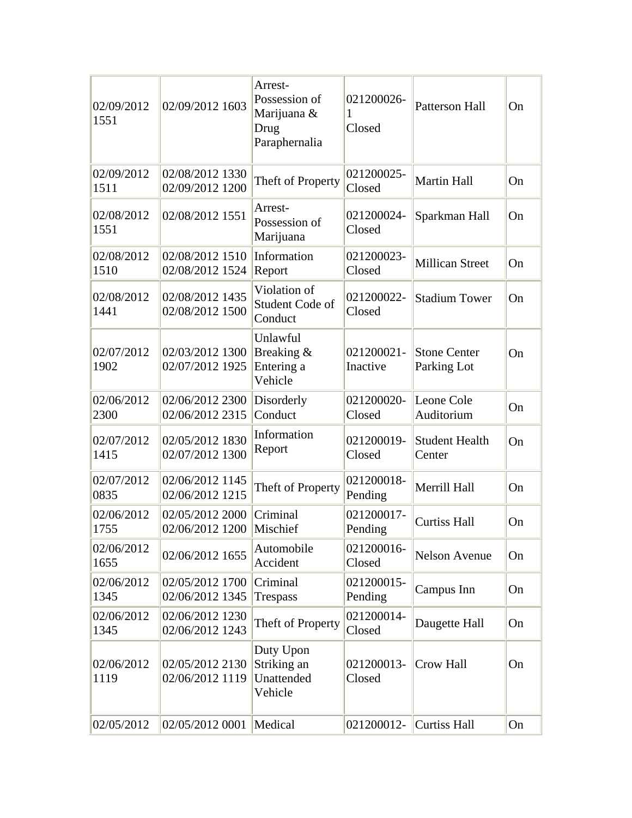| 02/09/2012<br>1551 | 02/09/2012 1603                    | Arrest-<br>Possession of<br>Marijuana &<br>Drug<br>Paraphernalia | 021200026-<br>1<br>Closed | Patterson Hall                     | On |
|--------------------|------------------------------------|------------------------------------------------------------------|---------------------------|------------------------------------|----|
| 02/09/2012<br>1511 | 02/08/2012 1330<br>02/09/2012 1200 | Theft of Property                                                | 021200025-<br>Closed      | <b>Martin Hall</b>                 | On |
| 02/08/2012<br>1551 | 02/08/2012 1551                    | Arrest-<br>Possession of<br>Marijuana                            | 021200024-<br>Closed      | Sparkman Hall                      | On |
| 02/08/2012<br>1510 | 02/08/2012 1510<br>02/08/2012 1524 | Information<br>Report                                            | 021200023-<br>Closed      | <b>Millican Street</b>             | On |
| 02/08/2012<br>1441 | 02/08/2012 1435<br>02/08/2012 1500 | Violation of<br>Student Code of<br>Conduct                       | 021200022-<br>Closed      | <b>Stadium Tower</b>               | On |
| 02/07/2012<br>1902 | 02/03/2012 1300<br>02/07/2012 1925 | Unlawful<br>Breaking $\&$<br>Entering a<br>Vehicle               | 021200021-<br>Inactive    | <b>Stone Center</b><br>Parking Lot | On |
| 02/06/2012<br>2300 | 02/06/2012 2300<br>02/06/2012 2315 | Disorderly<br>Conduct                                            | 021200020-<br>Closed      | Leone Cole<br>Auditorium           | On |
| 02/07/2012<br>1415 | 02/05/2012 1830<br>02/07/2012 1300 | Information<br>Report                                            | 021200019-<br>Closed      | <b>Student Health</b><br>Center    | On |
| 02/07/2012<br>0835 | 02/06/2012 1145<br>02/06/2012 1215 | Theft of Property                                                | 021200018-<br>Pending     | Merrill Hall                       | On |
| 02/06/2012<br>1755 | 02/05/2012 2000<br>02/06/2012 1200 | Criminal<br>Mischief                                             | 021200017-<br>Pending     | <b>Curtiss Hall</b>                | On |
| 02/06/2012<br>1655 | 02/06/2012 1655                    | Automobile<br>Accident                                           | 021200016-<br>Closed      | <b>Nelson Avenue</b>               | On |
| 02/06/2012<br>1345 | 02/05/2012 1700<br>02/06/2012 1345 | Criminal<br><b>Trespass</b>                                      | 021200015-<br>Pending     | Campus Inn                         | On |
| 02/06/2012<br>1345 | 02/06/2012 1230<br>02/06/2012 1243 | Theft of Property                                                | 021200014-<br>Closed      | Daugette Hall                      | On |
| 02/06/2012<br>1119 | 02/05/2012 2130<br>02/06/2012 1119 | Duty Upon<br>Striking an<br>Unattended<br>Vehicle                | 021200013-<br>Closed      | <b>Crow Hall</b>                   | On |
| 02/05/2012         | 02/05/2012 0001                    | Medical                                                          | 021200012-                | <b>Curtiss Hall</b>                | On |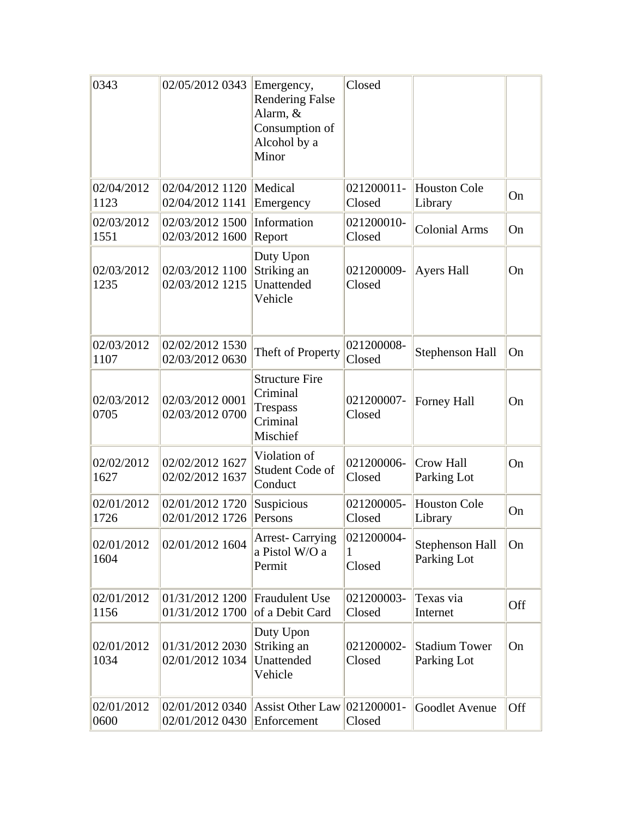| 0343               | 02/05/2012 0343                                                   | Emergency,<br><b>Rendering False</b><br>Alarm, &<br>Consumption of<br>Alcohol by a<br>Minor | Closed                    |                                       |     |
|--------------------|-------------------------------------------------------------------|---------------------------------------------------------------------------------------------|---------------------------|---------------------------------------|-----|
| 02/04/2012<br>1123 | 02/04/2012 1120<br>02/04/2012 1141                                | Medical<br>Emergency                                                                        | 021200011-<br>Closed      | <b>Houston Cole</b><br>Library        | On  |
| 02/03/2012<br>1551 | 02/03/2012 1500 Information<br>02/03/2012 1600                    | Report                                                                                      | 021200010-<br>Closed      | <b>Colonial Arms</b>                  | On  |
| 02/03/2012<br>1235 | 02/03/2012 1100<br>02/03/2012 1215                                | Duty Upon<br>Striking an<br>Unattended<br>Vehicle                                           | 021200009-<br>Closed      | Ayers Hall                            | On  |
| 02/03/2012<br>1107 | 02/02/2012 1530<br>02/03/2012 0630                                | Theft of Property                                                                           | 021200008-<br>Closed      | Stephenson Hall                       | On  |
| 02/03/2012<br>0705 | 02/03/2012 0001<br>02/03/2012 0700                                | <b>Structure Fire</b><br>Criminal<br>Trespass<br>Criminal<br>Mischief                       | 021200007-<br>Closed      | Forney Hall                           | On  |
| 02/02/2012<br>1627 | 02/02/2012 1627<br>02/02/2012 1637                                | Violation of<br>Student Code of<br>Conduct                                                  | 021200006-<br>Closed      | Crow Hall<br>Parking Lot              | On  |
| 02/01/2012<br>1726 | 02/01/2012 1720<br>02/01/2012 1726                                | Suspicious<br>Persons                                                                       | 021200005-<br>Closed      | <b>Houston Cole</b><br>Library        | On  |
| 02/01/2012<br>1604 | 02/01/2012 1604                                                   | <b>Arrest-Carrying</b><br>a Pistol W/O a<br>Permit                                          | 021200004-<br>1<br>Closed | <b>Stephenson Hall</b><br>Parking Lot | On  |
| 02/01/2012<br>1156 | 01/31/2012 1200 Fraudulent Use<br>01/31/2012 1700 of a Debit Card |                                                                                             | 021200003-<br>Closed      | Texas via<br>Internet                 | Off |
| 02/01/2012<br>1034 | 01/31/2012 2030<br>02/01/2012 1034                                | Duty Upon<br>Striking an<br>Unattended<br>Vehicle                                           | 021200002-<br>Closed      | <b>Stadium Tower</b><br>Parking Lot   | On  |
| 02/01/2012<br>0600 | 02/01/2012 0430 Enforcement                                       | 02/01/2012 0340 Assist Other Law 021200001-                                                 | Closed                    | Goodlet Avenue                        | Off |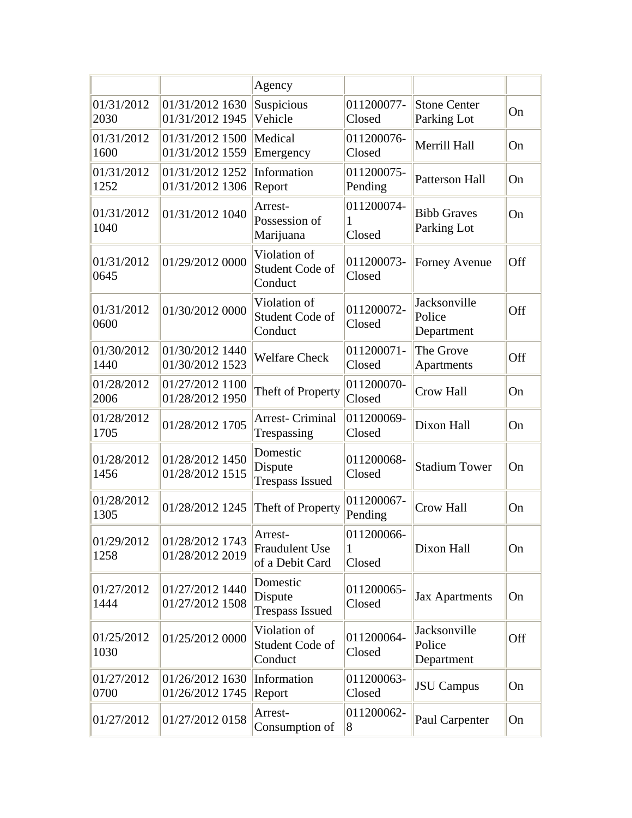|                    |                                    | Agency                                        |                                      |                                      |     |
|--------------------|------------------------------------|-----------------------------------------------|--------------------------------------|--------------------------------------|-----|
| 01/31/2012<br>2030 | 01/31/2012 1630<br>01/31/2012 1945 | Suspicious<br>Vehicle                         | 011200077-<br>Closed                 | <b>Stone Center</b><br>Parking Lot   | On  |
| 01/31/2012<br>1600 | 01/31/2012 1500<br>01/31/2012 1559 | Medical<br>Emergency                          | 011200076-<br>Closed                 | Merrill Hall                         | On  |
| 01/31/2012<br>1252 | 01/31/2012 1252<br>01/31/2012 1306 | Information<br>Report                         | 011200075-<br>Pending                | Patterson Hall                       | On  |
| 01/31/2012<br>1040 | 01/31/2012 1040                    | Arrest-<br>Possession of<br>Marijuana         | 011200074-<br>1<br>Closed            | <b>Bibb Graves</b><br>Parking Lot    | On  |
| 01/31/2012<br>0645 | 01/29/2012 0000                    | Violation of<br>Student Code of<br>Conduct    | 011200073-<br>Closed                 | <b>Forney Avenue</b>                 | Off |
| 01/31/2012<br>0600 | 01/30/2012 0000                    | Violation of<br>Student Code of<br>Conduct    | 011200072-<br>Closed                 | Jacksonville<br>Police<br>Department | Off |
| 01/30/2012<br>1440 | 01/30/2012 1440<br>01/30/2012 1523 | <b>Welfare Check</b>                          | 011200071-<br>Closed                 | The Grove<br>Apartments              | Off |
| 01/28/2012<br>2006 | 01/27/2012 1100<br>01/28/2012 1950 | Theft of Property                             | 011200070-<br>Closed                 | <b>Crow Hall</b>                     | On  |
| 01/28/2012<br>1705 | 01/28/2012 1705                    | <b>Arrest- Criminal</b><br>Trespassing        | 011200069-<br>Closed                 | Dixon Hall                           | On  |
| 01/28/2012<br>1456 | 01/28/2012 1450<br>01/28/2012 1515 | Domestic<br>Dispute<br><b>Trespass Issued</b> | 011200068-<br>Closed                 | <b>Stadium Tower</b>                 | On  |
| 01/28/2012<br>1305 | 01/28/2012 1245                    | Theft of Property                             | 011200067-<br>Pending                | <b>Crow Hall</b>                     | On  |
| 01/29/2012<br>1258 | 01/28/2012 1743<br>01/28/2012 2019 | Arrest-<br>Fraudulent Use<br>of a Debit Card  | 011200066-<br>$\mathbf{1}$<br>Closed | Dixon Hall                           | On  |
| 01/27/2012<br>1444 | 01/27/2012 1440<br>01/27/2012 1508 | Domestic<br>Dispute<br><b>Trespass Issued</b> | 011200065-<br>Closed                 | <b>Jax Apartments</b>                | On  |
| 01/25/2012<br>1030 | 01/25/2012 0000                    | Violation of<br>Student Code of<br>Conduct    | 011200064-<br>Closed                 | Jacksonville<br>Police<br>Department | Off |
| 01/27/2012<br>0700 | 01/26/2012 1630<br>01/26/2012 1745 | Information<br>Report                         | 011200063-<br>Closed                 | <b>JSU</b> Campus                    | On  |
| 01/27/2012         | 01/27/2012 0158                    | Arrest-<br>Consumption of                     | 011200062-<br>8                      | Paul Carpenter                       | On  |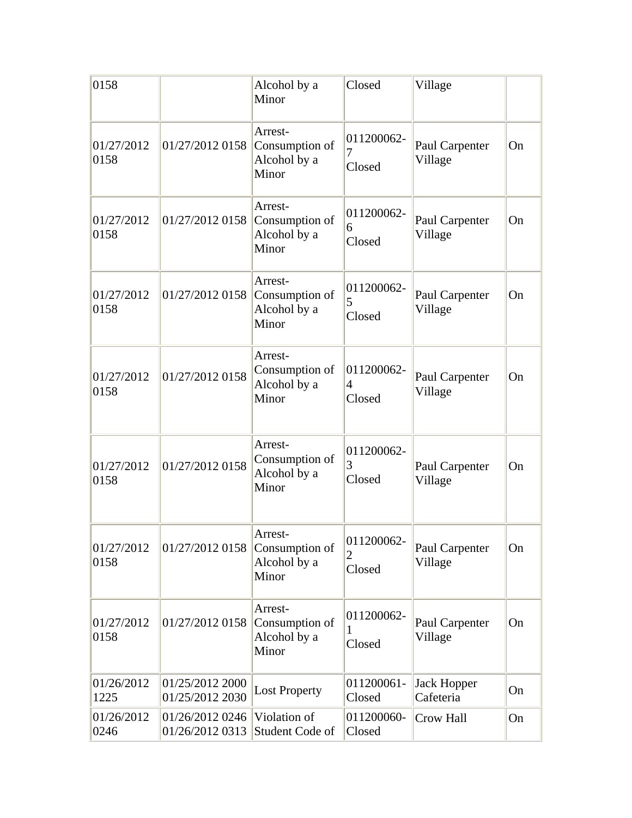| 0158               |                                    | Alcohol by a<br>Minor                              | Closed                    | Village                         |    |
|--------------------|------------------------------------|----------------------------------------------------|---------------------------|---------------------------------|----|
| 01/27/2012<br>0158 | 01/27/2012 0158                    | Arrest-<br>Consumption of<br>Alcohol by a<br>Minor | 011200062-<br>7<br>Closed | Paul Carpenter<br>Village       | On |
| 01/27/2012<br>0158 | 01/27/2012 0158                    | Arrest-<br>Consumption of<br>Alcohol by a<br>Minor | 011200062-<br>6<br>Closed | Paul Carpenter<br>Village       | On |
| 01/27/2012<br>0158 | 01/27/2012 0158                    | Arrest-<br>Consumption of<br>Alcohol by a<br>Minor | 011200062-<br>5<br>Closed | Paul Carpenter<br>Village       | On |
| 01/27/2012<br>0158 | 01/27/2012 0158                    | Arrest-<br>Consumption of<br>Alcohol by a<br>Minor | 011200062-<br>4<br>Closed | Paul Carpenter<br>Village       | On |
| 01/27/2012<br>0158 | 01/27/2012 0158                    | Arrest-<br>Consumption of<br>Alcohol by a<br>Minor | 011200062-<br>3<br>Closed | Paul Carpenter<br>Village       | On |
| 01/27/2012<br>0158 | 01/27/2012 0158                    | Arrest-<br>Consumption of<br>Alcohol by a<br>Minor | 011200062-<br>2<br>Closed | Paul Carpenter<br>Village       | On |
| 01/27/2012<br>0158 | 01/27/2012 0158                    | Arrest-<br>Consumption of<br>Alcohol by a<br>Minor | 011200062-<br>1<br>Closed | Paul Carpenter<br>Village       | On |
| 01/26/2012<br>1225 | 01/25/2012 2000<br>01/25/2012 2030 | <b>Lost Property</b>                               | 011200061-<br>Closed      | <b>Jack Hopper</b><br>Cafeteria | On |
| 01/26/2012<br>0246 | 01/26/2012 0246<br>01/26/2012 0313 | Violation of<br>Student Code of                    | 011200060-<br>Closed      | Crow Hall                       | On |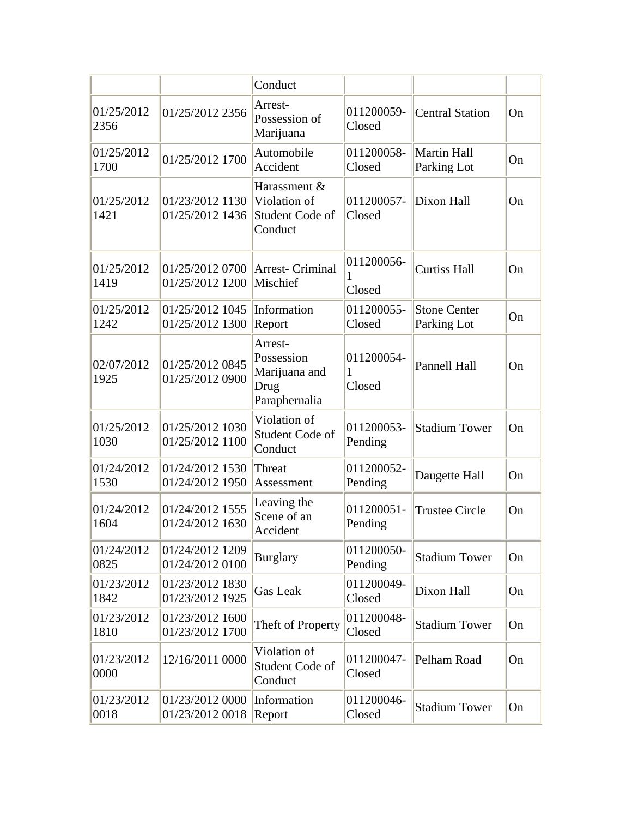|                    |                                    | Conduct                                                         |                           |                                    |    |
|--------------------|------------------------------------|-----------------------------------------------------------------|---------------------------|------------------------------------|----|
| 01/25/2012<br>2356 | 01/25/2012 2356                    | Arrest-<br>Possession of<br>Marijuana                           | 011200059-<br>Closed      | <b>Central Station</b>             | On |
| 01/25/2012<br>1700 | 01/25/2012 1700                    | Automobile<br>Accident                                          | 011200058-<br>Closed      | Martin Hall<br>Parking Lot         | On |
| 01/25/2012<br>1421 | 01/23/2012 1130<br>01/25/2012 1436 | Harassment &<br>Violation of<br>Student Code of<br>Conduct      | 011200057-<br>Closed      | Dixon Hall                         | On |
| 01/25/2012<br>1419 | 01/25/2012 0700<br>01/25/2012 1200 | Arrest- Criminal<br>Mischief                                    | 011200056-<br>1<br>Closed | <b>Curtiss Hall</b>                | On |
| 01/25/2012<br>1242 | 01/25/2012 1045<br>01/25/2012 1300 | Information<br>Report                                           | 011200055-<br>Closed      | <b>Stone Center</b><br>Parking Lot | On |
| 02/07/2012<br>1925 | 01/25/2012 0845<br>01/25/2012 0900 | Arrest-<br>Possession<br>Marijuana and<br>Drug<br>Paraphernalia | 011200054-<br>1<br>Closed | <b>Pannell Hall</b>                | On |
| 01/25/2012<br>1030 | 01/25/2012 1030<br>01/25/2012 1100 | Violation of<br>Student Code of<br>Conduct                      | 011200053-<br>Pending     | <b>Stadium Tower</b>               | On |
| 01/24/2012<br>1530 | 01/24/2012 1530<br>01/24/2012 1950 | Threat<br>Assessment                                            | 011200052-<br>Pending     | Daugette Hall                      | On |
| 01/24/2012<br>1604 | 01/24/2012 1555<br>01/24/2012 1630 | Leaving the<br>Scene of an<br>Accident                          | 011200051-<br>Pending     | <b>Trustee Circle</b>              | On |
| 01/24/2012<br>0825 | 01/24/2012 1209<br>01/24/2012 0100 | <b>Burglary</b>                                                 | 011200050-<br>Pending     | <b>Stadium Tower</b>               | On |
| 01/23/2012<br>1842 | 01/23/2012 1830<br>01/23/2012 1925 | <b>Gas Leak</b>                                                 | 011200049-<br>Closed      | Dixon Hall                         | On |
| 01/23/2012<br>1810 | 01/23/2012 1600<br>01/23/2012 1700 | Theft of Property                                               | 011200048-<br>Closed      | <b>Stadium Tower</b>               | On |
| 01/23/2012<br>0000 | 12/16/2011 0000                    | Violation of<br>Student Code of<br>Conduct                      | 011200047-<br>Closed      | Pelham Road                        | On |
| 01/23/2012<br>0018 | 01/23/2012 0000<br>01/23/2012 0018 | Information<br>Report                                           | 011200046-<br>Closed      | <b>Stadium Tower</b>               | On |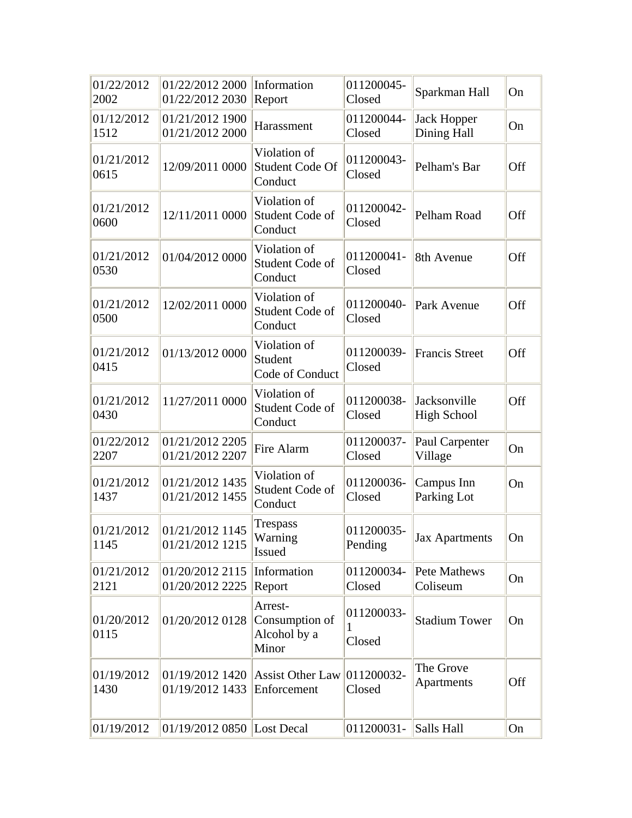| 01/22/2012<br>2002 | 01/22/2012 2000<br>01/22/2012 2030 | Information<br>Report                              | 011200045-<br>Closed      | Sparkman Hall                      | On  |
|--------------------|------------------------------------|----------------------------------------------------|---------------------------|------------------------------------|-----|
| 01/12/2012<br>1512 | 01/21/2012 1900<br>01/21/2012 2000 | Harassment                                         | 011200044-<br>Closed      | <b>Jack Hopper</b><br>Dining Hall  | On  |
| 01/21/2012<br>0615 | 12/09/2011 0000                    | Violation of<br>Student Code Of<br>Conduct         | 011200043-<br>Closed      | Pelham's Bar                       | Off |
| 01/21/2012<br>0600 | 12/11/2011 0000                    | Violation of<br>Student Code of<br>Conduct         | 011200042-<br>Closed      | Pelham Road                        | Off |
| 01/21/2012<br>0530 | 01/04/2012 0000                    | Violation of<br>Student Code of<br>Conduct         | 011200041-<br>Closed      | 8th Avenue                         | Off |
| 01/21/2012<br>0500 | 12/02/2011 0000                    | Violation of<br>Student Code of<br>Conduct         | 011200040-<br>Closed      | Park Avenue                        | Off |
| 01/21/2012<br>0415 | 01/13/2012 0000                    | Violation of<br>Student<br>Code of Conduct         | 011200039-<br>Closed      | <b>Francis Street</b>              | Off |
| 01/21/2012<br>0430 | 11/27/2011 0000                    | Violation of<br>Student Code of<br>Conduct         | 011200038-<br>Closed      | Jacksonville<br><b>High School</b> | Off |
| 01/22/2012<br>2207 | 01/21/2012 2205<br>01/21/2012 2207 | Fire Alarm                                         | 011200037-<br>Closed      | Paul Carpenter<br>Village          | On  |
| 01/21/2012<br>1437 | 01/21/2012 1435<br>01/21/2012 1455 | Violation of<br>Student Code of<br>Conduct         | 011200036-<br>Closed      | Campus Inn<br>Parking Lot          | On  |
| 01/21/2012<br>1145 | 01/21/2012 1145<br>01/21/2012 1215 | Trespass<br>Warning<br>Issued                      | 011200035-<br>Pending     | Jax Apartments                     | On  |
| 01/21/2012<br>2121 | 01/20/2012 2115<br>01/20/2012 2225 | Information<br>Report                              | 011200034-<br>Closed      | <b>Pete Mathews</b><br>Coliseum    | On  |
| 01/20/2012<br>0115 | 01/20/2012 0128                    | Arrest-<br>Consumption of<br>Alcohol by a<br>Minor | 011200033-<br>1<br>Closed | <b>Stadium Tower</b>               | On  |
| 01/19/2012<br>1430 | 01/19/2012 1420<br>01/19/2012 1433 | <b>Assist Other Law</b><br>Enforcement             | 011200032-<br>Closed      | The Grove<br>Apartments            | Off |
| 01/19/2012         | 01/19/2012 0850 Lost Decal         |                                                    | 011200031-                | Salls Hall                         | On  |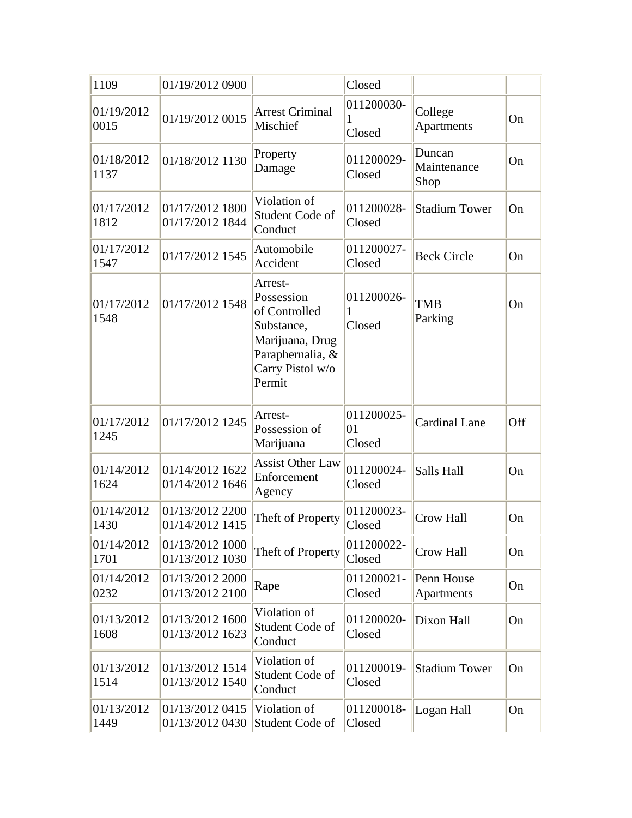| 1109               | 01/19/2012 0900                    |                                                                                                                           | Closed                     |                               |     |
|--------------------|------------------------------------|---------------------------------------------------------------------------------------------------------------------------|----------------------------|-------------------------------|-----|
| 01/19/2012<br>0015 | 01/19/2012 0015                    | <b>Arrest Criminal</b><br>Mischief                                                                                        | 011200030-<br>1<br>Closed  | College<br>Apartments         | On  |
| 01/18/2012<br>1137 | 01/18/2012 1130                    | Property<br>Damage                                                                                                        | 011200029-<br>Closed       | Duncan<br>Maintenance<br>Shop | On  |
| 01/17/2012<br>1812 | 01/17/2012 1800<br>01/17/2012 1844 | Violation of<br>Student Code of<br>Conduct                                                                                | 011200028-<br>Closed       | <b>Stadium Tower</b>          | On  |
| 01/17/2012<br>1547 | 01/17/2012 1545                    | Automobile<br>Accident                                                                                                    | 011200027-<br>Closed       | <b>Beck Circle</b>            | On  |
| 01/17/2012<br>1548 | 01/17/2012 1548                    | Arrest-<br>Possession<br>of Controlled<br>Substance,<br>Marijuana, Drug<br>Paraphernalia, &<br>Carry Pistol w/o<br>Permit | 011200026-<br>1<br>Closed  | TMB<br>Parking                | On  |
| 01/17/2012<br>1245 | 01/17/2012 1245                    | Arrest-<br>Possession of<br>Marijuana                                                                                     | 011200025-<br>01<br>Closed | <b>Cardinal Lane</b>          | Off |
| 01/14/2012<br>1624 | 01/14/2012 1622<br>01/14/2012 1646 | <b>Assist Other Law</b><br>Enforcement<br>Agency                                                                          | 011200024-<br>Closed       | Salls Hall                    | On  |
| 01/14/2012<br>1430 | 01/13/2012 2200<br>01/14/2012 1415 | Theft of Property                                                                                                         | 011200023-<br>Closed       | <b>Crow Hall</b>              | On  |
| 01/14/2012<br>1701 | 01/13/2012 1000<br>01/13/2012 1030 | Theft of Property                                                                                                         | 011200022-<br>Closed       | Crow Hall                     | On  |
| 01/14/2012<br>0232 | 01/13/2012 2000<br>01/13/2012 2100 | Rape                                                                                                                      | 011200021-<br>Closed       | Penn House<br>Apartments      | On  |
| 01/13/2012<br>1608 | 01/13/2012 1600<br>01/13/2012 1623 | Violation of<br>Student Code of<br>Conduct                                                                                | 011200020-<br>Closed       | Dixon Hall                    | On  |
| 01/13/2012<br>1514 | 01/13/2012 1514<br>01/13/2012 1540 | Violation of<br>Student Code of<br>Conduct                                                                                | 011200019-<br>Closed       | <b>Stadium Tower</b>          | On  |
| 01/13/2012<br>1449 | 01/13/2012 0415<br>01/13/2012 0430 | Violation of<br>Student Code of                                                                                           | 011200018-<br>Closed       | Logan Hall                    | On  |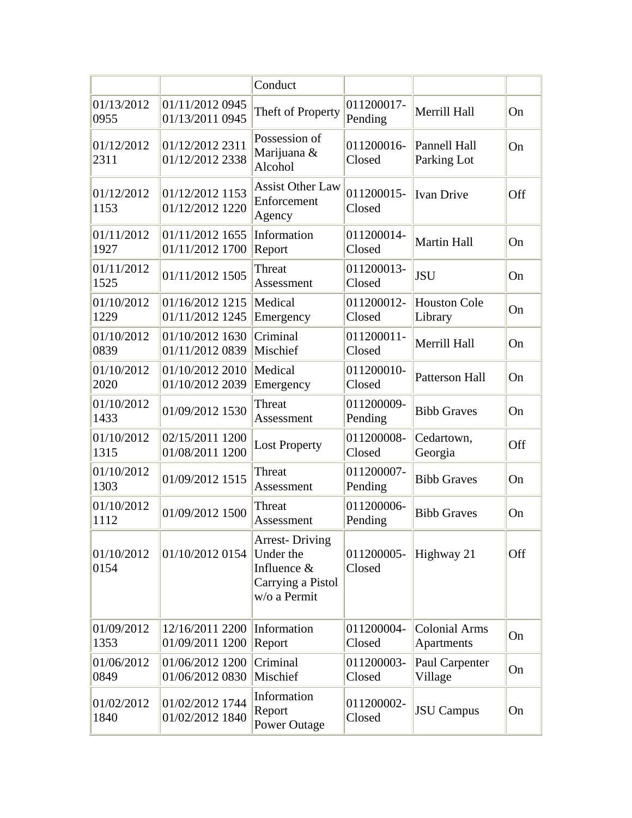|                    |                                    | Conduct                                                                                |                       |                                    |     |
|--------------------|------------------------------------|----------------------------------------------------------------------------------------|-----------------------|------------------------------------|-----|
| 01/13/2012<br>0955 | 01/11/2012 0945<br>01/13/2011 0945 | Theft of Property                                                                      | 011200017-<br>Pending | Merrill Hall                       | On  |
| 01/12/2012<br>2311 | 01/12/2012 2311<br>01/12/2012 2338 | Possession of<br>Marijuana &<br>Alcohol                                                | 011200016-<br>Closed  | <b>Pannell Hall</b><br>Parking Lot | On  |
| 01/12/2012<br>1153 | 01/12/2012 1153<br>01/12/2012 1220 | <b>Assist Other Law</b><br>Enforcement<br>Agency                                       | 011200015-<br>Closed  | <b>Ivan Drive</b>                  | Off |
| 01/11/2012<br>1927 | 01/11/2012 1655<br>01/11/2012 1700 | Information<br>Report                                                                  | 011200014-<br>Closed  | <b>Martin Hall</b>                 | On  |
| 01/11/2012<br>1525 | 01/11/2012 1505                    | Threat<br>Assessment                                                                   | 011200013-<br>Closed  | <b>JSU</b>                         | On  |
| 01/10/2012<br>1229 | 01/16/2012 1215<br>01/11/2012 1245 | Medical<br>Emergency                                                                   | 011200012-<br>Closed  | <b>Houston Cole</b><br>Library     | On  |
| 01/10/2012<br>0839 | 01/10/2012 1630<br>01/11/2012 0839 | Criminal<br>Mischief                                                                   | 011200011-<br>Closed  | Merrill Hall                       | On  |
| 01/10/2012<br>2020 | 01/10/2012 2010<br>01/10/2012 2039 | Medical<br>Emergency                                                                   | 011200010-<br>Closed  | <b>Patterson Hall</b>              | On  |
| 01/10/2012<br>1433 | 01/09/2012 1530                    | Threat<br>Assessment                                                                   | 011200009-<br>Pending | <b>Bibb Graves</b>                 | On  |
| 01/10/2012<br>1315 | 02/15/2011 1200<br>01/08/2011 1200 | <b>Lost Property</b>                                                                   | 011200008-<br>Closed  | Cedartown,<br>Georgia              | Off |
| 01/10/2012<br>1303 | 01/09/2012 1515                    | Threat<br>Assessment                                                                   | 011200007-<br>Pending | <b>Bibb Graves</b>                 | On  |
| 01/10/2012<br>1112 | 01/09/2012 1500                    | Threat<br>Assessment                                                                   | 011200006-<br>Pending | <b>Bibb Graves</b>                 | On  |
| 01/10/2012<br>0154 | 01/10/2012 0154                    | <b>Arrest-Driving</b><br>Under the<br>Influence &<br>Carrying a Pistol<br>w/o a Permit | 011200005-<br>Closed  | Highway 21                         | Off |
| 01/09/2012<br>1353 | 12/16/2011 2200<br>01/09/2011 1200 | Information<br>Report                                                                  | 011200004-<br>Closed  | <b>Colonial Arms</b><br>Apartments | On  |
| 01/06/2012<br>0849 | 01/06/2012 1200<br>01/06/2012 0830 | Criminal<br>Mischief                                                                   | 011200003-<br>Closed  | Paul Carpenter<br>Village          | On  |
| 01/02/2012<br>1840 | 01/02/2012 1744<br>01/02/2012 1840 | Information<br>Report<br><b>Power Outage</b>                                           | 011200002-<br>Closed  | <b>JSU</b> Campus                  | On  |